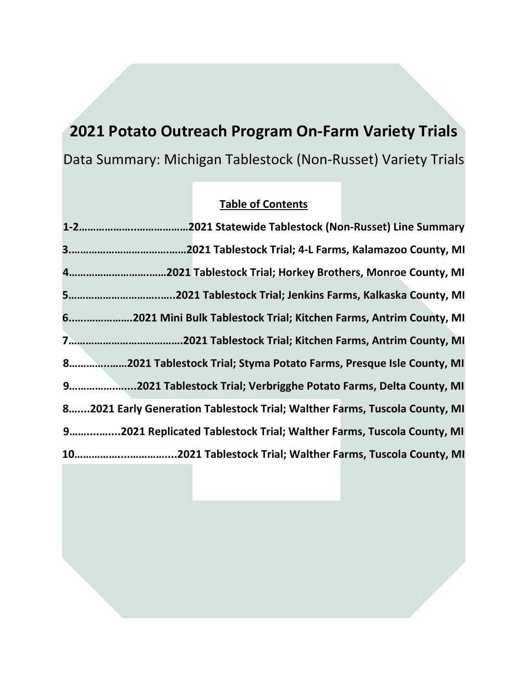# **2021 Potato Outreach Program On-Farm Variety Trials** Data Summary: Michigan Tablestock (Non-Russet) Variety Trials

# **Table of Contents**

| 62021 Mini Bulk Tablestock Trial; Kitchen Farms, Antrim County, MI         |
|----------------------------------------------------------------------------|
|                                                                            |
| 82021 Tablestock Trial; Styma Potato Farms, Presque Isle County, MI        |
| 92021 Tablestock Trial; Verbrigghe Potato Farms, Delta County, MI          |
| 82021 Early Generation Tablestock Trial; Walther Farms, Tuscola County, MI |
| 92021 Replicated Tablestock Trial; Walther Farms, Tuscola County, MI       |
|                                                                            |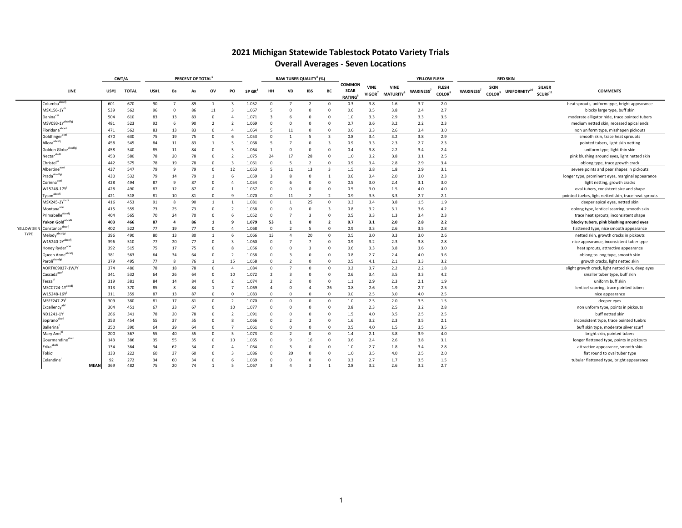## **2021 Michigan Statewide Tablestock Potato Variety Trials Overall Averages ‐ Seven Locations**

|             |                                                          |             | CWT/A       |              |             |                         | PERCENT OF TOTAL |                |                          |        |                         |                         | RAW TUBER QUALITY <sup>4</sup> (%) |                         |                                               |                                   |                                | YELLOW FLESH          |                                           |                 |                                          | <b>RED SKIN</b>          |                                      |                                                                            |
|-------------|----------------------------------------------------------|-------------|-------------|--------------|-------------|-------------------------|------------------|----------------|--------------------------|--------|-------------------------|-------------------------|------------------------------------|-------------------------|-----------------------------------------------|-----------------------------------|--------------------------------|-----------------------|-------------------------------------------|-----------------|------------------------------------------|--------------------------|--------------------------------------|----------------------------------------------------------------------------|
|             | LINE                                                     |             | <b>US#1</b> | <b>TOTAL</b> | <b>US#1</b> | <b>Bs</b>               | As               | ov             | PO                       | SP GR' |                         | VD                      | <b>IBS</b>                         | BC                      | <b>COMMON</b><br><b>SCAB</b><br><b>RATING</b> | <b>VINE</b><br>VIGOR <sup>7</sup> | <b>VINE</b><br><b>MATURITY</b> | WAXINESS <sup>7</sup> | <b>FLESH</b><br><b>COLOR</b> <sup>8</sup> | <b>WAXINESS</b> | <b>SKIN</b><br><b>COLOR</b> <sup>9</sup> | UNIFORMITY <sup>10</sup> | <b>SILVER</b><br>SCURF <sup>11</sup> | <b>COMMENTS</b>                                                            |
|             | Columba <sup>abcef</sup>                                 |             | 601         | 670          | 90          | $\overline{7}$          | 89               | $\overline{1}$ | 3                        | 1.052  | $\Omega$                |                         | $\overline{\phantom{a}}$           | $\Omega$                | 0.3                                           | 3.8                               | 1.6                            | 3.7                   | 2.0                                       |                 |                                          |                          |                                      | heat sprouts, uniform type, bright appearance                              |
|             | MSX156-1Y <sup>di</sup>                                  |             | 539         | 562          | 96          | $\Omega$                | 86               | 11             | 3                        | 1.067  | 5                       | $\Omega$                | 0                                  | $\Omega$                | 0.6                                           | 3.5                               | 3.8                            | 2.4                   | 2.7                                       |                 |                                          |                          |                                      | blocky large type, buff skin                                               |
|             | Daninacei                                                |             | 504         | 610          | 83          | 13                      | 83               | $\mathbf 0$    | Δ                        | 1.071  | 3                       | 6                       | 0                                  | 0                       | 1.0                                           | 3.3                               | 2.9                            | 3.3                   | 3.5                                       |                 |                                          |                          |                                      | moderate alligator hide, trace pointed tubers                              |
|             | MSV093-1Yabcdfgj                                         |             | 481         | 523          | 92          | -6                      | 90               | $\overline{2}$ | $\overline{2}$           | 1.069  | 0                       | 0                       | $\Omega$                           | $\Omega$                | 0.7                                           | 3.6                               | 3.2                            | 2.2                   | 2.3                                       |                 |                                          |                          |                                      | medium netted skin, recessed apical ends                                   |
|             | Floridana <sup>abcefi</sup>                              |             | 471         | 562          | 83          | 13                      | 83               | $\Omega$       | $\overline{a}$           | 1.064  | 5                       | 11                      | $\Omega$                           | $\Omega$                | 0.6                                           | 3.3                               | 2.6                            | 3.4                   | 3.0                                       |                 |                                          |                          |                                      | non uniform type, misshapen pickouts                                       |
|             | Goldfinger <sup>acei</sup>                               |             | 470         | 630          | 75          | 19                      | 75               | $\Omega$       | 6                        | 1.053  | $\Omega$                | $\overline{1}$          | 5                                  | $\overline{\mathbf{3}}$ | 0.8                                           | 3.4                               | 3.2                            | 3.8                   | 2.9                                       |                 |                                          |                          |                                      | smooth skin, trace heat sprouots                                           |
|             | Allora <sup>abcefj</sup>                                 |             | 458         | 545          | 84          | 11                      | 83               | $\overline{1}$ | 5                        | 1.068  | 5                       | $\overline{7}$          | $\Omega$                           | 3                       | 0.9                                           | 3.3                               | 2.3                            | 2.7                   | 2.3                                       |                 |                                          |                          |                                      | pointed tubers, light skin netting                                         |
|             | Golden Globe <sup>abcdfgj</sup>                          |             | 458         | 540          | 85          | 11                      | 84               | $\mathbf 0$    | 5                        | 1.064  |                         | $^{\circ}$              | $\Omega$                           | $\Omega$                | 0.4                                           | 3.8                               | 2.2                            | 3.4                   | 2.4                                       |                 |                                          |                          |                                      | uniform type, light thin skin                                              |
|             | Nectarabdf.                                              |             | 453         | 580          | 78          | 20                      | 78               | $\mathbf 0$    | $\overline{2}$           | 1.075  | 24                      | 17                      | 28                                 | 0                       | 1.0                                           | 3.2                               | 3.8                            | 3.1                   | 2.5                                       |                 |                                          |                          |                                      | pink blushing around eyes, light netted skin                               |
|             | $\mathsf{Christel}^\epsilon$                             |             | 442         | 575          | 78          | 19                      | 78               | $\Omega$       | $\mathbf{R}$             | 1.061  | $\Omega$                | 5                       | $\overline{\phantom{a}}$           | $\Omega$                | 0.9                                           | 3.4                               | 2.8                            | 2.9                   | 3.4                                       |                 |                                          |                          |                                      | oblong type, trace growth crack                                            |
|             | Albertine <sup>acei</sup>                                |             | 437         | 547          | 79          | -9                      | 79               | $\mathbf 0$    | 12                       | 1.053  | 5                       | 11                      | 13                                 | $\overline{\mathbf{3}}$ | 1.5                                           | 3.8                               | 1.8                            | 2.9                   | 3.1                                       |                 |                                          |                          |                                      | severe points and pear shapes in pickouts                                  |
|             | $\mathsf{I}\mathsf{Prada}^\mathsf{abcdfgi}$              |             | 430         | 532          | 79          | 14                      | 79               | $\overline{1}$ | 6                        | 1.059  | $\overline{\mathbf{3}}$ | 8                       | $\Omega$                           | -1                      | 0.6                                           | 3.4                               | 2.0                            | 3.0                   | 2.3                                       |                 |                                          |                          |                                      | longer type, prominent eyes, marginal appearance                           |
|             | Corinna <sup>acei</sup>                                  |             | 428         | 494          | 87          | q                       | 87               | $\mathbf 0$    | 4                        | 1.054  | 0                       | 6                       | 0                                  | $\mathbf 0$             | 0.5                                           | 3.0                               | 2.4                            | 3.1                   | 3.0                                       |                 |                                          |                          |                                      | light netting, growth cracks                                               |
|             | W15248-17Y                                               |             | 428         | 490          | 87          | 12                      | 87               | $\Omega$       | -1                       | 1.057  | $\Omega$                | $^{\circ}$              | $\Omega$                           | $\Omega$                | 0.5                                           | 3.0                               | 1.5                            | 4.0                   | 4.0                                       |                 |                                          |                          |                                      | oval tubers, consistent size and shape                                     |
|             | Tyson <sup>abcefi</sup>                                  |             | 421         | 518          | 81          | 10                      | 81               | $\Omega$       | $\alpha$                 | 1.070  | $\Omega$                | 11                      | $\overline{\phantom{a}}$           | $\overline{z}$          | 0.9                                           | 3.5                               | 3.3                            | 2.7                   | 2.1                                       |                 |                                          |                          |                                      | pointed tuebrs, light netted skin, trace heat sprouts                      |
|             | MSX245-2Ybcdi                                            |             | 416         | 453          | 91          | 8                       | 90               | $\overline{1}$ |                          | 1.081  | $^{\circ}$              | $\mathbf{1}$            | 25                                 | $\Omega$                | 0.3                                           | 3.4                               | 3.8                            | 1.5                   | 1.9                                       |                 |                                          |                          |                                      | deeper apical eyes, netted skin                                            |
|             | Montana <sup>acei</sup>                                  |             | 415         | 559          | 73          | 25                      | 73               | $\Omega$       | $\overline{2}$           | 1.058  | $^{\circ}$              | $\mathbf 0$             | 0                                  | 3                       | 0.8                                           | 3.2                               | 3.1                            | 3.6                   | 4.2                                       |                 |                                          |                          |                                      | oblong type, lenticel scarring, smooth skin                                |
|             | $\label{eq:primal} {\sf Prime} {\sf handle}^{\sf abcef}$ |             | 404         | 565          | 70          | 24                      | 70               | $\Omega$       | 6                        | 1.052  | $\Omega$                | $\overline{7}$          | 3                                  | $\Omega$                | 0.5                                           | 3.3                               | 1.3                            | 3.4                   | 2.3                                       |                 |                                          |                          |                                      | trace heat sprouts, inconsistent shape                                     |
|             | Yukon Gold <sup>abcef.</sup>                             |             | 403         | 466          | 87          | $\overline{\mathbf{4}}$ | 86               | -1             | ٩                        | 1.079  | 53                      | 1                       | 0                                  | $\overline{\mathbf{2}}$ | 0.7                                           | 3.1                               | 2.0                            | 2.8                   | 2.2                                       |                 |                                          |                          |                                      | blocky tubers, pink blushing around eyes                                   |
| YELLOW SKIN | Constance <sup>abcefj</sup>                              |             | 402         | 522          | 77          | 19                      | 77               | $\Omega$       | 4                        | 1.068  | $^{\circ}$              | $\overline{2}$          | 5                                  | $\mathbf 0$             | 0.9                                           | 3.3                               | 2.6                            | 3.5                   | 2.8                                       |                 |                                          |                          |                                      | flattened type, nice smooth appearance                                     |
| TYPE        | $\overline{\textsf{Melody}}^{\text{abcdefgi}}$           |             | 396         | 490          | 80          | 13                      | 80               | -1             | 6                        | 1.066  | 13                      | $\overline{4}$          | 20                                 | $\mathbf 0$             | 0.5                                           | 3.0                               | 3.3                            | 3.0                   | 2.6                                       |                 |                                          |                          |                                      | netted skin, growth cracks in pickouts                                     |
|             | $W15240-2Y^{abcelj}$                                     |             | 396         | 510          | 77          | 20                      | 77               | $\mathbf 0$    | 3                        | 1.060  | $^{\circ}$              | $\overline{7}$          |                                    | $\mathbf 0$             | 0.9                                           | 3.2                               | 2.3                            | 3.8                   | 2.8                                       |                 |                                          |                          |                                      | nice appearance, inconsistent tuber type                                   |
|             | Honey Ryder <sup>acei</sup>                              |             | 392         | 515          | 75          | 17                      | 75               | $\Omega$       | 8                        | 1.056  | 0                       | $\mathbf 0$             | 3                                  | $\Omega$                | 0.6                                           | 3.3                               | 3.8                            | 3.6                   | 3.0                                       |                 |                                          |                          |                                      | heat sprouts, attractive appearance                                        |
|             | Queen Anne <sup>abcefj</sup>                             |             | 381         | 563          | 64          | 34                      | 64               | $\Omega$       | $\overline{\phantom{a}}$ | 1.058  | $\Omega$                | $\mathbf{3}$            | $\Omega$                           | $\Omega$                | 0.8                                           | 2.7                               | 2.4                            | 4.0                   | 3.6                                       |                 |                                          |                          |                                      | oblong to long type, smooth skin                                           |
|             | Paroliabcefgi                                            |             | 379         | 495          | 77          | 8                       | 76               | $\overline{1}$ | 15                       | 1.058  | $^{\circ}$              | $\overline{2}$          | $\Omega$                           | $\Omega$                | 0.5                                           | 4.1                               | 2.1                            | 3.3                   | 3.2                                       |                 |                                          |                          |                                      | growth cracks, light netted skin                                           |
|             | AORTX09037-1W/Y'                                         |             | 374         | 480          | 78          | 18                      | 78               | $\Omega$       | $\overline{a}$           | 1.084  | $\Omega$                | $\overline{7}$          | $\Omega$                           | $\Omega$                | 0.2                                           | 3.7                               | 2.2                            | 2.2                   | 1.8                                       |                 |                                          |                          |                                      | slight growth crack, light netted skin, deep eyes                          |
|             | Cascada <sup>acefi</sup>                                 |             | 341         | 532          | 64          | 26                      | 64               | $\mathbf 0$    | 10                       | 1.072  | $\overline{2}$          | $\overline{\mathbf{3}}$ | $\Omega$                           | $\Omega$                | 0.6                                           | 3.4                               | 3.5                            | 3.3                   | 4.2                                       |                 |                                          |                          |                                      | smaller tuber type, buff skin                                              |
|             | Tessa <sup>bi</sup>                                      |             | 319         | 381          | 84          | 14                      | 84               | $\mathbf 0$    | $\overline{2}$           | 1.074  | $\overline{2}$          | $\overline{2}$          | $\Omega$                           | $\mathbf 0$             | 1.1                                           | 2.9                               | 2.3                            | 2.1                   | 1.9                                       |                 |                                          |                          |                                      | uniform buff skin                                                          |
|             | MSCC724-1Yabcdj                                          |             | 313         | 370          | 85          | 8                       | 84               | -1             |                          | 1.069  | Δ                       | $^{\circ}$              | Δ                                  | 26                      | 0.8                                           | 2.6                               | 1.9                            | 2.7                   | 2.5                                       |                 |                                          |                          |                                      | lenticel scarring, trace pointed tubers                                    |
|             | $W15248-16Y^{\mathrm{J}}$                                |             | 311         | 359          | 87          | 13                      | 87               | $\Omega$       | $\Omega$                 | 1.083  | $\Omega$                | $\Omega$                | n                                  | $\Omega$                | 0.0                                           | 2.5                               | 3.0                            | 4.0                   | 2.5                                       |                 |                                          |                          |                                      | nice appearance                                                            |
|             | MSFF247-2Y                                               |             | 309         | 380          | 81          | 17                      | 81               | $\Omega$       | $\overline{2}$           | 1.070  | $\overline{0}$          | $\mathbf 0$             | $\Omega$                           | $\Omega$                | 1.0                                           | 2.5                               | 2.0                            | 3.5                   | 1.5                                       |                 |                                          |                          |                                      | deeper eyes                                                                |
|             | Excellency <sup>®</sup>                                  |             | 304         | 451          | 67          | 23                      | 67               | $\mathbf 0$    | 10                       | 1.077  | $^{\circ}$              | $^{\circ}$              | 0                                  | $\mathbf 0$             | 0.8                                           | 2.3                               | 2.5                            | 3.2                   | 2.8                                       |                 |                                          |                          |                                      | non unform type, points in pickouts                                        |
|             | ND1241-1Y                                                |             | 266         | 341          | 78          | 20                      | 78               | 0              | $\overline{2}$           | 1.091  | 0                       | $\mathbf 0$             | $\Omega$                           | $\Omega$                | 1.5                                           | 4.0                               | 3.5                            | 2.5                   | 2.5                                       |                 |                                          |                          |                                      | buff netted skin                                                           |
|             | Sopranoabefi                                             |             | 253         | 454          | 55          | 37                      | 55               | $\mathbf 0$    | 8                        | 1.066  | $^{\circ}$              | $\overline{2}$          | $\overline{a}$                     | $\mathbf 0$             | 1.6                                           | 3.2                               | 2.3                            | 3.5                   | 2.1                                       |                 |                                          |                          |                                      | inconsistent type, trace pointed tuebrs                                    |
|             | <b>Ballerina</b>                                         |             | 250         | 390          | 64          | 29                      | 64               | $\Omega$       |                          | 1.061  | $\Omega$                | $\Omega$                | n                                  | $\Omega$                | 0.5                                           | 4.0                               | 1.5                            | 3.5                   | 3.5                                       |                 |                                          |                          |                                      | buff skin type, moderate silver scurf                                      |
|             | Mary Ann <sup>'</sup>                                    |             | 200         | 367          | 55          | 40                      | 55               | 0              | 5                        | 1.073  | 0                       | $\overline{2}$          | 0                                  | 0                       | 1.4                                           | 2.1                               | 3.8                            | 3.9                   | 4.0                                       |                 |                                          |                          |                                      | bright skin, pointed tubers                                                |
|             | Gourmandineabefi                                         |             | 143         | 386          | 35          | 55                      | 35               | $\Omega$       | 10                       | 1.065  | $\Omega$                | 9                       | 16                                 | $\Omega$                | 0.6                                           | 2.4                               | 2.6                            | 3.8                   | 3.1                                       |                 |                                          |                          |                                      | longer flattened type, points in pickouts                                  |
|             | $Erikaabefi$                                             |             | 134         | 364          | 34          | 62                      | 34               | $\mathbf 0$    | 4                        | 1.064  | 0                       | $\overline{\mathbf{3}}$ | 0                                  | $\Omega$                | 1.0                                           | 2.7                               | 1.8                            | 3.4                   | 2.8                                       |                 |                                          |                          |                                      |                                                                            |
|             | Tokio                                                    |             | 133         | 222          | 60          | 37                      | 60               | $\Omega$       | 3                        | 1.086  | $\Omega$                | 20                      | $\Omega$                           | $\Omega$                | $1.0$                                         | 3.5                               | 4.0                            | 2.5                   | 2.0                                       |                 |                                          |                          |                                      | attractive appearance, smooth skin                                         |
|             | celandine'                                               |             | 92          | 272          | 34          | 60                      | 34               | $\Omega$       | 6                        | 1.069  | $\Omega$                | $\Omega$                |                                    | $\Omega$                | 0.3                                           | 2.7                               | 1.7                            | 3.5                   | 1.5                                       |                 |                                          |                          |                                      | flat round to oval tuber type<br>tubular flattened type, bright appearance |
|             |                                                          | <b>MEAN</b> | 369         | 482          | 75          | 20                      | 74               |                |                          | 1.067  |                         |                         |                                    |                         | 0.8                                           | 3.2                               | 2.6                            | 3.2                   | 2.7                                       |                 |                                          |                          |                                      |                                                                            |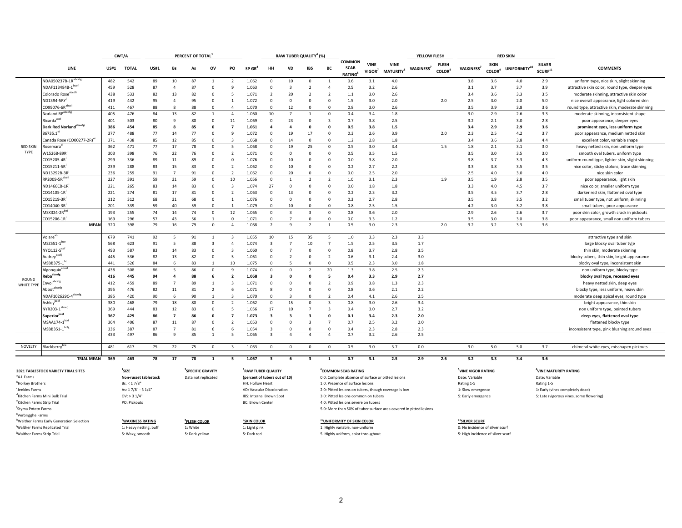|                                        |                                            |             | CWT/A                  |             |                           | PERCENT OF TOTAL              |                         |                          |                                |                          |                         | RAW TUBER QUALITY <sup>4</sup> (%) |                          |                                        |                       |                                                       | YELLOW FLESH                                                       |                                           |                                   |                                          | <b>RED SKIN</b>                         |                                      |                                                   |
|----------------------------------------|--------------------------------------------|-------------|------------------------|-------------|---------------------------|-------------------------------|-------------------------|--------------------------|--------------------------------|--------------------------|-------------------------|------------------------------------|--------------------------|----------------------------------------|-----------------------|-------------------------------------------------------|--------------------------------------------------------------------|-------------------------------------------|-----------------------------------|------------------------------------------|-----------------------------------------|--------------------------------------|---------------------------------------------------|
|                                        | LINE                                       | <b>US#1</b> | <b>TOTAL</b>           | <b>US#1</b> | Bs                        | As                            | ov                      | PO                       | $SP$ GR <sup>2</sup>           | <b>HH</b>                | VD                      | <b>IBS</b>                         | BC                       | COMMON<br><b>SCAB</b><br><b>RATING</b> | <b>VINE</b><br>VIGOR' | <b>VINE</b><br><b>MATURITY</b> <sup>8</sup>           | <b>WAXINESS</b>                                                    | <b>FLESH</b><br><b>COLOR</b> <sup>8</sup> | WAXINESS <sup>7</sup>             | <b>SKIN</b><br><b>COLOR</b> <sup>9</sup> | $\ensuremath{\mathsf{UNIFORMITY}}^{10}$ | <b>SILVER</b><br>SCURF <sup>11</sup> | <b>COMMENTS</b>                                   |
|                                        | NDA050237B-1Rabce                          | 482         | 542                    | 89          | 10                        | 87                            |                         | $\overline{2}$           | 1.062                          | $\mathbf 0$              | 10                      | $\mathbf 0$                        |                          | 0.6                                    | 3.1                   | 4.0                                                   |                                                                    |                                           | 3.8                               | 3.6                                      | 4.0                                     | 2.9                                  | uniform type, nice skin, slight skinning          |
|                                        | NDAF113484B-1bcefi                         | 459         | 528                    | 87          | $\overline{4}$            | 87                            | $\Omega$                | 9                        | 1.063                          | $\Omega$                 | $\overline{3}$          | $\overline{\phantom{a}}$           | $\overline{4}$           | 0.5                                    | 3.2                   | 2.6                                                   |                                                                    |                                           | 3.1                               | 3.7                                      | 3.7                                     | 3.9                                  | attractive skin color, round type, deeper eyes    |
|                                        | Colorado Rose <sup>abcdfi</sup>            | 438         | 533                    | 82          | 13                        | 82                            | $\Omega$                | 5                        | 1.071                          | $\overline{\phantom{a}}$ | 20                      | $\overline{\phantom{a}}$           | $\overline{\phantom{a}}$ | $1.1\,$                                | 3.0                   | 2.6                                                   |                                                                    |                                           | 3.4                               | 3.6                                      | 3.3                                     | 3.5                                  | moderate skinning, attractive skin color          |
|                                        | ND1394-5RY                                 | 419         | 442                    | 95          | $\overline{4}$            | 95                            | $\Omega$                | $\mathbf{1}$             | 1.072                          | $\Omega$                 | $\Omega$                | $\Omega$                           | $\Omega$                 | 1.5                                    | 3.0                   | 2.0                                                   |                                                                    | 2.0                                       | 2.5                               | 3.0                                      | 2.0                                     | 5.0                                  | nice overall appearance, light colored skin       |
|                                        | CO99076-6R <sup>abcdi</sup>                | 411         | 467                    | 88          | $\boldsymbol{\mathsf{R}}$ | 88                            | $\Omega$                | $\Delta$                 | 1.070                          | $\Omega$                 | 12                      | $\Omega$                           | $\Omega$                 | 0.8                                    | 3.0                   | 2.6                                                   |                                                                    |                                           | 3.5                               | 3.9                                      | 3.8                                     | 3.6                                  | round type, attractive skin, moderate skinning    |
|                                        | Norland RPabcefgj                          | 405         | 476                    | 84          | 13                        | 82                            | $\overline{1}$          | $\overline{4}$           | 1.060                          | 10                       | $\overline{7}$          | $\overline{1}$                     | $\overline{0}$           | 0.4                                    | 3.4                   | 1.8                                                   |                                                                    |                                           | 3.0                               | 2.9                                      | 2.6                                     | 3.3                                  | moderate skinning, inconsistent shape             |
|                                        | Ricarda <sup>acei</sup>                    | 401         | 503                    | 80          | 9                         | 80                            | $\mathbf 0$             | 11                       | 1.069                          | $\mathbf 0$              | 23                      | $\mathbf 0$                        | -3                       | 0.7                                    | 3.8                   | 2.5                                                   |                                                                    |                                           | 3.2                               | 2.1                                      | 3.0                                     | 2.8                                  | poor appearance, deeper eyes                      |
|                                        | Dark Red Norland <sup>abcefgi</sup>        | 386         | 454                    | 85          | 8                         | 85                            | $\mathbf 0$             | $\overline{z}$           | 1.061                          | $\Delta$                 | $\overline{\mathbf{4}}$ | n                                  | $\Omega$                 | 0.5                                    | 3.8                   | 1.5                                                   |                                                                    |                                           | 3.4                               | 2.9                                      | 2.9                                     | 3.6                                  | prominent eyes, less uniform type                 |
|                                        | 86735.1 <sup>e</sup>                       | 377         | 488                    | 77          | 14                        | 77                            | $\mathbf 0$             | 9                        | 1.072                          | $\mathbf 0$              | 19                      | 17                                 | $\Omega$                 | 0.3                                    | 2.6                   | 3.9                                                   |                                                                    | 2.0                                       | 2.3                               | 2.5                                      | 4.2                                     | 3.7                                  | poor appearance, medium netted skin               |
|                                        | Canada Rose (CO00277-2R) <sup>e</sup>      | 371         | 438                    | 85          | 12                        | 85                            | $\mathbf 0$             | 3                        | 1.068                          | $\Omega$                 | 14                      | $\Omega$                           | $\Omega$                 | 1.2                                    | 2.8                   | 1.8                                                   |                                                                    |                                           | 3.4                               | 3.6                                      | 3.8                                     | 4.4                                  | excellent color, variable shape                   |
| <b>RED SKIN</b>                        | Rosemara <sup>e</sup>                      | 362         | 471                    | 77          | 17                        | 78                            | $\mathbf 0$             | 5                        | 1.068                          | $\mathbf 0$              | 19                      | 25                                 | $\overline{0}$           | 0.5                                    | 3.0                   | 3.4                                                   |                                                                    | 1.5                                       | 1.8                               | 2.1                                      | 3.1                                     | 3.0                                  | heavy netted skin, non uniform type               |
| TYPE                                   | W15268-89R                                 | 303         | 398                    | 76          | 22                        | 76                            | $\mathbf 0$             | $\overline{2}$           | 1.071                          | $\mathbf 0$              | $\mathbf 0$             | $\mathbf 0$                        | $\overline{0}$           | 0.5                                    | 3.5                   | $1.5\,$                                               |                                                                    |                                           | 3.5                               | 3.0                                      | 3.5                                     | 3.0                                  | smooth oval tubers, uniform type                  |
|                                        | CO15205-4R                                 | 299         | 336                    | 89          | 11                        | 89                            | $\Omega$                | $\Omega$                 | 1.076                          | $\Omega$                 | 10                      | $\Omega$                           | $\Omega$                 | 0.0                                    | 3.8                   | 2.0                                                   |                                                                    |                                           | 3.8                               | 3.7                                      | 3.3                                     | 4.3                                  | uniform round type, lighter skin, slight skinning |
|                                        | CO15211-5R                                 | 239         | 288                    | 83          | 15                        | 83                            | $\mathbf 0$             | $\overline{2}$           | 1.062                          | $\Omega$                 | 10                      | $\Omega$                           | $\Omega$                 | 0.2                                    | 2.7                   | 2.2                                                   |                                                                    |                                           | 3.3                               | 3.8                                      | 3.5                                     | 3.5                                  | nice color, sticky stolons, trace skinning        |
|                                        | ND13292B-3R                                | 236         | 259                    | 91          | $\overline{7}$            | 91                            | $\Omega$                | $\overline{z}$           | 1.062                          | $\Omega$                 | 20                      | $\Omega$                           | $\Omega$                 | 0.0                                    | 2.5                   | 2.0                                                   |                                                                    |                                           | 2.5                               | 4.0                                      | 3.0                                     | 4.0                                  | nice skin color                                   |
|                                        | RP2009-5Rabefi                             | 227         | 391                    | 59          | 31                        | 59                            | $\mathbf 0$             | 10                       | 1.056                          | $\mathbf 0$              | $\mathbf{1}$            | 2                                  | $\overline{2}$           | 1.0                                    | 3.1                   | 2.3                                                   |                                                                    | 1.9                                       | 3.5                               | 1.9                                      | 2.8                                     | 3.5                                  | poor appearance, light skin                       |
|                                        | ND1466CB-1R                                | 221         | 265                    | 83          | 14                        | 83                            | $\mathbf 0$             | 3                        | 1.074                          | 27                       | $\overline{0}$          | 0                                  | $\overline{0}$           | 0.0                                    | 1.8                   | 1.8                                                   |                                                                    |                                           | 3.3                               | 4.0                                      | 4.5                                     | 3.7                                  | nice color, smaller uniform type                  |
|                                        | CO14105-1R                                 | 221         | 274                    | 81          | 17                        | 81                            | $\Omega$                | $\overline{\phantom{a}}$ | 1.063                          | $\Omega$                 | 13                      | $\Omega$                           | $\Omega$                 | 0.2                                    | 2.3                   | 3.2                                                   |                                                                    |                                           | 3.5                               | 4.5                                      | 3.7                                     | 2.8                                  | darker red skin, flattened oval type              |
|                                        | CO15219-3R                                 | 212         | 312                    | 68          | 31                        | 68                            | $\mathbf 0$             | $\mathbf{1}$             | 1.076                          | $\Omega$                 | $\Omega$                | $\Omega$                           | $\Omega$                 | 0.3                                    | 2.7                   | 2.8                                                   |                                                                    |                                           | 3.5                               | 3.8                                      | 3.5                                     | 3.2                                  | small tuber type, not uniform, skinning           |
|                                        | CO14040-3R                                 | 201         | 339                    | 59          | 40                        | 59                            | $\Omega$                |                          | 1.079                          | $\Omega$                 | 10                      | $\Omega$                           | $\Omega$                 | 0.8                                    | 2.5                   | 1.5                                                   |                                                                    |                                           | 4.2                               | 3.0                                      | 3.2                                     | 3.8                                  | small tubers, poor appearance                     |
|                                        | MSX324-2R <sup>be</sup>                    | 193         | 255                    | 74          | 14                        | 74                            | $\mathbf 0$             | 12                       | 1.065                          | $\mathbf 0$              | $\overline{\mathbf{3}}$ | $\overline{\mathbf{3}}$            | $\mathbf 0$              | 0.8                                    | 3.6                   | 2.0                                                   |                                                                    |                                           | 2.9                               | 2.6                                      | 2.6                                     | 3.7                                  | poor skin color, growth crack in pickouts         |
|                                        | CO15206-1R'                                | 169         | 296                    | 57          | 43                        | 56                            |                         | $\Omega$                 | 1.071                          | $\Omega$                 |                         | n                                  | $\Omega$                 | 0.0                                    | 3.3                   | 1.2                                                   |                                                                    |                                           | 3.5                               | 3.0                                      | 3.0                                     | 3.8                                  | poor appearance, small non uniform tubers         |
|                                        | <b>MEAN</b>                                | 320         | 398                    | 79          | 16                        | 79                            | $\mathbf 0$             | $\overline{4}$           | 1.068                          | $\overline{2}$           | -9                      | $\overline{2}$                     |                          | 0.5                                    | 3.0                   | 2.3                                                   |                                                                    | 2.0                                       | 3.2                               | 3.2                                      | 3.3                                     | 3.6                                  |                                                   |
|                                        |                                            |             |                        |             |                           |                               |                         |                          |                                |                          |                         |                                    |                          |                                        |                       |                                                       |                                                                    |                                           |                                   |                                          |                                         |                                      |                                                   |
|                                        | Volare <sup>ab</sup>                       | 679         | 741                    | 92          | 5                         | 91                            | 1                       | 3                        | 1.055                          | 10                       | 15                      | 35                                 | 5                        | 1.0                                    | 3.3                   | 2.3                                                   | 3.3                                                                |                                           |                                   |                                          |                                         |                                      | attractive type and skin                          |
|                                        | $MSZ551-1$ bce                             | 568         | 623                    | 91          | 5                         | 88                            | $\overline{\mathbf{3}}$ | Δ                        | 1.074                          | $\overline{\mathbf{3}}$  | $\overline{7}$          | 10                                 | $\overline{7}$           | 1.5                                    | 2.5                   | 3.5                                                   | 1.7                                                                |                                           |                                   |                                          |                                         |                                      | large blocky oval tuber ty[e                      |
|                                        | NYQ112-5 <sup>cef</sup>                    | 493         | 587                    | 83          | 14                        | 83                            | $\mathbf 0$             | 3                        | 1.060                          | $\mathbf 0$              | $\overline{7}$          | $\Omega$                           | $\overline{0}$           | 0.8                                    | 3.7                   | 2.8                                                   | 3.5                                                                |                                           |                                   |                                          |                                         |                                      | thin skin, moderate skinning                      |
|                                        | Audreybcefj                                | 445         | 536                    | 82          | 13                        | 82                            | $\mathbf 0$             | 5                        | 1.061                          | $\mathbf 0$              | $\overline{2}$          | 0                                  | $\overline{2}$           | 0.6                                    | 3.1                   | 2.4                                                   | 3.0                                                                |                                           |                                   |                                          |                                         |                                      | blocky tubers, thin skin, bright appearance       |
|                                        | MSBB375-1 <sup>b</sup>                     | 441         | 526                    | 84          | 6                         | 83                            |                         | 10                       | 1.075                          | $\Omega$                 | 5                       | $\Omega$                           | $\Omega$                 | 0.5                                    | 2.3                   | 3.0                                                   | 1.8                                                                |                                           |                                   |                                          |                                         |                                      | blocky oval type, inconsistent skin               |
|                                        | Algonquin <sup>abce</sup>                  | 438         | 508                    | 86          | 5                         | 86                            | $\Omega$                | $\mathbf{q}$             | 1.074                          | $\Omega$                 | $\Omega$                | $\overline{\phantom{a}}$           | 20                       | 1.3                                    | 3.8                   | 2.5                                                   | 2.3                                                                |                                           |                                   |                                          |                                         |                                      | non uniform type, blocky type                     |
|                                        | $\mathsf{Reba}^\mathrm{abcefg}$            | 416         | 445                    | 94          | $\overline{a}$            | 88                            | 6                       | $\overline{\mathbf{z}}$  | 1.068                          | $\overline{\mathbf{3}}$  | $\mathbf{0}$            | $\Omega$                           | 5                        | 0.4                                    | 3.3                   | 2.9                                                   | 2.7                                                                |                                           |                                   |                                          |                                         |                                      | blocky oval type, recessed eyes                   |
| ROUND                                  | nvolabcet                                  | 412         | 459                    | 89          | $\overline{7}$            | 89                            | $\overline{1}$          | $\overline{\mathbf{3}}$  | 1.071                          | $\mathbf 0$              | $\mathbf 0$             | $\Omega$                           | $\overline{2}$           | 0.9                                    | 3.8                   | 1.3                                                   | 2.3                                                                |                                           |                                   |                                          |                                         |                                      | heavy netted skin, deep eyes                      |
| WHITE TYPE                             | Abbotabcefg                                | 395         | 476                    | 82          | 11                        | 81                            | $\overline{2}$          | 6                        | 1.071                          | 8                        | $\Omega$                | $\Omega$                           | $\Omega$                 | 0.8                                    | 3.6                   | 2.1                                                   | 2.2                                                                |                                           |                                   |                                          |                                         |                                      | blocky type, less uniform, heavy skin             |
|                                        | NDAF102629C-4 <sup>abcefg</sup>            | 385         | 420                    | 90          | 6                         | 90                            | $\overline{1}$          | 3                        | 1.070                          | $\Omega$                 | $\overline{3}$          | $\Omega$                           | $\overline{2}$           | 0.4                                    | 4.1                   | 2.6                                                   | 2.5                                                                |                                           |                                   |                                          |                                         |                                      | moderate deep apical eyes, round type             |
|                                        | Ashleybce                                  | 380         | 468                    | 79          | 18                        | 80                            | $\Omega$                | $\overline{2}$           | 1.062                          | $\mathbf 0$              | 15                      | $\Omega$                           | $\overline{\mathbf{3}}$  | 0.8                                    | 3.0                   | 2.6                                                   | 3.4                                                                |                                           |                                   |                                          |                                         |                                      | bright appearance, thin skin                      |
|                                        | NYR203-1 <sup>abcef</sup>                  | 369         | 444                    | 83          | 12                        | 83                            | $\Omega$                | 5                        | 1.056                          | 17                       | 10                      |                                    | $\mathbf{3}$             | 0.4                                    | 3.0                   | 2.7                                                   | 3.2                                                                |                                           |                                   |                                          |                                         |                                      | non uniform type, pointed tubers                  |
|                                        | Superiorbcet                               | 367         | 429                    | 86          | $\overline{7}$            | 86                            | $\mathbf{0}$            | $\overline{7}$           | 1.073                          | 3                        | $\overline{\mathbf{3}}$ | $\overline{\mathbf{3}}$            | $\mathbf{0}$             | 0.1                                    | 3.4                   | 2.3                                                   | 2.0                                                                |                                           |                                   |                                          |                                         |                                      | deep eyes, flattened oval type                    |
|                                        | MSAA174-1bcd                               | 364         | 406                    | 87          | 11                        | 87                            | $\mathbf 0$             | $\overline{2}$           | 1.053                          | $\mathbf 0$              | $\mathbf 0$             | 3                                  | $\overline{7}$           | 0.7                                    | 2.5                   | 3.2                                                   | 2.0                                                                |                                           |                                   |                                          |                                         |                                      | flattened blocky type                             |
|                                        | MSBB351-1bcfg                              | 336         | 387                    | 87          | $\overline{7}$            | 81                            |                         |                          | 1.054                          |                          | $\Omega$                | $\Omega$                           | $\Omega$                 | 0.4                                    | 2.3                   | 2.8                                                   | 2.3                                                                |                                           |                                   |                                          |                                         |                                      | inconsistent type, pink blushing around eyes      |
|                                        |                                            | 433         | 497                    | 86          | <sup>9</sup>              | 85                            | $\mathbf{1}$            | 5                        | 1.065                          | ्र                       | $\Delta$                | $\Delta$                           | $\overline{A}$           | 0.7                                    | 3.2                   | 2.6                                                   | 2.5                                                                |                                           |                                   |                                          |                                         |                                      |                                                   |
|                                        |                                            |             |                        |             |                           |                               |                         |                          |                                |                          |                         |                                    |                          |                                        |                       |                                                       |                                                                    |                                           |                                   |                                          |                                         |                                      |                                                   |
| NOVELTY                                | Blackberry <sup>bce</sup>                  | 481         | 617                    | 75          | 22                        | 75                            | $\Omega$                | $\overline{3}$           | 1.063                          | $\mathbf{0}$             | $\mathbf{0}$            | $\mathbf{0}$                       | $^{\circ}$               | 0.5                                    | 3.0                   | 3.7                                                   | 0.0                                                                |                                           | 3.0                               | 5.0                                      | 5.0                                     | 3.7                                  | chimeral white eyes, misshapen pickouts           |
|                                        |                                            |             |                        |             |                           |                               |                         |                          |                                |                          |                         |                                    |                          |                                        |                       |                                                       |                                                                    |                                           |                                   |                                          |                                         |                                      |                                                   |
|                                        | <b>TRIAL MEAN</b>                          | 369         | 463                    | 78          | 17                        | 78                            | 1                       | 5                        | 1.067                          | 3                        | 6                       | 3                                  | 1                        | 0.7                                    | 3.1                   | 2.5                                                   | 2.9                                                                | 2.6                                       | 3.2                               | 3.3                                      | 3.4                                     | 3.6                                  |                                                   |
|                                        | 2021 TABLESTOCK VARIETY TRIAL SITES        |             | $^{1}$ SIZE            |             |                           | <sup>2</sup> SPECIFIC GRAVITY |                         |                          | <sup>3</sup> RAW TUBER QUALITY |                          |                         |                                    |                          | <sup>4</sup> COMMON SCAB RATING        |                       |                                                       |                                                                    |                                           | <sup>5</sup> VINE VIGOR RATING    |                                          |                                         | <sup>6</sup> VINE MATURITY RATING    |                                                   |
| <sup>a</sup> 4-L Farms                 |                                            |             | Non-russet tablestock  |             |                           | Data not replicated           |                         |                          | (percent of tubers out of 10)  |                          |                         |                                    |                          |                                        |                       | 0.0: Complete absence of surface or pitted lesions    |                                                                    |                                           | Date: Variable                    |                                          |                                         | Date: Variable                       |                                                   |
| <sup>b</sup> Horkey Brothers           |                                            |             | Bs: < 1.7/8"           |             |                           |                               |                         |                          | HH: Hollow Heart               |                          |                         |                                    |                          | 1.0: Presence of surface lesions       |                       |                                                       |                                                                    |                                           | Rating 1-5                        |                                          |                                         | Rating 1-5                           |                                                   |
| <sup>c</sup> Jenkins Farms             |                                            |             | As: 17/8" - 31/4"      |             |                           |                               |                         |                          | VD: Vascular Discoloration     |                          |                         |                                    |                          |                                        |                       | 2.0: Pitted lesions on tubers, though coverage is low |                                                                    |                                           | 1: Slow emergence                 |                                          |                                         |                                      | 1: Early (vines completely dead)                  |
|                                        | <sup>d</sup> Kitchen Farms Mini Bulk Trial |             | $OV:$ > 3 $1/4"$       |             |                           |                               |                         |                          | IBS: Internal Brown Spot       |                          |                         |                                    |                          | 3.0: Pitted lesions common on tubers   |                       |                                                       |                                                                    |                                           | 5: Early emergence                |                                          |                                         |                                      | 5: Late (vigorous vines, some flowering)          |
| <sup>e</sup> Kitchen Farms Strip Trial |                                            |             | PO: Pickouts           |             |                           |                               |                         |                          | <b>BC: Brown Center</b>        |                          |                         |                                    |                          | 4.0: Pitted lesions severe on tubers   |                       |                                                       |                                                                    |                                           |                                   |                                          |                                         |                                      |                                                   |
| <sup>f</sup> Styma Potato Farms        |                                            |             |                        |             |                           |                               |                         |                          |                                |                          |                         |                                    |                          |                                        |                       |                                                       | 5.0: More than 50% of tuber surface area covered in pitted lesions |                                           |                                   |                                          |                                         |                                      |                                                   |
| <sup>8</sup> Verbrigghe Farms          |                                            |             |                        |             |                           |                               |                         |                          |                                |                          |                         |                                    |                          |                                        |                       |                                                       |                                                                    |                                           |                                   |                                          |                                         |                                      |                                                   |
|                                        | "Walther Farms Early Generation Selection  |             | <b>WAXINESS RATING</b> |             |                           | <sup>8</sup> FLESH COLOR      |                         |                          | <b>SKIN COLOR</b>              |                          |                         |                                    |                          | <sup>10</sup> UNIFORMITY OF SKIN COLOR |                       |                                                       |                                                                    |                                           | <sup>11</sup> SILVER SCURF        |                                          |                                         |                                      |                                                   |
|                                        | Walther Farms Replicated Trial             |             | 1: Heavy netting, buff |             |                           | 1: White                      |                         |                          | 1: Light pink                  |                          |                         |                                    |                          | 1: Highly variable, non-uniform        |                       |                                                       |                                                                    |                                           | 0: No incidence of silver scurf   |                                          |                                         |                                      |                                                   |
| Walther Farms Strip Trial              |                                            |             | 5: Waxy, smooth        |             |                           | 5: Dark yellow                |                         |                          | 5: Dark red                    |                          |                         |                                    |                          | 5: Highly uniform, color throughout    |                       |                                                       |                                                                    |                                           | 5: High incidence of silver scurf |                                          |                                         |                                      |                                                   |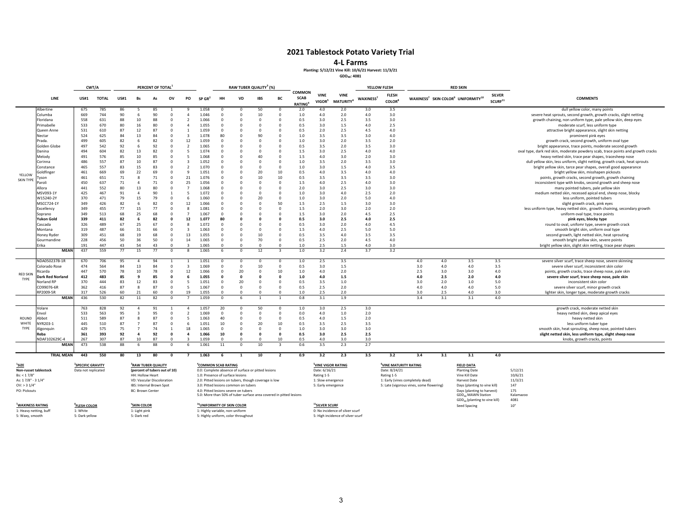#### **4‐L Farms**

**Planting: 5/12/21 Vine Kill: 10/6/21 Harvest: 11/3/21**

**GDD40: 4081**

| CWT/A<br>LINE<br><b>US#1</b>     |                              |                         |              |             | PERCENT OF TOTAL        |                               |                        |                                          |                                                                              |                                        | RAW TUBER QUALITY <sup>3</sup> (%) |                                                                    |                         |                                        |                                   |                                      | YELLOW FLESH    |                                           |                                          | <b>RED SKIN</b> |                                                                        |                                      |                                                                                                     |
|----------------------------------|------------------------------|-------------------------|--------------|-------------|-------------------------|-------------------------------|------------------------|------------------------------------------|------------------------------------------------------------------------------|----------------------------------------|------------------------------------|--------------------------------------------------------------------|-------------------------|----------------------------------------|-----------------------------------|--------------------------------------|-----------------|-------------------------------------------|------------------------------------------|-----------------|------------------------------------------------------------------------|--------------------------------------|-----------------------------------------------------------------------------------------------------|
|                                  |                              |                         | <b>TOTAL</b> | <b>US#1</b> | <b>Bs</b>               | As                            | ov                     | PO                                       | SP GR'                                                                       | HH                                     | VD                                 | <b>IBS</b>                                                         | BC                      | COMMON<br><b>SCAB</b><br><b>RATING</b> | <b>VINE</b><br>VIGOR <sup>5</sup> | <b>VINE</b><br>MATURITY <sup>6</sup> | <b>WAXINESS</b> | <b>FLESH</b><br><b>COLOR</b> <sup>8</sup> |                                          |                 | WAXINESS <sup>7</sup> SKIN COLOR <sup>9</sup> UNIFORMITY <sup>10</sup> | <b>SILVER</b><br>SCURF <sup>11</sup> | <b>COMMENTS</b>                                                                                     |
|                                  | Albertine                    | 675                     | 785          | 86          |                         | 85                            |                        | 9                                        | 1.058                                                                        |                                        | -0                                 | 50                                                                 | $\Omega$                | 2.0                                    | 4.0                               | 2.0                                  | 3.0             | 3.5                                       |                                          |                 |                                                                        |                                      | dull yellow color, many points                                                                      |
|                                  | Columba                      | 669                     | 744          | 90          | 6                       | 90                            | $\mathbf{0}$           | $\overline{a}$                           | 1.046                                                                        | $\Omega$                               | $^{\circ}$                         | 10                                                                 | $\circ$                 | 1.0                                    | 4.0                               | 2.0                                  | 4.0             | 3.0                                       |                                          |                 |                                                                        |                                      | severe heat sprouts, second growth, growth cracks, slight netting                                   |
|                                  | Floridana                    | 558                     | 631          | 88          | 10                      | 88                            | $^{\circ}$             | $\overline{\phantom{a}}$                 | 1.066                                                                        | $\Omega$                               | $\overline{0}$                     | $\Omega$                                                           | $\Omega$                | 0.5                                    | 3.0                               | 2.5                                  | 3.5             | 3.0                                       |                                          |                 |                                                                        |                                      | growth chaining, non uniform type, pale yellow skin, deep eyes                                      |
|                                  | Primabelle                   | 533                     | 670          | 80          | 16                      | 80                            | $\Omega$               | $\Delta$                                 | 1.055                                                                        | $\Omega$                               | $\Omega$                           | $\Omega$                                                           | $\Omega$                | 0.5                                    | 3.0                               | 1.5                                  | 4.0             | 2.5                                       |                                          |                 |                                                                        |                                      | moderate scurf, less uniform type                                                                   |
|                                  | Queen Anne                   | 531                     | 610          | 87          | 12                      | 87                            | $^{\circ}$             |                                          | 1.059                                                                        | $\Omega$                               | $\circ$                            | $\Omega$                                                           | $\circ$                 | 0.5                                    | 2.0                               | 2.5                                  | 4.5             | 4.0                                       |                                          |                 |                                                                        |                                      | attractive bright appearance, slight skin netting                                                   |
|                                  | Nectar                       | 524                     | 625          | 84          | 13                      | 84                            | $^{\circ}$             | $\mathbf{3}$                             | 1.078                                                                        | 80                                     | $\Omega$                           | 90                                                                 | $\Omega$                | $1.0$                                  | 3.5                               | 3.5                                  | 3.0             | 4.0                                       |                                          |                 |                                                                        |                                      | prominent pink eyes                                                                                 |
|                                  | Prada.                       | 499                     | 605          | 82          | 6                       | 82                            | $^{\circ}$             | 12                                       | 1.059                                                                        |                                        | $\Omega$                           | $\Omega$                                                           | $\Omega$                | $1.0$                                  | 3.0                               | 2.0                                  | 3.5             | 2.0                                       |                                          |                 |                                                                        |                                      | growth crack, second growth, uniform oval type                                                      |
|                                  | Golden Globe                 | 497                     | 542          | 92          | 6                       | 92                            | $\Omega$               | $\overline{\phantom{a}}$                 | 1.065                                                                        |                                        | $\Omega$                           | $\Omega$                                                           | $\Omega$                | 0.5                                    | 3.5                               | 2.0                                  | 3.5             | 3.0                                       |                                          |                 |                                                                        |                                      | bright appearance, trace points, moderate second growth                                             |
|                                  | Danina                       | 494                     | 604          | 82          | 13                      | 82                            | $^{\circ}$             | -5                                       | 1.074                                                                        | $\Omega$                               | $\Omega$                           | $\Omega$                                                           | $^{\circ}$              | $1.5$                                  | 3.0                               | 2.5                                  | $4.0\,$         | 4.0                                       |                                          |                 |                                                                        |                                      | oval type, dark red skin, moderate powdery scab, trace points and growth cracks                     |
|                                  | Melody                       | 491                     | 576          | 85          | 10                      | 85                            | $\Omega$               | 5                                        | 1.068                                                                        |                                        | $\Omega$                           | 40                                                                 | $\Omega$                | 1.5                                    | 4.0                               | 3.0                                  | 2.0             | 3.0                                       |                                          |                 |                                                                        |                                      | heavy netted skin, trace pear shapes, tracesheep nose                                               |
|                                  | Corinna                      | 486                     | 557          | 87          | 10                      | 87                            | $\Omega$               | $\mathbf{3}$<br>$\overline{\phantom{a}}$ | 1.052<br>1.070                                                               | n<br>$\Omega$                          | $\Omega$<br>$\Omega$               | $\Omega$<br>$\Omega$                                               | $\circ$<br>$\Omega$     | $1.0$                                  | 3.5                               | 2.0                                  | 3.5             | 3.0                                       |                                          |                 |                                                                        |                                      | dull yellow skin, less uniform, slight netting, growth crack, heat sprouts                          |
|                                  | Constance<br>ioldfinger      | 465<br>461              | 557<br>669   | 83<br>69    | 15<br>22                | 83<br>69                      | $^{\circ}$<br>$\Omega$ | 9                                        | 1.051                                                                        | $\Omega$                               | $\Omega$                           | 20                                                                 | 10                      | 1.0<br>0.5                             | 3.0<br>4.0                        | 1.5<br>3.5                           | 4.0<br>4.0      | 3.5<br>4.0                                |                                          |                 |                                                                        |                                      | bright yellow skin, tarce pear shapes, overall good appearance                                      |
| YELLOW                           | yson                         | 461                     | 651          | 71          | 8                       | 71                            | $\Omega$               | 21                                       | 1.076                                                                        | $\Omega$                               | $\Omega$                           | 10                                                                 | 10                      | 0.5                                    | 3.5                               | 3.5                                  | 3.5             | 3.0                                       |                                          |                 |                                                                        |                                      | bright yellow skin, misshapen pickouts<br>points, growth cracks, second growth, growth chaining     |
| <b>SKIN TYPE</b>                 | 'aroli                       | 450                     | 637          | 71          | $\overline{4}$          | 71                            | $\Omega$               | 25                                       | 1.056                                                                        |                                        | $\Omega$                           | $\Omega$                                                           | $\Omega$                | 1.5                                    | 4.0                               | 2.5                                  | 4.0             | 3.0                                       |                                          |                 |                                                                        |                                      |                                                                                                     |
|                                  | Allora                       | 441                     | 552          | 80          | 13                      | 80                            | $\Omega$               | $\overline{7}$                           | 1.068                                                                        |                                        | $\Omega$                           | $\Omega$                                                           | $\Omega$                | 2.0                                    | 3.0                               | 2.5                                  | 3.0             | 3.0                                       |                                          |                 |                                                                        |                                      | inconsistent type with knobs, second growth and sheep nose<br>many pointed tubers, pale yellow skin |
|                                  | MSV093-1Y                    | 425                     | 467          | 91          | $\overline{4}$          | 90                            | $\mathbf{1}$           | 5                                        | 1.072                                                                        | n                                      | -0                                 | $\Omega$                                                           | $\circ$                 | 1.0                                    | 3.0                               | 4.0                                  | 2.5             | 2.0                                       |                                          |                 |                                                                        |                                      | medium netted skin, recessed apical end, sheep nose, blocky                                         |
|                                  | W15240-2Y                    | 370                     | 471          | 79          | 15                      | 79                            | $\circ$                | 6                                        | 1.060                                                                        | $\Omega$                               | $\Omega$                           | 20                                                                 | $\Omega$                | 1.0                                    | 3.0                               | 2.0                                  | 5.0             | 4.0                                       |                                          |                 |                                                                        |                                      | less uniform, pointed tubers                                                                        |
|                                  | MSCC724-1Y                   | 349                     | 426          | 82          | 6                       | 82                            | $^{\circ}$             | 12                                       | 1.066                                                                        | $\Omega$                               | $^{\circ}$                         | 0                                                                  | 50                      | $1.5$                                  | 2.5                               | 1.5                                  | 3.0             | 3.0                                       |                                          |                 |                                                                        |                                      | slight growth crack, pink eyes                                                                      |
|                                  | Excellency                   | 349                     | 455          | 77          | 15                      | 77                            | $\Omega$               | $\mathbf{8}$                             | 1.081                                                                        | $\Omega$                               | $\Omega$                           | $\Omega$                                                           | $\Omega$                | 1.5                                    | 2.0                               | 3.0                                  | 2.0             | 2.0                                       |                                          |                 |                                                                        |                                      | less uniform type, heavy netted skin, growth chaining, secondary growth                             |
|                                  | Soprano                      | 349                     | 513          | 68          | 25                      | 68                            | $\Omega$               | $\overline{7}$                           | 1.067                                                                        | $\Omega$                               | $\Omega$                           | $\Omega$                                                           | $\Omega$                | 1.5                                    | 3.0                               | 2.0                                  | 4.5             | 2.5                                       |                                          |                 |                                                                        |                                      | uniform oval type, trace points                                                                     |
|                                  | Yukon Gold                   | 339                     | 411          | 82          | 6                       | 82                            | $\mathbf{0}$           | 12                                       | 1.077                                                                        | 80                                     | $\mathbf{0}$                       | 0                                                                  | 0                       | 0.5                                    | 3.0                               | 2.5                                  | 4.0             | 2.5                                       |                                          |                 |                                                                        |                                      | pink eyes, blocky type                                                                              |
|                                  | Cascada                      | 326                     | 489          | 67          | 25                      | 67                            | $\Omega$               | 8                                        | 1.072                                                                        | $\Omega$                               | $\Omega$                           | $\Omega$                                                           | $\Omega$                | 0.5                                    | 3.0                               | 2.0                                  | 4.0             | 4.5                                       |                                          |                 |                                                                        |                                      | round to oval, unifomr type, severe growth crack                                                    |
|                                  | Montana                      | 319                     | 487          | 66          | 31                      | 66                            | $^{\circ}$             | $\mathbf{3}$                             | 1.063                                                                        | $\Omega$                               | $\Omega$                           | $\Omega$                                                           | $\circ$                 | 1.5                                    | 4.0                               | 2.5                                  | 5.0             | 5.0                                       |                                          |                 |                                                                        |                                      | smooth bright skin, uniform oval type                                                               |
|                                  | Honey Ryder                  | 309                     | 451          | 68          | 19                      | 68                            | $\circ$                | 13                                       | 1.055                                                                        | $\Omega$                               | $\Omega$                           | 10                                                                 | $\Omega$                | 0.5                                    | 3.5                               | 4.0                                  | 3.5             | 3.5                                       |                                          |                 |                                                                        |                                      | second growth, light netted skin, heat sprouting                                                    |
|                                  | Gourmandine                  | 228                     | 456          | 50          | 36                      | 50                            | $^{\circ}$             | 14                                       | 1.065                                                                        | $\Omega$                               | $\Omega$                           | 70                                                                 | $\Omega$                | 0.5                                    | 2.5                               | 2.0                                  | 4.5             | 4.0                                       |                                          |                 |                                                                        |                                      | smooth bright yellow skin, severe points                                                            |
|                                  | Erika                        | 191                     | 447          | 43          | 54                      | 43                            | $\Omega$               | $\mathbf{3}$                             | 1.065                                                                        |                                        | $\Omega$                           | $\Omega$                                                           | $\Omega$                | 1.0                                    | 2.5                               | 1.5                                  | 4.0             | 3.0                                       |                                          |                 |                                                                        |                                      | bright yellow skin, slight skin netting, trace pear shapes                                          |
|                                  | <b>MEAN</b>                  | 437                     | 559          | 77          | 15                      | 77                            | $\Omega$               | $\mathbf{8}$                             | 1.065                                                                        | $\mathbf{f}$                           | $^{\circ}$                         | 12                                                                 | $\overline{\mathbf{3}}$ | $1.0$                                  | 3.2                               | 2.4                                  | 3.7             | 3.2                                       |                                          |                 |                                                                        |                                      |                                                                                                     |
|                                  | NDA050237B-1R                | 670                     | 706          | 95          | $\overline{4}$          | 94                            |                        |                                          | 1.051                                                                        | $\Omega$                               | $\Omega$                           | $\Omega$                                                           | $\Omega$                | 1.0                                    | 2.5                               | 3.5                                  |                 |                                           | 4.0                                      | 4.0             | 3.5                                                                    | 3.5                                  | severe silver scurf, trace sheep nose, severe skinning                                              |
|                                  | Colorado Rose                | 474                     | 564          | 84          | 13                      | 84                            | $\mathbf 0$            | $\overline{\mathbf{3}}$                  | 1.069                                                                        | $\Omega$                               | $^{\circ}$                         | 10                                                                 | $^{\circ}$              | 0.5                                    | 3.0                               | 1.5                                  |                 |                                           | 3.0                                      | 4.0             | 4.0                                                                    | 3.5                                  | severe silver scurf, inconsistent skin color                                                        |
| <b>RED SKIN</b>                  | licarda                      | 447                     | 570          | 78          | 10                      | 78                            | $^{\circ}$             | 12                                       | 1.066                                                                        | $\Omega$                               | 20                                 | $\Omega$                                                           | 10                      | 1.0                                    | 4.0                               | 2.0                                  |                 |                                           | 2.5                                      | 3.0             | 3.0                                                                    | 4.0                                  | points, growth cracks, trace sheep nose, pale skin                                                  |
| TYPE                             | Dark Red Norland             | 412                     | 483          | 85          | 9                       | 85                            | $\Omega$               | 6                                        | 1.055                                                                        | $\Omega$                               | $\mathbf{0}$                       | o                                                                  | $\Omega$                | $1.0$                                  | 4.0                               | 1.5                                  |                 |                                           | 4.0                                      | 2.5             | 2.0                                                                    | 4.0                                  | severe silver scurf, trace sheep nose, pale skin                                                    |
|                                  | Norland RP                   | 370                     | 444          | 83          | 12                      | 83                            | $\circ$                | 5                                        | 1.051                                                                        | $\Omega$                               | 20                                 | $\circ$                                                            | $^{\circ}$              | 0.5                                    | 3.5                               | 1.0                                  |                 |                                           | 3.0                                      | 2.0             | 1.0                                                                    | 5.0                                  | inconsistent skin color                                                                             |
|                                  | CO99076-6R                   | 362                     | 416          | 87          | $\boldsymbol{8}$        | 87                            | $^{\circ}$             | -5                                       | 1.067                                                                        | $\Omega$                               | $\Omega$                           | $\Omega$                                                           | $\Omega$                | 0.5                                    | 2.5                               | 2.0                                  |                 |                                           | 4.0                                      | 4.0             | 4.0                                                                    | 5.0                                  | severe silver scurf, minor growth crack                                                             |
|                                  | RP2009-5R                    | 317                     | 526          | 60          | 21                      | 60                            | $\Omega$               | 19                                       | 1.055                                                                        |                                        | $\Omega$                           | $\Omega$                                                           | $\Omega$                | $1.0$                                  | 2.5                               | 2.0                                  |                 |                                           | 3.0                                      | 2.5             | 4.0                                                                    | 3.0                                  | lighter skin, longer type, moderate growth cracks                                                   |
|                                  | <b>MEAN</b>                  | 436                     | 530          | 82          | 11                      | 82                            | $\Omega$               |                                          | 1.059                                                                        | $\Omega$                               | 6                                  | $\overline{1}$                                                     | $\overline{1}$          | 0.8                                    | 3.1                               | 1.9                                  |                 |                                           | 3.4                                      | 3.1             | 3.1                                                                    | 4.0                                  |                                                                                                     |
|                                  | Volare                       | 763                     | 828          | 92          | $\overline{4}$          | 91                            | -1                     | $\overline{a}$                           | 1.057                                                                        | -20                                    | $^{\circ}$                         | 50                                                                 | $^{\circ}$              | 1.0                                    | 3.0                               | 2.5                                  | 3.0             |                                           |                                          |                 |                                                                        |                                      | growth crack, moderate netted skin                                                                  |
|                                  | Envol                        | 533                     | 563          | 95          | $\overline{\mathbf{3}}$ | 95                            | $\Omega$               | $\overline{\phantom{a}}$                 | 1.069                                                                        | $\Omega$                               | $\Omega$                           | $\Omega$                                                           | $^{\circ}$              | 0.0                                    | 4.0                               | 1.0                                  | 2.0             |                                           |                                          |                 |                                                                        |                                      | heavy netted skin, deep apical eyes                                                                 |
| ROUND                            | <b>bbot</b>                  | 511                     | 589          | 87          | 8                       | 87                            | $^{\circ}$             | 5                                        | 1.063                                                                        | 40                                     | $^{\circ}$                         | $\Omega$                                                           | $\circ$                 | 0.5                                    | 4.0                               | 1.5                                  | 2.0             |                                           |                                          |                 |                                                                        |                                      | heavy netted skin                                                                                   |
| WHITE                            | NYR203-1                     | 445                     | 510          | 87          | $\overline{7}$          | 87                            | $\Omega$               | $6 \theta$                               | 1.051                                                                        | 10                                     | $\Omega$                           | 20                                                                 | 10                      | 0.5                                    | 3.5                               | 2.5                                  | 3.5             |                                           |                                          |                 |                                                                        |                                      | less uniform tuber type                                                                             |
| TYPE                             | <b>Algonquin</b>             | 429                     | 575          | 75          | $\overline{7}$          | 74                            | $\mathbf{1}$           | 18                                       | 1.065                                                                        | $\Omega$                               | $\Omega$                           | $\Omega$                                                           | $\Omega$                | $1.0\,$                                | 3.0                               | 3.0                                  | 3.0             |                                           |                                          |                 |                                                                        |                                      | smooth skin, heat sprouting, sheep nose, pointed tubers                                             |
|                                  | Reba                         | 361                     | 393          | 92          | $\overline{a}$          | 92                            | $\mathbf 0$            | $\overline{\mathbf{4}}$                  | 1.066                                                                        | 10                                     | $\Omega$                           | 0                                                                  | $\Omega$                | 0.5                                    | 3.0                               | 2.5                                  | 2.5             |                                           |                                          |                 |                                                                        |                                      | slight netted skin, less uniform type, slight sheep nose                                            |
|                                  | NDAF102629C-4<br><b>MEAN</b> | 267<br>473              | 307<br>538   | 87<br>88    | 10<br>6                 | 87<br>88                      | $\Omega$<br>$\Omega$   | $\overline{\mathbf{z}}$<br>$6 \theta$    | 1.059<br>1.061                                                               | $\Omega$<br>11                         | $\Omega$<br>$\Omega$               | $\Omega$<br>10                                                     | 10<br>$\overline{3}$    | 0.5<br>0.6                             | 4.0<br>3.5                        | 3.0<br>2.3                           | 3.0<br>2.7      |                                           |                                          |                 |                                                                        |                                      | knobs, growth cracks, points                                                                        |
|                                  |                              |                         |              |             |                         |                               |                        |                                          |                                                                              |                                        |                                    |                                                                    |                         |                                        |                                   |                                      |                 |                                           |                                          |                 |                                                                        |                                      |                                                                                                     |
|                                  | <b>TRIAL MEAN</b>            | 443                     | 550          | 80          | 13                      | 80                            | $\mathbf{0}$           | $\overline{7}$                           | 1.063                                                                        | 6                                      | 1                                  | 10                                                                 | $\overline{2}$          | 0.9                                    | 3.2                               | 2.3                                  | 3.5             | 3.2                                       | 3.4                                      | 3.1             | 3.1                                                                    | 4.0                                  |                                                                                                     |
| <sup>1</sup> SIZE                |                              | <b>SPECIFIC GRAVITY</b> |              |             |                         | <b>RAW TUBER QUALITY</b>      |                        |                                          | <sup>4</sup> COMMON SCAB RATING                                              |                                        |                                    |                                                                    |                         |                                        | VINE VIGOR RATING                 |                                      |                 | VINE MATURITY RATING                      |                                          |                 | <b>FIELD DATA</b>                                                      |                                      |                                                                                                     |
| Non-russet tablestock            |                              | Data not replicated     |              |             |                         | (percent of tubers out of 10) |                        |                                          |                                                                              |                                        |                                    | 0.0: Complete absence of surface or pitted lesions                 |                         |                                        | Date: 6/16/21                     |                                      |                 | Date: 8/24/21                             |                                          |                 | <b>Planting Date</b>                                                   |                                      | 5/12/21                                                                                             |
| Bs: < 1.7/8                      |                              |                         |              |             | HH: Hollow Heart        |                               |                        |                                          | 1.0: Presence of surface lesions                                             |                                        |                                    |                                                                    |                         |                                        | Rating 1-5                        |                                      |                 | Rating 1-5                                |                                          |                 | Vine Kill Date                                                         |                                      | 10/6/21                                                                                             |
| As: 17/8" - 3 1/4"               |                              |                         |              |             |                         | VD: Vascular Discoloration    |                        |                                          |                                                                              |                                        |                                    | 2.0: Pitted lesions on tubers, though coverage is low              |                         |                                        | 1: Slow emergence                 |                                      |                 |                                           | 1: Early (vines completely dead)         |                 | <b>Harvest Date</b>                                                    |                                      | 11/3/21<br>147                                                                                      |
| $OV:$ > 3 $1/4"$<br>PO: Pickouts |                              |                         |              |             | <b>BC: Brown Center</b> | IBS: Internal Brown Spot      |                        |                                          | 3.0: Pitted lesions common on tubers<br>4.0: Pitted lesions severe on tubers |                                        |                                    |                                                                    |                         |                                        | 5: Early emergence                |                                      |                 |                                           | 5: Late (vigorous vines, some flowering) |                 | Days (planting to vine kill)<br>Days (planting to harvest)             |                                      | 175                                                                                                 |
|                                  |                              |                         |              |             |                         |                               |                        |                                          |                                                                              |                                        |                                    | 5.0: More than 50% of tuber surface area covered in pitted lesions |                         |                                        |                                   |                                      |                 |                                           |                                          |                 | GDD <sub>40</sub> MAWN Station                                         |                                      | Kalamazoo                                                                                           |
|                                  |                              |                         |              |             |                         |                               |                        |                                          |                                                                              |                                        |                                    |                                                                    |                         |                                        |                                   |                                      |                 |                                           |                                          |                 | GDD <sub>40</sub> (planting to vine kill)                              |                                      | 4081                                                                                                |
| <b>WAXINESS RATING</b>           |                              | <b>FLESH COLOR</b>      |              |             | <b>SKIN COLOR</b>       |                               |                        |                                          |                                                                              | <sup>10</sup> UNIFORMITY OF SKIN COLOR |                                    |                                                                    |                         |                                        | <sup>11</sup> SILVER SCURF        |                                      |                 |                                           |                                          |                 | <b>Seed Spacing</b>                                                    |                                      | $10"$                                                                                               |
| 1: Heavy netting, buff           |                              | 1: White                |              |             | 1: Light pink           |                               |                        |                                          | 1: Highly variable, non-uniform                                              |                                        |                                    |                                                                    |                         |                                        |                                   | 0: No incidence of silver scurf      |                 |                                           |                                          |                 |                                                                        |                                      |                                                                                                     |
| 5: Waxy, smooth                  |                              | 5: Dark yellow          |              |             | 5: Dark red             |                               |                        |                                          | 5: Highly uniform, color throughout                                          |                                        |                                    |                                                                    |                         |                                        |                                   | 5: High incidence of silver scurf    |                 |                                           |                                          |                 |                                                                        |                                      |                                                                                                     |

0: No incidence of silver scurf<br>5: High incidence of silver scurf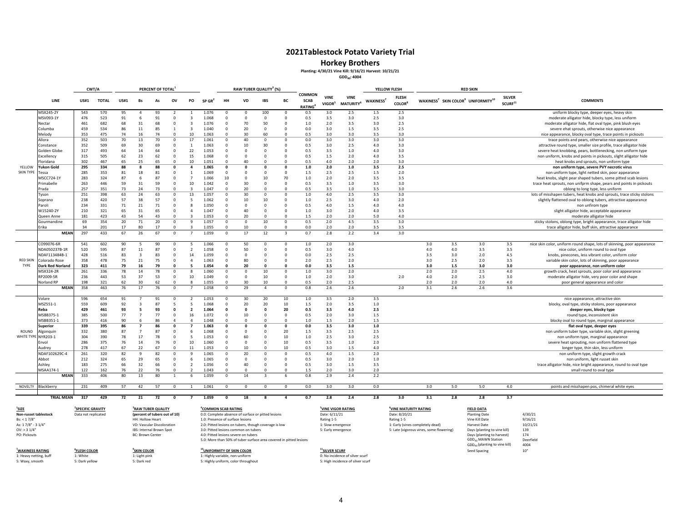**Horkey Brothers**

**Planting: 4/30/21 Vine Kill: 9/16/21 Harvest: 10/21/21**

**GDD40: 4004**

|                            |                                 | CWT/A       |              |             |                | PERCENT OF TOTAL |                      |                         |                |                      |                         | RAW TUBER QUALITY <sup>3</sup> (%) |                     |                                               |                            |                                             | YELLOW FLESH                |                                           |            |            | <b>RED SKIN</b>                                                        |                                      |                                                                                                             |
|----------------------------|---------------------------------|-------------|--------------|-------------|----------------|------------------|----------------------|-------------------------|----------------|----------------------|-------------------------|------------------------------------|---------------------|-----------------------------------------------|----------------------------|---------------------------------------------|-----------------------------|-------------------------------------------|------------|------------|------------------------------------------------------------------------|--------------------------------------|-------------------------------------------------------------------------------------------------------------|
|                            | LINE                            | <b>US#1</b> | <b>TOTAL</b> | <b>US#1</b> | Bs             | As               | ov                   | PO                      | SP GR          | HH                   | VD                      | IBS                                | BC                  | <b>COMMON</b><br><b>SCAB</b><br><b>RATING</b> | VINE<br>VIGOR <sup>5</sup> | <b>VINE</b><br><b>MATURITY</b> <sup>6</sup> | <b>WAXINESS<sup>7</sup></b> | <b>FLESH</b><br><b>COLOR</b> <sup>8</sup> |            |            | WAXINESS <sup>7</sup> SKIN COLOR <sup>9</sup> UNIFORMITY <sup>10</sup> | <b>SILVER</b><br>SCURF <sup>11</sup> | <b>COMMENTS</b>                                                                                             |
|                            | MSX245-2Y                       | 543         | 570          | 95          | $\overline{4}$ | 93               |                      |                         | 1.076          | $^{\circ}$           | $^{\circ}$              | 100                                | $^{\circ}$          | 0.5                                           | 3.0                        | 2.5                                         | 1.5                         | 2.5                                       |            |            |                                                                        |                                      | uniform blocky type, deeper eyes, heavy skin                                                                |
|                            | MSV093-1Y                       | 476         | 523          | 91          | - 6            | 91               | 0                    |                         | 1.068          | $^{\circ}$           | $^{\circ}$              | $^{\circ}$                         | $\mathbf{0}$        | 0.5                                           | 3.5                        | 3.0                                         | 2.5                         | 3.0                                       |            |            |                                                                        |                                      | moderate alligator hide, blocky type, less uniform                                                          |
|                            | Nectar                          | 461         | 682          | 68          | 31             | 68               | 0                    | 3                       | 1.076          | $^{\circ}$           | 70                      | 50                                 | $\Omega$            | 1.0                                           | 2.0                        | 3.5                                         | 3.0                         | 2.5                                       |            |            |                                                                        |                                      | moderate alligator hide, flat oval type, pink blush eyes                                                    |
|                            | Columba                         | 459         | 534          | 86          | 11             | 85               |                      | $\overline{\mathbf{3}}$ | 1.040          | $\Omega$             | 20                      | $\Omega$                           | $\Omega$            | 0.0                                           | 3.0                        | 1.5                                         | 3.5                         | 2.5                                       |            |            |                                                                        |                                      | severe ehat sprouts, otherwise nice appearance                                                              |
|                            | Melody                          | 353         | 475          | 74          | 16             | 74               | $\Omega$             | 10                      | 1.063          | $\Omega$             | 30                      | 60                                 | $\Omega$            | 0.5                                           | 3.0                        | 3.0                                         | 3.5                         | 3.0                                       |            |            |                                                                        |                                      | nice appearance, blocky oval type, trace points in pickouts                                                 |
|                            | Allora                          | 352         | 503          | 70          | 13             | 70               | $\Omega$             | 17                      | 1.061          | $\Omega$             | 40                      | $\Omega$                           | $^{\circ}$          | 0.0                                           | 3.0                        | 3.0                                         | 3.0                         | 3.0                                       |            |            |                                                                        |                                      | trace points and pears, otherwise nice appearance                                                           |
|                            | Constance                       | 352         | 509          | 69          | 30             | 69               | $\Omega$             | $\overline{1}$          | 1.063          | $\Omega$             | 10                      | 30                                 | $\Omega$            | 0.5                                           | 3.0                        | 2.5                                         | 4.0                         | 3.0                                       |            |            |                                                                        |                                      | attractive round type, smaller size profile, trace alligator hide                                           |
|                            | Golden Globe                    | 317         | 493          | 64          | 14             | 64               | 0                    | 22                      | 1.053          | $\Omega$             | $^{\circ}$              | $\Omega$                           | $\Omega$            | 0.5                                           | 3.5                        | 1.0                                         | 4.0                         | 3.0                                       |            |            |                                                                        |                                      | severe heat knobbing, pears, bottlenecking, non uniform type                                                |
|                            | Excellency                      | 315         | 505          | 62          | 23             | 62               | $\Omega$             | 15                      | 1.068          | $\Omega$             | $\Omega$                | $\Omega$                           | $\Omega$            | 0.5                                           | 1.5                        | 2.0                                         | 4.0                         | 3.5                                       |            |            |                                                                        |                                      | non uniform, knobs and points in pickouts, slight alligator hide                                            |
|                            | loridana                        | 302         | 467          | 65          | 25             | 65               | $\Omega$             | 10                      | 1.051          | $\Omega$             | 40                      | $\Omega$                           | $\Omega$            | 0.5                                           | 4.0                        | 2.0                                         | 2.0                         | 3.0                                       |            |            |                                                                        |                                      | heat knobs and sprouts, non uniform type                                                                    |
| YELLOW<br><b>SKIN TYPE</b> | ukon Gold                       | 295         | 334          | 88          | 8              | 88               | $\Omega$             | 4                       | 1.065          | $\Omega$             | $\Omega$                | $\Omega$                           | $\Omega$            | 1.0                                           | 2.0                        | 1.0                                         | 3.5                         | 2.5                                       |            |            |                                                                        |                                      | non uniform type, severe PVY necrotic virus                                                                 |
|                            | Tessa                           | 285         | 353          | 81          | 18             | 81               | $\Omega$             | $\overline{7}$          | 1.069          | $\Omega$             | $\Omega$                | $\Omega$                           | $\Omega$            | 1.5                                           | 2.5                        | 2.5                                         | 1.5                         | 2.0                                       |            |            |                                                                        |                                      | non uniform type, light netted skin, poor appearance                                                        |
|                            | <b>MSCC724-1Y</b><br>Primabelle | 283<br>263  | 324<br>446   | 87<br>59    | 6<br>31        | 87<br>59         | $\Omega$<br>$\Omega$ | 10                      | 1.066<br>1.042 | 10<br>$\Omega$       | $\Omega$<br>30          | 10<br>$\Omega$                     | 70<br>$\Omega$      | 1.0<br>0.5                                    | 2.0<br>3.5                 | 2.0<br>1.0                                  | 3.5<br>3.5                  | 3.5<br>3.0                                |            |            |                                                                        |                                      | heat knobs, slight pear shaped tubers, some pitted scab lesions                                             |
|                            | Prada                           | 257         | 351          | 73          | 24             | 73               | 0                    | 3                       | 1.047          | $^{\circ}$           | 20                      | $^{\circ}$                         | $\Omega$            | 0.5                                           | 3.5                        | 1.0                                         | 3.5                         | 3.0                                       |            |            |                                                                        |                                      | trace heat sprouts, non unifprm shape, pears and points in pickouts                                         |
|                            | Tyson                           | 251         | 398          | 63          | 24             | 63               | $\Omega$             | 13                      | 1.057          | 0                    | 30                      | $\Omega$                           | $^{\circ}$          | 1.0                                           | 4.0                        | 2.5                                         | 3.5                         | 3.0                                       |            |            |                                                                        |                                      | oblong to long type, less uniform<br>lots of misshapen tubers, heat knobs and sprouts, trace sticky stolons |
|                            | Soprano                         | 238         | 420          | 57          | 38             | 57               | $\Omega$             | 5                       | 1.062          | $\Omega$             | 10                      | 10                                 | $\Omega$            | 1.0                                           | 2.5                        | 3.0                                         | 4.0                         | 2.0                                       |            |            |                                                                        |                                      | slightly flattened oval to oblong tubers, attractive appearance                                             |
|                            | Paroli                          | 234         | 331          | 71          | 21             | 71               | 0                    | 8                       | 1.050          | $^{\circ}$           | $^{\circ}$              | $\Omega$                           | $\Omega$            | 0.5                                           | 4.0                        | 1.5                                         | 4.0                         | 4.0                                       |            |            |                                                                        |                                      | non unfirom type                                                                                            |
|                            | W15240-2Y                       | 210         | 321          | 65          | 31             | 65               | $\Omega$             | $\overline{a}$          | 1.047          | $\Omega$             | 40                      | $\Omega$                           | $\Omega$            | 1.0                                           | 3.0                        | 2.0                                         | 4.0                         | 3.5                                       |            |            |                                                                        |                                      | slight alligator hide, acceptable appearance                                                                |
|                            | Queen Anne                      | 181         | 423          | 43          | 54             | 43               | $\Omega$             | $\mathbf{R}$            | 1.053          | $\Omega$             | 20                      | $\Omega$                           | $\Omega$            | 1.5                                           | 2.0                        | 2.0                                         | 5.0                         | 4.0                                       |            |            |                                                                        |                                      | moderate alligator hide                                                                                     |
|                            | Gourmandine                     | 69          | 354          | 20          | 71             | 20               | $\Omega$             | 9                       | 1.057          | $\Omega$             | $\Omega$                | 10                                 | $\Omega$            | 0.5                                           | 2.0                        | 4.5                                         | 3.5                         | 3.0                                       |            |            |                                                                        |                                      | sticky stolons, oblong type, bright appearance, trace alligator hide                                        |
|                            | rika                            | 34          | 201          | 17          | 80             | 17               | $\Omega$             |                         | 1.055          | $\Omega$             | 10                      | $\Omega$                           | $\Omega$            | 0.0                                           | 2.0                        | 2.0                                         | 3.5                         | 3.5                                       |            |            |                                                                        |                                      | trace alligator hide, buff skin, attractive appearance                                                      |
|                            | <b>MEAN</b>                     | 297         | 433          | 67          | 26             | 67               | $\Omega$             |                         | 1.059          | $\overline{0}$       | 17                      | 12                                 | $\overline{3}$      | 0.7                                           | 2.8                        | 2.2                                         | 3.4                         | 3.0                                       |            |            |                                                                        |                                      |                                                                                                             |
|                            |                                 |             |              |             |                |                  |                      |                         |                |                      |                         |                                    |                     |                                               |                            |                                             |                             |                                           |            |            |                                                                        |                                      |                                                                                                             |
|                            | CO99076-6R                      | 541         | 602          | 90          | -5             | 90               | 0                    | 5                       | 1.066          | $\overline{0}$       | 50                      | 0                                  | $^{\circ}$          | 1.0                                           | 2.0                        | 3.0                                         |                             |                                           | 3.0        | 3.5        | 3.0                                                                    | 3.5                                  | nice skin color, uniform round shape, lots of skinning, poor appearance                                     |
|                            | NDA050237B-1R                   | 520         | 595          | 87          | 11             | 87               | 0                    | 2                       | 1.058          | $^{\circ}$           | 50                      | 0                                  | $\Omega$            | 0.5                                           | 3.0                        | 4.0                                         |                             |                                           | 4.0        | 4.0        | 3.5                                                                    | 3.5                                  | nice color, uniform round to oval type                                                                      |
|                            | NDAF113484B-1                   | 428         | 516          | 83          | 3              | 83               | $\Omega$             | 14                      | 1.059          | $\Omega$             | $\mathbf 0$             | $\Omega$                           | $\Omega$            | 0.0                                           | 2.5                        | 2.5                                         |                             |                                           | 3.5        | 3.0        | 2.0                                                                    | 4.5                                  | knobs, pinecones, less vibrant color, uniform color                                                         |
| <b>RED SKIN</b><br>TYPE    | Colorado Rose                   | 358         | 478          | 75          | 21             | 75               | 0                    | 4                       | 1.063          | $^{\circ}$           | 80                      | $^{\circ}$                         | $\mathbf{0}$        | 2.0                                           | 2.5                        | 2.0                                         |                             |                                           | 3.0        | 2.5        | 2.0                                                                    | 3.5                                  | variable skin color, lots of skinning, poor appearance                                                      |
|                            | Dark Red Norland                | 323         | 411          | 79          | 16             | 79               | $\Omega$<br>$\Omega$ |                         | 1.054          | $\Omega$<br>$\Omega$ | 20<br>$\Omega$          | n                                  | 0<br>$\Omega$       | 0.0                                           | 3.5                        | 1.5                                         |                             |                                           | 3.0        | $1.5$      | 3.0                                                                    | 3.0                                  | poor appearance, non uniform color                                                                          |
|                            | MSX324-2R<br>RP2009-5R          | 261<br>236  | 336<br>443   | 78<br>53    | 14<br>37       | 78<br>53         | $^{\circ}$           | -8<br>10                | 1.060<br>1.049 | $^{\circ}$           | $\overline{\mathbf{0}}$ | 10<br>10                           | $\Omega$            | 1.0<br>1.0                                    | 3.0<br>2.0                 | 2.0<br>3.0                                  |                             | 2.0                                       | 2.0<br>4.0 | 2.0<br>2.0 | 2.5<br>2.5                                                             | 4.0<br>3.0                           | growth crack, heat sprouts, poor color and appearance                                                       |
|                            | Norland RP                      | 198         | 321          | 62          | 30             | 62               | $\Omega$             |                         | 1.055          | $\Omega$             | 30                      | 10                                 | $\Omega$            | 0.5                                           | 2.0                        | 2.5                                         |                             |                                           | 2.0        | 2.0        | 2.0                                                                    | 4.0                                  | moderate alligator hide, very poor color and shape                                                          |
|                            | <b>MEAN</b>                     | 358         | 463          | 76          | 17             | 76               | $\Omega$             |                         | 1.058          | $\Omega$             | 29                      | $\Delta$                           | $\Omega$            | 0.8                                           | 2.6                        | 2.6                                         |                             | 2.0                                       | 3.1        | 2.6        | 2.6                                                                    | 3.6                                  | poor general appearance and color                                                                           |
|                            |                                 |             |              |             |                |                  |                      |                         |                |                      |                         |                                    |                     |                                               |                            |                                             |                             |                                           |            |            |                                                                        |                                      |                                                                                                             |
|                            | Volare                          | 596         | 654          | 91          |                | 91               | $\Omega$             |                         | 1.053          | $\overline{0}$       | 30                      | 20                                 | 10                  | 1.0                                           | 3.5                        | 2.0                                         | 3.5                         |                                           |            |            |                                                                        |                                      | nice appearance, attractive skin                                                                            |
|                            | MSZ551-1                        | 559         | 609          | 92          | 3              | 87               | 5                    | 5                       | 1.068          | $\Omega$             | 20                      | 20                                 | 10                  | 1.5                                           | 2.0                        | 3.5                                         | $1.0$                       |                                           |            |            |                                                                        |                                      | blocky, oval type, sticky stolons, poor appearance                                                          |
|                            | Reba                            | 429         | 461          | 93          | 5              | 93               | $\Omega$             | $\overline{2}$          | 1.064          | $\Omega$             | $\Omega$                | $\Omega$                           | 20                  | 0.5                                           | 3.5                        | 4.0                                         | 2.5                         |                                           |            |            |                                                                        |                                      | deeper eyes, blocky type                                                                                    |
|                            | MSBB375-1                       | 385         | 500          | 77          | $\overline{7}$ | 77               | 0                    | 16                      | 1.072          | $^{\circ}$           | 10                      | $^{\circ}$                         | $\mathbf{0}$        | 0.5                                           | 2.0                        | 3.0                                         | 1.5                         |                                           |            |            |                                                                        |                                      | round type, inconsistent skin                                                                               |
|                            | MSBB351-1                       | 373         | 416          | 90          | 6              | 86               | Δ                    | $\overline{4}$          | 1.048          | $\Omega$             | $\Omega$                | $\Omega$                           | $\Omega$            | 1.0                                           | 1.5                        | 2.0                                         | $1.5$                       |                                           |            |            |                                                                        |                                      | blocky oval to round type, marginal appearance                                                              |
|                            | iuperior                        | 339         | 395          | 86          | 7              | 86               | 0                    |                         | 1.063          | $\Omega$             | $\Omega$                | 0                                  | $\Omega$            | 0.0                                           | 3.5                        | 3.0                                         | 1.0                         |                                           |            |            |                                                                        |                                      | flat oval type, deeper eyes                                                                                 |
| ROUND<br>WHITE TYPE        | <b>Mgonquin</b>                 | 332         | 380          | 87          | 7              | 87               | 0                    | 6                       | 1.068          | $\Omega$             | $\Omega$                | $\Omega$<br>$\Omega$               | 20                  | 1.5                                           | 3.5                        | 2.5                                         | 2.5                         |                                           |            |            |                                                                        |                                      | non uniform tuber type, variable skin, slight greening                                                      |
|                            | NYR203-1                        | 304         | 390          | 78          | 17             | 78               | $\Omega$             | 5                       | 1.053          | $\Omega$             | 60<br>$\Omega$          |                                    | 10                  | 1.0                                           | 2.5                        | 3.0                                         | 2.5                         |                                           |            |            |                                                                        |                                      | non uniform type, marginal appearance                                                                       |
|                            | Envol<br>Audrev                 | 286<br>278  | 375<br>417   | 76<br>67    | 14<br>22       | 76<br>67         | $\Omega$<br>$\Omega$ | 10                      | 1.060<br>1.053 | $\Omega$<br>$\Omega$ | 10                      | $\Omega$<br>$\Omega$               | 10<br>10            | 0.5<br>0.5                                    | 3.5<br>3.0                 | 1.0<br>1.5                                  | 2.0<br>4.0                  |                                           |            |            |                                                                        |                                      | severe heat sprouting, non uniform flattened type                                                           |
|                            |                                 |             |              |             | 9              |                  | $\Omega$             | 11<br>$\mathbf{q}$      | 1.065          | $\Omega$             |                         | $\Omega$                           | $\Omega$            |                                               | 4.0                        |                                             |                             |                                           |            |            |                                                                        |                                      | longer type, thin skin, less uniform                                                                        |
|                            | NDAF102629C-4<br>Abbot          | 261<br>212  | 320<br>324   | 82<br>65    | 29             | 82<br>65         | $\Omega$             | 6                       | 1.065          | $\Omega$             | 20<br>$\Omega$          | $\Omega$                           | $\Omega$            | 0.5<br>0.5                                    | 3.0                        | 1.5<br>2.0                                  | 2.0<br>1.0                  |                                           |            |            |                                                                        |                                      | non uniform type, slight growth crack                                                                       |
|                            | Ashley                          | 183         | 275          | 66          | 32             | 66               | 0                    | $\overline{2}$          | 1.056          | $^{\circ}$           | 40                      | $\Omega$                           | $\mathbf{0}$        | 0.5                                           | 3.0                        | 1.5                                         | 3.5                         |                                           |            |            |                                                                        |                                      | non uniform, light russet skin                                                                              |
|                            | MSAA174-1                       | 122         | 162          | 76          | 22             | 76               | $\Omega$             |                         | 1.043          | $\Omega$             | $\Omega$                | $\Omega$                           | $\Omega$            | 1.5                                           | 2.0                        | 3.0                                         | 2.0                         |                                           |            |            |                                                                        |                                      | trace alligator hide, nice bright appearance, round to oval type<br>small round to oval type                |
|                            | <b>MEAN</b>                     | 333         | 406          | 80          | 13             | 80               |                      | - 6                     | 1.059          | $\Omega$             | 14                      |                                    | -6                  | 0.8                                           | 2.9                        | 2.4                                         | 2.2                         |                                           |            |            |                                                                        |                                      |                                                                                                             |
|                            |                                 |             |              |             |                |                  |                      |                         |                |                      |                         |                                    |                     |                                               |                            |                                             |                             |                                           |            |            |                                                                        |                                      |                                                                                                             |
| NOVELTY                    | Blackberry                      | 231         | 409          | 57          | 42             | 57               | $^{\circ}$           |                         | 1.061          | $^{\circ}$           | $\mathbf 0$             | $^{\circ}$                         | $\mathbf 0$         | 0.0                                           | 3.0                        | 3.0                                         | 0.0                         |                                           | 3.0        | 5.0        | 5.0                                                                    | 4.0                                  | points and misshapen pos, chimeral white eyes                                                               |
|                            |                                 |             |              |             |                |                  |                      |                         |                |                      |                         |                                    |                     |                                               |                            |                                             |                             |                                           |            |            |                                                                        |                                      |                                                                                                             |
|                            | <b>TRIAL MEAN</b>               | 317         | 429          | 72          | 21             | 72               | 0                    |                         | 1.059          | $\mathbf{0}$         | 18                      | 8                                  | $\overline{\bf{4}}$ | 0.7                                           | 2.8                        | 2.4                                         | 2.8                         | 3.0                                       | 3.1        | 2.8        | 2.8                                                                    | 3.7                                  |                                                                                                             |

**1SIZE 2SPECIFICNon‐russet tablestock**Bs: < 1 7/8" HH: HollowAs: 1OV: > 3PO: Pickouts

**WAXINESS RATING**<br>1: Heavy netting, bu **9SKIN8FLESH COLOR** 5: Waxy, smooth

5: Dark yellow

**EXPECIFIC GRAVITY**<br>
Data not replicated **Figure 1 SEARCH (percent of tubers out of 10) TUBERR AND AND AND AND AND AND AND AND SERVICE <b>AND AND AND AND SERVICE ARTING 6COMMON SCAB RATING CONTA Planting** Date<br> **Date:** 8/20/21 **Date:** 8/20/21 Data not replicated **(percent of tubers out of 10)** 0.0: Complete absence of surface or pitted lesions Date: 6/11/21 Date: 8/20/21 Planting Date 4/30/21 Planting Date 4/30/21 HH: Hollow Heart 1.0: Presence of surface lesio HH: Hollow Heart 1.0: Presence of surface lesions and particle state of the Rating 1‐5 Rating 1‐5 Rating 1‐5 Rating 1‐5 Rating 1‐5 Vine Kill Date 9/16/21 Pune State 9/16/21 Pune State 10/21/21 Rating 1‐5 Rating 1‐5 Rating 7/8" ‐ 3 1/4" VD: Vascular Discoloration 2.0: Pitted lesions on tubers, though coverage is low 1: Slow emergence 1: Early (vines completely dead) Harvest Date 10/21/21 BC: Brown Center A.0: Pitted lesions severe on tubers<br>4.0: Pitted lesions severe on tubers<br>Debays Days (planting to harvest) 174, per surface area covered in pitted lesions GDD401 314, per surface area covered in pitted lesions (planting

Waxy, smooth 5: Dark red 5: Highly uniform, color throughout 5: High incidence of silver scurf

**COLOR 10UNIFORMITY OF SKIN COLOR 11SILVER SCURF** Seed Spacing 10" Heavy netting, buff 1: White 1: Light pink 1: Highly variable, non‐uniform 0: No incidence of silver scurf

139 Is: Late (vigorous vines, some flowering) Days (planting to vine kill) 139<br>Days (planting to harvest) 174  $\text{GDD}_{40}$  MAWN Station Deerfield<br> $\text{GDD}_{40}$  (planting to vine kill) 4004 GDD40 (planting to vine kill) <sup>4004</sup>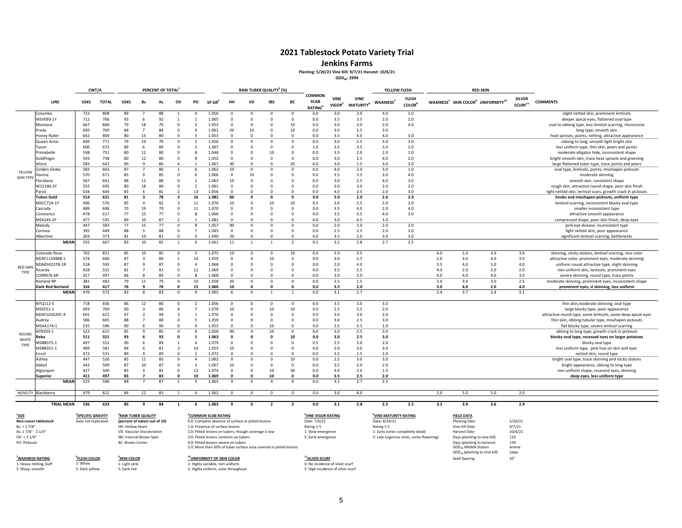**Jenkins Farms**

#### **Planting: 5/20/21 Vine Kill: 9/7/21 Harvest: 10/6/21**

**GDD40: 2994**

|                  |                         | CWT/A       |              |             |                              | PERCENT OF TOTAL |                         |                    |                      |                      | RAW TUBER QUALITY <sup>3</sup> (%) |              |                         |                                        |                                   |                                | YELLOW FLESH          |                              |                                                                        |            | <b>RED SKIN</b> |                                        |                                                              |
|------------------|-------------------------|-------------|--------------|-------------|------------------------------|------------------|-------------------------|--------------------|----------------------|----------------------|------------------------------------|--------------|-------------------------|----------------------------------------|-----------------------------------|--------------------------------|-----------------------|------------------------------|------------------------------------------------------------------------|------------|-----------------|----------------------------------------|--------------------------------------------------------------|
|                  | LINE                    | <b>US#1</b> | <b>TOTAL</b> | <b>US#1</b> | <b>Bs</b>                    | As               | ov                      | PO                 | $SP$ GR <sup>2</sup> | HH                   | <b>VD</b>                          | <b>IBS</b>   | BC                      | COMMON<br><b>SCAB</b><br><b>RATING</b> | <b>VINE</b><br>VIGOR <sup>5</sup> | <b>VINE</b><br><b>MATURITY</b> | WAXINESS <sup>7</sup> | <b>FLESH</b><br><b>COLOR</b> | WAXINESS <sup>7</sup> SKIN COLOR <sup>9</sup> UNIFORMITY <sup>10</sup> |            |                 | <b>SILVER</b><br>$\mathsf{SCURF}^{11}$ | <b>COMMENTS</b>                                              |
|                  | Columba                 | 722         | 808          | 89          |                              | 88               |                         | $\Delta$           | 1.056                | $\Omega$             | $\mathbf{0}$                       | $\Omega$     | $\mathbf{0}$            | 0.0                                    | 3.0                               | 2.0                            | 4.0                   | 1.0                          |                                                                        |            |                 |                                        | slight netted skin, prominent lenticels                      |
|                  | MSV093-1Y               | 712         | 766          | 93          | 6                            | 92               |                         |                    | 1.065                | $\mathbf 0$          | $\Omega$                           | $\Omega$     | $\mathbf{0}$            | 0.0                                    | 3.5                               | 3.5                            | 2.0                   | 2.0                          |                                                                        |            |                 |                                        | deeper apical eyes, flattened oval type                      |
|                  | Montana                 | 667         | 840          | 79          | 18                           | 79               | $\Omega$                | $\mathbf{3}$       | 1.053                | $\Omega$             | $\Omega$                           | $\Omega$     | 10                      | 0.0                                    | 3.0                               | 3.0                            | 2.0                   | 4.0                          |                                                                        |            |                 |                                        | oval to oblong type, less lenticel scarring, rhizoctonia     |
|                  | Prada                   | 650         | 769          | 84          | $\overline{7}$               | 84               | $\Omega$                | 9                  | 1.061                | 20                   | 10                                 | $\mathbf 0$  | 10                      | 0.0                                    | 3.0                               | 2.5                            | 3.0                   |                              |                                                                        |            |                 |                                        | long type, smooth skin                                       |
|                  | Honey Ryder             | 642         | 800          | 80          | 15                           | 80               | $\Omega$                |                    | 1.053                | $\Omega$             | $\Omega$                           | $\Omega$     | $\Omega$                | 0.0                                    | 3.5                               | 4.0                            | 4.0                   | 3.0                          |                                                                        |            |                 |                                        | heat sprouts, points, netting, attractive appearance         |
|                  | Queen Anne              | 609         | 771          | 79          | 19                           | 79               | $\Omega$                | $\mathcal{P}$      | 1.056                | $\Omega$             | $^{\circ}$                         | $\Omega$     | $\mathbf 0$             | 0.0                                    | 3.0                               | 2.5                            | 3.0                   | 3.0                          |                                                                        |            |                 |                                        | oblong to long, smooth light bright skin                     |
|                  | Tyson                   | 600         | 672          | 89          | -6                           | 89               | $\Omega$                | 5                  | 1.067                | $\Omega$             | n                                  | $\Omega$     | $\Omega$                | 1.0                                    | 3.5                               | 3.5                            | 3.0                   | 2.0                          |                                                                        |            |                 |                                        | less uniform type, thin skin, pears and points               |
|                  | Primabelle              | 598         | 751          | 80          | 12                           | 80               | $\Omega$                | 8                  | 1.048                | $^{\circ}$           | $\Omega$                           | 10           | $\Omega$                | 0.0                                    | 3.5                               | 2.0                            | 2.0                   | 1.0                          |                                                                        |            |                 |                                        | moderate alligator hide, inconsistent shape                  |
|                  | Goldfinger              | 593         | 738          | 80          | 12                           | 80               | $\Omega$                | 8                  | 1.052                | $\Omega$             | $\Omega$                           | $\Omega$     | $\Omega$                | 0.0                                    | 3.0                               | 2.5                            | 4.0                   | 2.0                          |                                                                        |            |                 |                                        | bright smooth skin, trace heat sprouts and greening          |
|                  | llora                   | 583         | 647          | 90          | 9                            | 86               | $\Delta$                |                    | 1.067                | 30                   | $\Omega$                           | $\Omega$     | 20                      | 0.0                                    | 3.0                               | 1.5                            | 3.0                   | 3.0                          |                                                                        |            |                 |                                        | large flattened tuber type, trace points and pears           |
| YELLOW           | iolden Globe            | 582         | 663          | 87          |                              | 86               |                         | 6                  | 1.062                | 10                   | $\Omega$                           | $\Omega$     | $\Omega$                | 0.0                                    | 4.0                               | 2.0                            | 3.0                   | 1.0                          |                                                                        |            |                 |                                        | oval type, lenticels, points, misshapen pickouts             |
| <b>SKIN TYPE</b> | )anina                  | 570         | 671          | 85          | -9                           | 85               | $\Omega$                | 6                  | 1.066                | $\Omega$             | 10                                 | $\Omega$     | $\Omega$                | 0.0                                    | 3.5                               | 3.5                            | 3.0                   | 4.0                          |                                                                        |            |                 |                                        | moderate skinning                                            |
|                  | -loridana               | 567         | 641          | 88          | 11                           | 88               | $\Omega$                | $\overline{1}$     | 1.063                | 10                   | $\Omega$                           | $\Omega$     | $\Omega$                | 0.0                                    | 3.0                               | 2.5                            | 4.0                   | 3.0                          |                                                                        |            |                 |                                        | smooth skin, consistent shape                                |
|                  | W15240-2Y               | 555         | 695          | 80          | 18                           | 80               | $\Omega$                | $\overline{2}$     | 1.061                | $\Omega$             | $\Omega$                           | $\Omega$     | $\Omega$                | 0.0                                    | 3.0                               | 3.0                            | 2.0                   | 2.0                          |                                                                        |            |                 |                                        | rough skin, attractive round shape, poor skin finish         |
|                  | Paroli                  | 534         | 644          | 83          | $\Delta$                     | 81               | $\overline{2}$          | 13                 | 1.056                | $\Omega$             | $\Omega$                           | $\Omega$     | $\Omega$                | 0.0                                    | 4.0                               | 2.5                            | 2.0                   | 3.0                          |                                                                        |            |                 |                                        | light netted skin, lenticel scars, growth crack in pickouts  |
|                  | Yukon Gold              | 514         | 631          | 81          | -3                           | 78               | $\overline{\mathbf{3}}$ | 16                 | 1.081                | 60                   | $\Omega$                           | $\Omega$     | $\mathbf{0}$            | 0.0                                    | 3.0                               | 2.0                            | 2.0                   | 2.0                          |                                                                        |            |                 |                                        | knobs and misshapen pickouts, uniform type                   |
|                  | MSCC724-1Y              | 490         | 576          | 85          | $\Delta$                     | 82               | $\mathbf{3}$            | 11                 | 1.070                | 10                   | $\Omega$                           | 10           | 10                      | 0.5                                    | 3.0                               | 2.5                            | 2.0                   | 2.0                          |                                                                        |            |                 |                                        | lenticel scarring, inconsistent blocky oval type             |
|                  | Cascada                 | 489         | 698          | 70          | 19                           | 70               | $\Omega$                | 11                 | 1.070                | $\Omega$             | $\Omega$                           | $\Omega$     | $\Omega$                | 0.0                                    | 3.5                               | 4.0                            | 2.0                   | 4.0                          |                                                                        |            |                 |                                        | smaller inconsistent type                                    |
|                  | Constance               | 478         | 617          | 77          | 15                           | 77               | $\Omega$                | 8                  | 1.066                | $\Omega$             | $\Omega$                           | $\Omega$     | $\Omega$                | 0.0                                    | 3.5                               | 3.5                            | 4.0                   | 3.0                          |                                                                        |            |                 |                                        | attractive smooth appearance                                 |
|                  | MSX245-2Y               | 477         | 535          | 89          | 10                           | 87               | $\overline{2}$          | $\overline{1}$     | 1.081                | $\Omega$             | $\Omega$                           | $\Omega$     | $\Omega$                | 0.0                                    | 3.0                               | 4.5                            | 1.0                   |                              |                                                                        |            |                 |                                        | compressed shape, poor skin finish, deep eyes                |
|                  | Melody                  | 447         | 583          | 77          | 15                           | 77               | $\Omega$                | 8                  | 1.057                | 90                   | $^{\circ}$                         | $\mathbf{0}$ | $\mathbf 0$             | 0.0                                    | 2.0                               | 3.0                            | 2.0                   | 2.0                          |                                                                        |            |                 |                                        | pink eye disease, inconsistent type                          |
|                  | `orinna                 | 395         | 449          | 88          | 5                            | 88               | $\Omega$                |                    | 1.045                | $\Omega$             | $\Omega$                           | $\Omega$     | $\overline{0}$          | 0.0                                    | 2.5                               | 2.5                            | 2.0                   | 3.0                          |                                                                        |            |                 |                                        | light netted skin, poor appearance                           |
|                  | lbertine                | 303         | 373          | 81          | 10                           | 81               | $\Omega$                | $\mathbf{q}$       | 1.040                | 20                   | $\mathbf 0$                        | $\Omega$     | $\mathbf 0$             | 0.0                                    | 3.5                               | 2.0                            | 3.0                   | 3.0                          |                                                                        |            |                 |                                        | significant lenticel scarring, bottlenecks                   |
|                  | <b>MEAN</b>             | 555         | 667          | 83          | 10                           | 82               |                         | 6                  | 1.061                | 11                   | $\mathbf{1}$                       |              | $\mathcal{P}$           | 0.1                                    | 3.2                               | 2.8                            | 2.7                   | 2.5                          |                                                                        |            |                 |                                        |                                                              |
|                  | Colorado Rose           | 702         | 821          | 85          | 10                           | 85               |                         |                    | 1.075                | 10                   | $\Omega$                           | $\Omega$     | 10                      | 0.0                                    | 3.0                               | 3.5                            |                       |                              | 4.0                                                                    | 5.0        | 4.0             | 3.0                                    | skinning, sticky stolons, lenticel scarring, nice color      |
|                  | NDAF113484B-1           | 574         | 660          | 87          | $\overline{3}$               | 86               | $\mathbf{1}$            | 10                 | 1.059                | $\Omega$             | $\Omega$                           | 10           | $\mathbf 0$             | 0.0                                    | 3.0                               | 2.5                            |                       |                              | 2.0                                                                    | 4.0        | 4.0             | 3.0                                    | attractive color, prominent eyes, moderate skinning          |
| <b>RED SKIN</b>  | JDA050237B-1R           | 518         | 593          | 87          | -9                           | 87               | $\Omega$                | $\overline{a}$     | 1.068                | $\Omega$             | $\Omega$                           | $\Omega$     | $\Omega$                | 0.0                                    | 2.0                               | 4.0                            |                       |                              | 3.5                                                                    | 4.0        | 5.0             | 4.0                                    | uniform round attractive type, slight skinning               |
| TYPE             | icarda                  | 428         | 531          | 81          | 7                            | 81               |                         | 12                 | 1.069                | $\Omega$             |                                    | $\Omega$     | $\Omega$                | 0.0                                    | 3.5                               | 2.5                            |                       |                              | 4.0                                                                    | 2.0        | 2.0             | 2.0                                    | non uniform skin, lenticels, prominent eyes                  |
|                  | 099076-6R               | 417         | 497          | 84          | $\mathbf{R}$                 | 84               | $\Omega$                | $\mathbf{R}$       | 1.068                | $\Omega$             | $\Omega$                           | $\Omega$     | $\Omega$                | 0.0                                    | 3.0                               | 3.0                            |                       |                              | 4.0                                                                    | 4.0        | 4.0             | 3.0                                    | severe skinning, round type, trace points                    |
|                  | Norland RP              | 381         | 483          | 79          | 11                           | 79               | $\Omega$                | 10                 | 1.058                | 20                   | $^{\circ}$                         | $\Omega$     | $\mathbf 0$             | 0.0                                    | 3.5                               | 1.5                            |                       |                              | 3.0                                                                    | 3.0        | 3.0             | 2.5                                    | moderate skinning, prominent eyes, inconsistent shape        |
|                  | <b>Dark Red Norland</b> | 316<br>476  | 417          | 76<br>83    | o                            | 76<br>83         |                         | 15<br>$\mathbf{q}$ | 1.060<br>1.065       | 10                   | $\Omega$                           | $\Omega$     | $\Omega$                | 0.0<br>0.0                             | 3.5<br>3.1                        | 2.0<br>2.7                     |                       |                              | 3.0<br>3.4                                                             | 4.0<br>3.7 | 2.0             | 4.0                                    | prominent eyes, sl skinning, less uniform                    |
|                  | <b>MEAN</b>             |             | 572          |             |                              |                  |                         |                    |                      |                      | $\mathbf 0$                        |              |                         |                                        |                                   |                                |                       |                              |                                                                        |            | 3.4             | 3.1                                    |                                                              |
|                  | NYQ112-5                | 718         | 836          | 86          | 12                           | 86               | $\Omega$                | $\overline{2}$     | 1.056                | $\Omega$             | $\overline{0}$                     | $\Omega$     | $\overline{0}$          | 0.0                                    | 3.5                               | 3.0                            | 3.0                   |                              |                                                                        |            |                 |                                        | thin skin, moderate skinning, oval type                      |
|                  | MSZ551-1                | 693         | 769          | 90          | $\overline{\mathbf{3}}$      | 86               |                         |                    | 1.078                | 10                   | $\Omega$                           | 10           | 10                      | 0.0                                    | 2.5                               | 3.5                            | 2.0                   |                              |                                                                        |            |                 |                                        | large blocky type, poor appearance                           |
|                  | NDAF102629C-4           | 601         | 621          | 97          | $\overline{2}$               | 94               | $\mathbf{3}$            | $\overline{1}$     | 1.076                | $\mathbf 0$          | $\Omega$                           | $\Omega$     | $\mathbf{0}$            | 0.0                                    | 3.0                               | 3.0                            | 2.0                   |                              |                                                                        |            |                 |                                        | attractive round type, some lenticels, some deep apical eyes |
|                  | Audrey                  | 586         | 665          | 88          | $\overline{7}$               | 88               | $\Omega$                | -5                 | 1.059                | $^{\circ}$           | $\Omega$                           | $\Omega$     | $\overline{\mathbf{0}}$ | 0.0                                    | 3.0                               | 2.5                            | 3.0                   |                              |                                                                        |            |                 |                                        | thin skin, oblong tubular type, misshapen pickouts           |
|                  | VISAA174-1              | 535         | 596          | 90          | -6                           | 90               |                         |                    | 1.053                | $\Omega$             | $\Omega$                           | 10           | $\Omega$                | 0.0                                    | 3.5                               | 3.5                            | 1.0                   |                              |                                                                        |            |                 |                                        | flat blocky type, severe lenticel scarring                   |
| ROUND            | IYR203-1                | 522         | 615          | 85          | 9                            | 85               | $\Omega$                | 6                  | 1.050                | 90                   | $\Omega$                           | 10           | $\Omega$                | 0.0                                    | 3.0                               | 2.5                            | 3.0                   |                              |                                                                        |            |                 |                                        | oblong to long type, growth crack in pickouts                |
| WHITE            | teba                    | 511         | 551          | 93          | -6                           | 93               | $\Omega$                | -1                 | 1.063                | $\Omega$             | O                                  | $\Omega$     | 10                      | 0.0                                    | 3.0                               | 2.5                            | 3.0                   |                              |                                                                        |            |                 |                                        | blocky oval type, recessed eyes on larger potatoes           |
| TYPE             | ASBB375-1               | 497         | 552          | 90          | -6                           | 89               | $\mathbf{1}$            | $\Delta$           | 1.079                | $\Omega$             | $\Omega$                           | $\Omega$     | $\Omega$                | 0.5                                    | 2.5                               | 3.0                            | 2.0                   |                              |                                                                        |            |                 |                                        | blocky oval type                                             |
|                  | ASBB351-1               | 489         | 581          | 84          | -6                           | 81               | $\mathbf{3}$            | 10                 | 1.053                | 10                   | $\Omega$                           | $\Omega$     | $\Omega$                | 0.0                                    | 2.0                               | 3.0                            | 3.0                   |                              |                                                                        |            |                 |                                        | less uniform type, pink hue on skin and eyes                 |
|                  | nvol                    | 472         | 531          | 89          | <b>q</b>                     | 89               |                         |                    | 1.072                | $\Omega$             | $\Omega$                           | $\Omega$     | $\Omega$                | 0.0                                    | 3.5                               | 1.5                            | 2.0                   |                              |                                                                        |            |                 |                                        | netted skin, round type                                      |
|                  | Ashley                  | 447         | 526          | 85          | 11                           | 85               | $\Omega$                | $\overline{a}$     | 1.062                | $\Omega$             | $\Omega$                           |              | 10                      | 0.0                                    | 2.5                               | 3.0                            | 3.0                   |                              |                                                                        |            |                 |                                        | bright oval type, trace skinning and sticky stolons          |
|                  | Abbot                   | 442         | 509          | 87          | 10                           | 87               | $\Omega$                | -3                 | 1.067                | 10                   | $\Omega$                           | $\Omega$     | $\mathbf 0$             | 0.0                                    | 3.5                               | 2.0                            | 2.0                   |                              |                                                                        |            |                 |                                        | bright appearance, oblong to long type                       |
|                  | Algonquin               | 427         | 500          | 85          | $\overline{\mathbf{3}}$<br>7 | 85<br>83         | $\Omega$                | 12                 | 1.074                | $\Omega$<br>$\Omega$ | $\Omega$<br>$\Omega$               | 10           | 30<br>$\mathbf{0}$      | 0.0                                    | 4.0                               | 2.0                            | 1.0                   |                              |                                                                        |            |                 |                                        | non uniform shape, recessed eyes, skinning                   |
|                  | Superior<br><b>MEAN</b> | 411<br>525  | 497<br>596   | 83<br>88    |                              | 87               |                         | 10<br>-5           | 1.069<br>1.065       | 9                    | $\Omega$                           | 10<br>4      | $\overline{4}$          | 0.0<br>0.0                             | 3.5<br>3.1                        | 2.5<br>2.7                     | 2.0<br>2.3            |                              |                                                                        |            |                 |                                        | deep eyes, less uniform type                                 |
|                  |                         |             |              |             |                              |                  |                         |                    |                      |                      |                                    |              |                         |                                        |                                   |                                |                       |                              |                                                                        |            |                 |                                        |                                                              |
|                  | NOVELTY Blackberry      | 679         | 812          | 84          | 12                           | 83               | $\overline{1}$          | $\overline{4}$     | 1.062                | $^{\circ}$           | $\mathbf{0}$                       | $\Omega$     | $\mathbf{0}$            | 0.0                                    | 3.0                               | 4.0                            |                       |                              | 2.0                                                                    | 5.0        | 5.0             | 2.0                                    |                                                              |
|                  |                         |             |              |             |                              |                  |                         |                    |                      |                      |                                    |              |                         |                                        |                                   |                                |                       |                              |                                                                        |            |                 |                                        |                                                              |
|                  | <b>TRIAL MEAN</b>       | 536         | 633          | 85          |                              | 84               |                         | 6                  | 1.063                |                      | 0                                  |              |                         | 0.0                                    | 3.1                               | 2.8                            | 2.5                   | 2.5                          | 3.2                                                                    | 3.9        | 3.6             | 2.9                                    |                                                              |

**9SKIN8FLESH COLOR**

5: Dark yellow

**1SIZE 2SPECIFICNon‐russet tablestock**Bs: < 1 7/8" HH: HollowAs: 1

OV: > 3

PO: Pickouts

**7WAXINESS RATING**

1: Heavy netting, buff

5: Waxy, smooth

#### **<u><sup>2</sup>SPECIFIC GRAVITY <sup>3</sup>RAW TUBER QUALITY</u>**

HH: Hollow Heart 1.0: Presence of surface lesions and provide to the Rating 1-5 Rating 1-5 Rating 1-5 Wine Kill Date 9/7/21 Publisher 2016/21<br>1.9: VD: Vascular Discoloration 2.0: Pitted lesions on tubers, though coverage i 19-Yo: Vo: Vascular Discoloration 2.0: Pitted lesions on tubers, though coverage is low 10% and 10% on the segence<br>19-May emergence 1: Early emergence 1: Early emergence 1: Early (vines completely dead) Harvest Date 9: Lat BC: Brownn Center 4.0: Pitted lesions severe on tubers on tubers and the tubers of the tubers Days (planting to harvest)<br>4.1 Arves Days (planting to harvest) 1990 of tuber surface area covered in pitted lesions GDD400 severe in the

**COLOR 10UNIFORMITY OF SKIN COLOR 10UNIFORMITY OF SKIN COLOR 10**"<br> **1**: Light pink **1**: Highly variable, non-uniform **10" 10" 10**" **10" 10**" **10" 10" 10" 10" 10" 10" 10" 10" 10" 10" 10" 10** 

1: Light pink and the 1: Light pink and the 1: Highly variable, non‐uniform 0: No incidence of silver scurf 5: No incidence of silver scurf 5: Dark red 5: Highly uniform of the Uniform of the Uniform of the Uniform of th 5: Dark red 5: Highly uniform, color throughout

 **TUBER QUALITY 4COMMON SCAB RATING 5VINE VIGOR RATING 6VINE MATURITY RATING FIELD DATA** Data not replicated **(percent of tubers out of 10)** 0.0: Complete absence of surface or pitted lesions Date: 7/6/21 Date: 8/24/21 Planting Date 5/20/21 5: Late (vigorous vines, some flowering)

Days (planting to harvest) 139<br>
GDD<sub>40</sub> MAWN Station Arlene<br>
GDD<sub>40</sub> (planting to vine kill) 2994 GDD<sub>40</sub> (planting to vine kill) 2994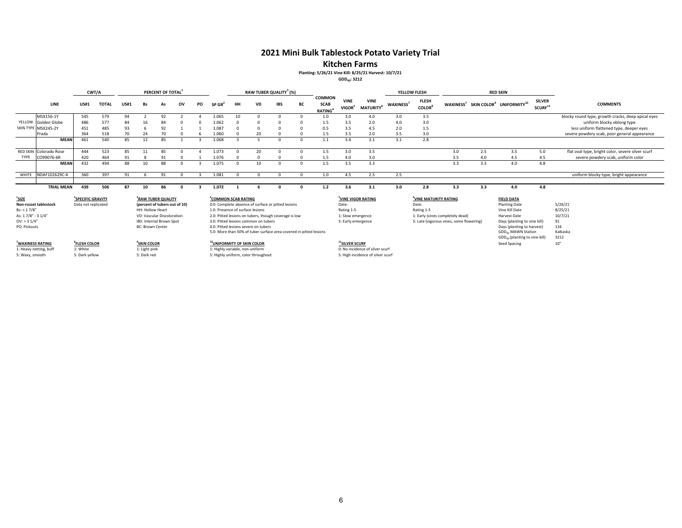### **2021 Mini Bulk Tablestock Potato Variety Trial**

**Kitchen Farms**

## **Planting: 5/26/21 Vine Kill: 8/25/21 Harvest: 10/7/21**

**GDD40: 3212**

|                                                                                        |                              | CWT/A                                                |              |             |                                             | PERCENT OF TOTAL                                                                                                          |            |    |                                                                     |                |                                                                              | RAW TUBER QUALITY <sup>3</sup> (%)                                                                                                                                                |          |                                                     |                                                                                                  |                                             |                       | YELLOW FLESH                                             |                                                                              |     | <b>RED SKIN</b>                                                                                                                                                             |                                      |                                                                |
|----------------------------------------------------------------------------------------|------------------------------|------------------------------------------------------|--------------|-------------|---------------------------------------------|---------------------------------------------------------------------------------------------------------------------------|------------|----|---------------------------------------------------------------------|----------------|------------------------------------------------------------------------------|-----------------------------------------------------------------------------------------------------------------------------------------------------------------------------------|----------|-----------------------------------------------------|--------------------------------------------------------------------------------------------------|---------------------------------------------|-----------------------|----------------------------------------------------------|------------------------------------------------------------------------------|-----|-----------------------------------------------------------------------------------------------------------------------------------------------------------------------------|--------------------------------------|----------------------------------------------------------------|
|                                                                                        | LINE                         | <b>US#1</b>                                          | <b>TOTAL</b> | <b>US#1</b> | Bs                                          | As                                                                                                                        | ov         | PO | $SP$ GR <sup>2</sup>                                                | <b>HH</b>      | VD                                                                           | IBS                                                                                                                                                                               | BС       | <b>COMMON</b><br><b>SCAB</b><br>RATING <sup>4</sup> | <b>VINE</b><br>VIGOR <sup>5</sup>                                                                | <b>VINE</b><br><b>MATURITY</b> <sup>6</sup> | WAXINESS <sup>7</sup> | <b>FLESH</b><br><b>COLOR</b> <sup>8</sup>                |                                                                              |     | WAXINESS <sup>7</sup> SKIN COLOR <sup>9</sup> UNIFORMITY <sup>10</sup>                                                                                                      | <b>SILVER</b><br>SCURE <sup>11</sup> | <b>COMMENTS</b>                                                |
|                                                                                        | MSX156-1Y                    | 545                                                  | 579          | 94          |                                             | 92                                                                                                                        |            |    | 1.065                                                               | 10             |                                                                              |                                                                                                                                                                                   |          | 1.0                                                 | 3.0                                                                                              | 4.0                                         | 3.0                   | 3.5                                                      |                                                                              |     |                                                                                                                                                                             |                                      | blocky round type, growth cracks, deep apical eyes             |
|                                                                                        | YELLOW Golden Globe          | 486                                                  | 577          | 84          | 16                                          | 84                                                                                                                        |            |    | 1.062                                                               |                |                                                                              |                                                                                                                                                                                   |          | 1.5                                                 | 3.5                                                                                              | 2.0                                         | 4.0                   | 3.0                                                      |                                                                              |     |                                                                                                                                                                             |                                      | uniform blocky oblong type                                     |
|                                                                                        | SKIN TYPE MSX245-2Y          | 451                                                  | 485          | 93          |                                             | 92                                                                                                                        |            |    | 1.087                                                               |                |                                                                              |                                                                                                                                                                                   |          | 0.5                                                 | 3.5                                                                                              | 4.5                                         | 2.0                   | 1.5                                                      |                                                                              |     |                                                                                                                                                                             |                                      | less uniform flattened type, deeper eyes                       |
|                                                                                        | Prada                        | 364                                                  | 518          | 70          | 24                                          | 70                                                                                                                        |            |    | 1.060                                                               |                | 20                                                                           |                                                                                                                                                                                   |          | 1.5                                                 | 3.5                                                                                              | 2.0                                         | 3.5                   | 3.0                                                      |                                                                              |     |                                                                                                                                                                             |                                      | severe powdery scab, poor general appearance                   |
|                                                                                        | <b>MEAN</b>                  | 461                                                  | 540          | 85          | 12                                          | 85                                                                                                                        |            |    | 1.068                                                               | $\overline{z}$ |                                                                              |                                                                                                                                                                                   | $\Omega$ | 1.1                                                 | 3.4                                                                                              | 3.1                                         | 3.1                   | 2.8                                                      |                                                                              |     |                                                                                                                                                                             |                                      |                                                                |
|                                                                                        | RED SKIN Colorado Rose       | 444                                                  | 523          | 85          | 11                                          | 85                                                                                                                        |            |    | 1.073                                                               |                | 20                                                                           |                                                                                                                                                                                   |          | 1.5                                                 | 3.0                                                                                              | 3.5                                         |                       |                                                          | 3.0                                                                          | 2.5 | 3.5                                                                                                                                                                         | 5.0                                  | flat oval type, bright color, severe silver scurf              |
| TYPE                                                                                   | CO99076-6R                   | 420                                                  | 464          | 91          |                                             |                                                                                                                           |            |    | 1.076                                                               |                |                                                                              |                                                                                                                                                                                   |          | 1.5                                                 | 4.0                                                                                              | 3.0                                         |                       |                                                          | 3.5                                                                          | 4.0 | 4.5                                                                                                                                                                         | 4.5                                  | severe powdery scab, uniform color                             |
|                                                                                        | <b>MEAN</b>                  | 432                                                  | 494          | 88          | 10                                          | 88                                                                                                                        |            |    | 1.075                                                               | $\sqrt{ }$     | 10                                                                           |                                                                                                                                                                                   |          | 1.5                                                 | 3.5                                                                                              | 3.3                                         |                       |                                                          | 3.3                                                                          | 3.3 | 4.0                                                                                                                                                                         | 4.8                                  |                                                                |
| WHITE                                                                                  | NDAF102629C-4                | 360                                                  | 397          | 91          |                                             | 91                                                                                                                        | $\sqrt{2}$ |    | 1.081                                                               | $\Omega$       | $\Omega$                                                                     | $\Omega$                                                                                                                                                                          | $\Omega$ | 1.0                                                 | 4.5                                                                                              | 2.5                                         | 2.5                   |                                                          |                                                                              |     |                                                                                                                                                                             |                                      | uniform blocky type, bright appearance                         |
|                                                                                        |                              |                                                      |              |             |                                             |                                                                                                                           |            |    |                                                                     |                |                                                                              |                                                                                                                                                                                   |          |                                                     |                                                                                                  |                                             |                       |                                                          |                                                                              |     |                                                                                                                                                                             |                                      |                                                                |
|                                                                                        | <b>TRIAL MEAN</b>            | 439                                                  | 506          | 87          | 10                                          | 86                                                                                                                        |            |    | 1.072                                                               |                |                                                                              |                                                                                                                                                                                   |          | 1.2                                                 | 3.6                                                                                              | 3.1                                         | 3.0                   | 2.8                                                      | 3.3                                                                          | 3.3 | 4.0                                                                                                                                                                         | 4.8                                  |                                                                |
| $\frac{1}{2}$ SIZE<br>Bs: < 1.7/8"<br>As: 17/8" - 31/4"<br>OV: > 31/4"<br>PO: Pickouts | <b>Non-russet tablestock</b> | <sup>2</sup> SPECIFIC GRAVITY<br>Data not replicated |              |             | HH: Hollow Heart<br><b>BC: Brown Center</b> | <sup>3</sup> RAW TUBER QUALITY<br>(percent of tubers out of 10)<br>VD: Vascular Discoloration<br>IBS: Internal Brown Spot |            |    | <sup>4</sup> COMMON SCAB RATING<br>1.0: Presence of surface lesions |                | 3.0: Pitted lesions common on tubers<br>4.0: Pitted lesions severe on tubers | 0.0: Complete absence of surface or pitted lesions<br>2.0: Pitted lesions on tubers, though coverage is low<br>5.0: More than 50% of tuber surface area covered in pitted lesions |          |                                                     | <sup>5</sup> VINE VIGOR RATING<br>Date:<br>Rating 1-5<br>1: Slow emergence<br>5: Early emergence |                                             |                       | <sup>6</sup> VINE MATURITY RATING<br>Date:<br>Rating 1-5 | 1: Early (vines completely dead)<br>5: Late (vigorous vines, some flowering) |     | <b>FIELD DATA</b><br><b>Planting Date</b><br>Vine Kill Date<br>Harvest Date<br>Days (planting to vine kill)<br>Days (planting to harvest)<br>GDD <sub>40</sub> MAWN Station |                                      | 5/26/21<br>8/25/21<br>10/7/21<br>91<br>134<br>Kalkaska<br>3212 |
|                                                                                        | <sup>7</sup> WAXINESS RATING | <sup>8</sup> FLESH COLOR                             |              |             | <sup>9</sup> SKIN COLOR                     |                                                                                                                           |            |    | <sup>10</sup> UNIFORMITY OF SKIN COLOR                              |                |                                                                              |                                                                                                                                                                                   |          |                                                     | <sup>11</sup> SILVER SCURF                                                                       |                                             |                       |                                                          |                                                                              |     | GDD <sub>40</sub> (planting to vine kill)<br>Seed Spacing                                                                                                                   |                                      | 10"                                                            |
|                                                                                        | 1: Heavy netting, buff       | 1: White                                             |              |             | 1: Light pink                               |                                                                                                                           |            |    | 1: Highly variable, non-uniform                                     |                |                                                                              |                                                                                                                                                                                   |          |                                                     |                                                                                                  | 0: No incidence of silver scurf             |                       |                                                          |                                                                              |     |                                                                                                                                                                             |                                      |                                                                |
| 5: Waxy, smooth                                                                        |                              | 5: Dark yellow                                       |              |             | 5: Dark red                                 |                                                                                                                           |            |    |                                                                     |                | 5: Highly uniform, color throughout                                          |                                                                                                                                                                                   |          |                                                     |                                                                                                  | 5: High incidence of silver scurf           |                       |                                                          |                                                                              |     |                                                                                                                                                                             |                                      |                                                                |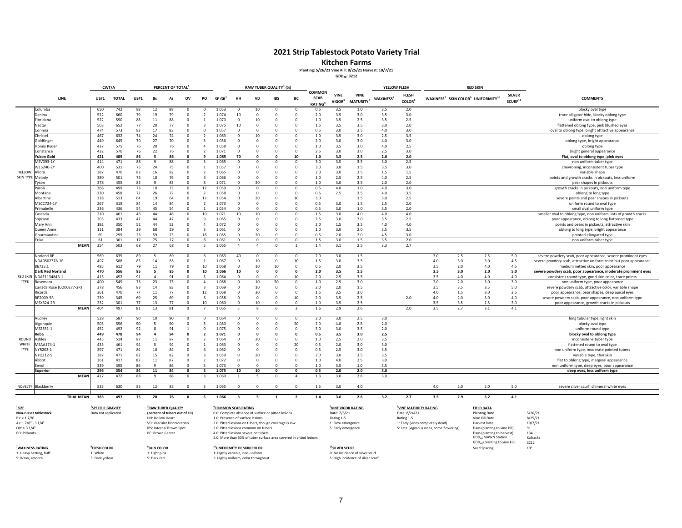#### **Kitchen Farms**

#### **Planting: 5/26/21 Vine Kill: 8/25/21 Harvest: 10/7/21**

**GDD40: 3212**

|                  |                          | CWT/A       |              |             |                | PERCENT OF TOTAL |              |                          |                      |              |            | RAW TUBER QUALITY <sup>3</sup> (%) |                |                                        |                                   |                                             | YELLOW FLESH    |                              |     |     | <b>RED SKIN</b>                                                        |                                      |                                                                   |
|------------------|--------------------------|-------------|--------------|-------------|----------------|------------------|--------------|--------------------------|----------------------|--------------|------------|------------------------------------|----------------|----------------------------------------|-----------------------------------|---------------------------------------------|-----------------|------------------------------|-----|-----|------------------------------------------------------------------------|--------------------------------------|-------------------------------------------------------------------|
|                  | LINE                     | <b>US#1</b> | <b>TOTAL</b> | <b>US#1</b> | Bs             | As               | ov           | PO                       | $SP$ GR <sup>4</sup> | HH           | VD         | <b>IBS</b>                         | BC             | COMMON<br><b>SCAB</b><br><b>RATING</b> | <b>VINE</b><br>VIGOR <sup>5</sup> | <b>VINE</b><br><b>MATURITY</b> <sup>6</sup> | <b>WAXINESS</b> | <b>FLESH</b><br><b>COLOR</b> |     |     | WAXINESS <sup>7</sup> SKIN COLOR <sup>9</sup> UNIFORMITY <sup>10</sup> | <b>SILVER</b><br>SCURF <sup>11</sup> | <b>COMMENTS</b>                                                   |
|                  | Columba                  | 650         | 742          | 88          | 12             | 88               | $\Omega$     | $\Omega$                 | 1.053                |              | 10         | $\Omega$                           | $\Omega$       | 0.5                                    | 3.5                               | 1.0                                         | 3.5             | 2.0                          |     |     |                                                                        |                                      | blocky oval type                                                  |
|                  | Danina                   | 522         | 660          | 79          | 19             | 79               | $\Omega$     | $\overline{z}$           | 1.074                | 10           | $\Omega$   | $\Omega$                           | $\Omega$       | 2.0                                    | 3.5                               | 3.0                                         | 3.5             | 3.0                          |     |     |                                                                        |                                      | trace alligator hide, blocky oblong type                          |
|                  | Floridana                | 522         | 590          | 88          | 11             | 88               | $\mathbf 0$  | 1                        | 1.070                | $^{\circ}$   | 10         | $\Omega$                           | $\Omega$       | 1.0                                    | 3.5                               | 2.5                                         | 3.5             | 2.5                          |     |     |                                                                        |                                      | uniform oval to oblong type                                       |
|                  | Nectar                   | 503         | 652          | 77          | 20             | 77               | $\Omega$     | $\mathbf{3}$             | 1.075                | 10           | $\Omega$   | $\Omega$                           | $\Omega$       | 1.5                                    | 3.5                               | 3.5                                         | 3.0             | 2.0                          |     |     |                                                                        |                                      | flattened oblong type, pink blushed eyes                          |
|                  | Corinna                  | 474         | 573          | 83          | 17             | 83               | $\Omega$     | $\Omega$                 | 1.057                | $\Omega$     | $\Omega$   | $\Omega$                           | $\Omega$       | 0.5                                    | 3.0                               | 2.5                                         | 4.0             | 3.0                          |     |     |                                                                        |                                      | oval to oblong type, bright attractive appearance                 |
|                  | Christel                 | 467         | 632          | 74          | 24             | 74               | $\mathbf 0$  | $\mathcal{P}$            | 1.063                | $\Omega$     | 10         | $\Omega$                           |                | 1.0                                    | 3.5                               | 3.0                                         | 2.5             | 3.5                          |     |     |                                                                        |                                      | oblong type                                                       |
|                  | Goldfinger               | 449         | 645          | 70          | 27             | 70               | $\Omega$     | 3                        | 1.056                | $\Omega$     | $\Omega$   | $\Omega$                           | $\Omega$       | 2.0                                    | 3.0                               | 3.0                                         | 4.0             | 3.0                          |     |     |                                                                        |                                      | oblong type, bright appearance                                    |
|                  | Honey Ryder              | 437         | 575          | 76          | 20             | 76               | $\Omega$     | $\overline{4}$           | 1.058                | $\Omega$     | $\Omega$   | $\Omega$                           | $\Omega$       | 1.0                                    | 3.5                               | 3.0                                         | 4.0             | 2.5                          |     |     |                                                                        |                                      | oblong type                                                       |
|                  | Constance                | 432         | 570          | 76          | 22             | 76               | $\Omega$     | $\mathcal{L}$            | 1.071                |              | $\Omega$   |                                    | $\Omega$       | 2.5                                    | 3.0                               | 3.0                                         | 2.5             | 3.0                          |     |     |                                                                        |                                      | bright general appearance                                         |
|                  | Yukon Gold               | 421         | 489          | 86          | -5             | 86               | $\mathbf{0}$ |                          | 1.085                | 70           | $\Omega$   |                                    | 10             | 1.0                                    | 3.5                               | 2.5                                         | 2.0             | 2.0                          |     |     |                                                                        |                                      | Flat, oval to oblong type, pink eyes                              |
|                  | MSV093-1Y                | 414         | 471          | 88          | $\mathbf{q}$   | 88               | $\Omega$     | 3                        | 1.065                | $\Omega$     | $\Omega$   | $^{\circ}$                         | $^{\circ}$     | 3.0                                    | 3.5                               | 3.5                                         | 3.0             | 2.5                          |     |     |                                                                        |                                      | non uniform tuber type                                            |
|                  | W15240-2Y                | 400         | 531          | 75          | 24             | 75               | 0            |                          | 1.057                | $\Omega$     | $\Omega$   | $\Omega$                           | $\Omega$       | 3.0                                    | 3.0                               | 1.5                                         | 3.5             | 3.0                          |     |     |                                                                        |                                      | chevroning, inconsistent tuber type                               |
| YELLOW           | Allora                   | 387         | 470          | 82          | 16             | 82               | $\Omega$     | $\overline{\phantom{a}}$ | 1.065                | $\Omega$     | - C        | $\Omega$                           | $\Omega$       | 2.0                                    | 3.0                               | 2.5                                         | 1.5             | 1.5                          |     |     |                                                                        |                                      | variable shape                                                    |
| SKIN TYPE Melody |                          | 380         | 501          | 76          | 18             | 76               | $\mathbf 0$  | 6                        | 1.066                | $\Omega$     | $\Omega$   | $\Omega$                           | $\Omega$       | 1.0                                    | 2.5                               | 2.5                                         | 4.0             | 2.5                          |     |     |                                                                        |                                      | points and growth cracks in pickouts, less uniform                |
|                  | lyson                    | 378         | 455          | 83          | $\mathbf{q}$   | 83               | $\Omega$     |                          | 1.071                | $\Omega$     | 20         | $\Omega$                           | $\Omega$       | 1.0                                    | 3.0                               | 3.5                                         | 2.0             | 2.0                          |     |     |                                                                        |                                      | pear shapes in pickouts                                           |
|                  | Paroli                   | 366         | 499          | 73          | 10             | 73               | $\Omega$     | 17                       | 1.059                | $\Omega$     | $\Omega$   | $\Omega$                           | $\Omega$       | 0.5                                    | 4.0                               | $1.0$                                       | 4.0             | 3.0                          |     |     |                                                                        |                                      | growth cracks in pickouts, non uniform type                       |
|                  | Montana                  | 330         | 458          | 72          | 26             | 72               | $\Omega$     | $\overline{2}$           | 1.058                | $\Omega$     | $\Omega$   | $\Omega$                           | $\Omega$       | 0.5                                    | 2.5                               | 3.5                                         | 4.0             | 3.5                          |     |     |                                                                        |                                      | oblong to long type                                               |
|                  | Albertine                | 328         | 513          | 64          | 19             | 64               | $\Omega$     | 17                       | 1.054                | $\Omega$     | 20         | n                                  | 10             | 3.0                                    |                                   | 1.5                                         | 3.0             | 2.5                          |     |     |                                                                        |                                      | severe points and pear shapes in pickouts                         |
|                  | MSCC724-1Y               | 267         | 319          | 84          | 14             | 84               | $\Omega$     | $\overline{z}$           | 1.073                | $\Omega$     | $\Omega$   | $\Omega$                           | $\Omega$       | 0.5                                    | 3.0                               | 1.5                                         | 2.5             | 2.0                          |     |     |                                                                        |                                      | uniform round to oval type                                        |
|                  | Primabelle               | 236         | 436          | 54          | 45             | 54               | $\Omega$     |                          | 1.054                | $\Omega$     | $\Omega$   | $\Omega$                           | $\Omega$       | 0.5                                    | 3.0                               | 1.0                                         | 3.5             | 2.0                          |     |     |                                                                        |                                      | small oval uniform type                                           |
|                  | Cascada                  | 210         | 461          | 46          | 44             | 46               | $\Omega$     | 10                       | 1.071                | 10           | 10         | $\Omega$                           | $\Omega$       | 1.5                                    | 3.0                               | 4.0                                         | 4.0             | 4.0                          |     |     |                                                                        |                                      | smaller oval to oblong type, non uniform, lots of growth cracks   |
|                  | Soprano                  | 205         | 433          | 47          | 44             | 47               | $\Omega$     | $\mathbf{q}$             | 1.065                | $\Omega$     | $\Omega$   | 0                                  | $\Omega$       | 2.5                                    | 3.0                               | 2.0                                         | 3.5             | 2.5                          |     |     |                                                                        |                                      | poor appearance, oblong to long flattened type                    |
|                  | Mary Ann                 | 182         | 350          | 52          | 44             | 52               | $\Omega$     | $\overline{4}$           | 1.072                | $\Omega$     | $\Omega$   | $\Omega$                           | $\Omega$       | 2.0                                    | 1.5                               | 3.5                                         | 4.0             | 4.0                          |     |     |                                                                        |                                      | points and pears in pickouts, attractive skin                     |
|                  | Queen Anne               | 111         | 384          | 29          | 68             | 29               | $\Omega$     | $\overline{\mathbf{3}}$  | 1.061                | $\Omega$     | $\Omega$   | $\Omega$                           | $\Omega$       | 1.0                                    | 3.0                               | 2.0                                         | 3.5             | 3.5                          |     |     |                                                                        |                                      | oblong to long type, bright appearance                            |
|                  | Gourmandine              | 69          | 299          | 23          | 59             | 23               | $\Omega$     | 18                       | 1.065                | $\Omega$     | 20         | $\Omega$                           | $\Omega$       | 0.5                                    | 2.0                               | 2.0                                         | 4.5             | 3.0                          |     |     |                                                                        |                                      | pointed elongated type                                            |
|                  | Erika                    | 61          | 361          | 17          | 75             | 17               | $\Omega$     | 8                        | 1.061                | $\Omega$     | $\Omega$   | $\Omega$                           | $\Omega$       | 1.5                                    | 3.0                               | 1.5                                         | 3.5             | 2.0                          |     |     |                                                                        |                                      | non uniform tuber type                                            |
|                  | <b>MEAN</b>              | 354         | 503          | 68          | 27             | 68               | $\Omega$     | -5                       | 1.065                | $\Delta$     | $\Delta$   | $\Omega$                           | $\mathbf{1}$   | 1.4                                    | 3.1                               | 2.5                                         | 3.3             | 2.7                          |     |     |                                                                        |                                      |                                                                   |
|                  | Norland RP               | 569         | 639          | 89          | 5              | 89               | $\Omega$     | 6                        | 1.063                | 40           | $\Omega$   | $^{\circ}$                         | $\Omega$       | 2.0                                    | 3.0                               | 1.5                                         |                 |                              | 3.0 | 2.5 | 2.5                                                                    | 5.0                                  | severe powdery scab, poor appearance, severe prominent eyes       |
|                  | NDA050237B-1R            | 497         | 588          | 85          | 14             | 85               | $\Omega$     |                          | 1.067                | $\Omega$     | 10         | $\Omega$                           | 10             | 1.5                                    | 3.0                               | 3.5                                         |                 |                              | 4.0 | 3.0 | 3.0                                                                    | 4.5                                  | severe powdery scab, attractive uniform color but poor appearance |
|                  | 86735.1                  | 485         | 612          | 79          | 11             | 79               | $^{\circ}$   | 10                       | 1.068                | $^{\circ}$   | 10         | 10                                 | $^{\circ}$     | 0.5                                    | 2.0                               | 3.5                                         |                 |                              | 3.5 | 2.0 | 4.0                                                                    | 4.5                                  | medium netted skin, poor appearance                               |
|                  | Dark Red Norland         | 470         | 556          | 85          | - 5            | 85               | $\Omega$     | 10                       | 1.066                | 10           | $\Omega$   | c                                  | $\Omega$       | 2.0                                    | 3.5                               | 1.5                                         |                 |                              | 3.5 | 3.0 | 2.0                                                                    | 5.0                                  | severe powdery scab, poor appearance, moderate prominent eyes     |
|                  | RED SKIN NDAF113484B-1   | 413         | 452          | 91          | $\overline{a}$ | 91               | $\Omega$     | 5                        | 1.064                | $\Omega$     | $\Omega$   | $\Omega$                           | 10             | 2.0                                    | 2.5                               | 3.5                                         |                 |                              | 3.5 | 4.0 | 4.0                                                                    | 4.0                                  | consistent round type, good skin color, trace points              |
| TYPE             | Rosemara                 | 400         | 549          | 73          | 23             | 73               | $\Omega$     | $\overline{4}$           | 1.068                | $\Omega$     | 10         | 50                                 | 0              | 1.0                                    | 2.5                               | 3.0                                         |                 |                              | 2.0 | 2.0 | 3.0                                                                    | 3.0                                  | non uniform type, poor appearance                                 |
|                  | Canada Rose (CO00277-2R) | 378         | 456          | 83          | 14             | 83               | $^{\circ}$   | -3                       | 1.069                | $\Omega$     | 10         | $\Omega$                           | $\Omega$       | 2.0                                    | 2.0                               | 1.5                                         |                 |                              | 3.5 | 3.5 | 3.5                                                                    | 5.0                                  | severe powdery scab, attractive color, variable shape             |
|                  | Ricarda                  | 361         | 470          | 77          | 11             | 77               | $\Omega$     | 12                       | 1.068                | $\Omega$     | 30         | $\Omega$                           | $\Omega$       | 1.5                                    | 3.5                               | 3.0                                         |                 |                              | 4.0 | 1.5 | 3.0                                                                    | 2.5                                  | poor appearance, pear shapes, deep apical eyes                    |
|                  | RP2009-5R                | 239         | 345          | 69          | 25             | 69               | $^{\circ}$   | - 6                      | 1.058                | $\Omega$     | $^{\circ}$ | $^{\circ}$                         | 10             | 2.0                                    | 3.5                               | 2.5                                         |                 | 2.0                          | 4.0 | 2.0 | 3.0                                                                    | 4.0                                  | severe powdery scab, poor appearance, non uniform type            |
|                  | MSX324-2R                | 232         | 301          | 77          | 13             | 77               | $\Omega$     | 10                       | 1.060                | $\Omega$     | 10         | $\Omega$                           | $\Omega$       | 1.0                                    | 3.5                               | 2.5                                         |                 |                              | 3.5 | 3.5 | 2.5                                                                    | 3.0                                  | poor appearance, growth cracks in pickouts                        |
|                  | <b>MEAN</b>              | 404         | 497          | 81          | 13             | 81               | $\Omega$     |                          | 1.065                |              |            | 6                                  |                | 1.6                                    | 2.9                               | 2.6                                         |                 | 2.0                          | 3.5 | 2.7 | 3.1                                                                    | 4.1                                  |                                                                   |
|                  | Audrey                   | 528         | 587          | 90          | 10             | 90               | $\Omega$     | $\Omega$                 | 1.064                | $\Omega$     | $\Omega$   | $\Omega$                           | $\Omega$       | 2.0                                    | 3.0                               | 2.5                                         | 3.0             |                              |     |     |                                                                        |                                      | long tubular type, light skin                                     |
|                  | Algonquin                | 503         | 556          | 90          | -5             | 90               | $\Omega$     | 5                        | 1.080                | $\Omega$     | $\Omega$   | $\Omega$                           | 20             | 2.0                                    | 4.0                               | 2.5                                         | 2.0             |                              |     |     |                                                                        |                                      | blocky oval type                                                  |
|                  | MSZ551-1                 | 452         | 492          | 92          | 8              | 91               | $\mathbf{1}$ | $\Omega$                 | 1.075                | $\Omega$     | $\Omega$   | -C                                 | $\Omega$       | 3.0                                    | 3.0                               | 3.5                                         | 2.0             |                              |     |     |                                                                        |                                      | uniform round type                                                |
|                  | Reba                     | 449         | 478          | -94         | $\overline{4}$ | 94               | $\Omega$     | $\overline{2}$           | 1.071                | $\Omega$     | $\Omega$   | -C                                 | $\Omega$       | 0.5                                    | 3.5                               | 3.0                                         | 2.5             |                              |     |     |                                                                        |                                      | blocky oval to oblong type                                        |
| <b>ROUND</b>     | Ashlev                   | 445         | 514          | 87          | 11             | 87               | $\Omega$     | $\mathcal{P}$            | 1.064                |              | 20         | $\Omega$                           | $\Omega$       | 1.0                                    | 2.5                               | 2.0                                         | 3.5             |                              |     |     |                                                                        |                                      | inconsistene tuber type                                           |
| WHITE            | MSAA174-1                | 435         | 461          | 94          | 5              | 94               | $\Omega$     | $\mathbf{1}$             | 1.063                | $\Omega$     | $\Omega$   | $\Omega$                           | 20             | 0.5                                    | 2.0                               | 3.0                                         | 3.0             |                              |     |     |                                                                        |                                      | flattened round to oval type                                      |
| TYPE             | NYR203-1                 | 397         | 471          | 84          | 10             | 84               | $\Omega$     | 6                        | 1.062                | $\Omega$     | $\Omega$   | ſ                                  | $\Omega$       | 0.5                                    | 2.5                               | 3.0                                         | 3.5             |                              |     |     |                                                                        |                                      | non uniform type, moderate pointed tubers                         |
|                  | NYQ112-5                 | 387         | 471          | 82          | 15             | 82               | $^{\circ}$   | $\overline{\mathbf{3}}$  | 1.059                | $\Omega$     | 20         | $\Omega$                           |                | 2.0                                    | 3.0                               | 3.5                                         | 3.5             |                              |     |     |                                                                        |                                      | variable type, thin skin                                          |
|                  | Abbot                    | 361         | 417          | 87          | 11             | 87               | $\mathbf 0$  | $\overline{2}$           | 1.072                | $\Omega$     | $\Omega$   | $\Omega$                           | $\Omega$       | 1.0                                    | 4.0                               | 2.5                                         | 3.0             |                              |     |     |                                                                        |                                      | flat to oblong type, marginal appearance                          |
|                  | Envol                    | 339         | 395          | 86          | $\mathbf{q}$   | 86               | $\Omega$     | -5                       | 1.073                | $\Omega$     | $\Omega$   | $\Omega$                           | $\Omega$       | 1.0                                    | 3.5                               | $1.0$                                       | 3.5             |                              |     |     |                                                                        |                                      | non uniform type, deep eyes, poor appearance                      |
|                  | <b>Superior</b>          | 296         | 354          | 84          | 11             | 84               | $\Omega$     | 5                        | 1.075                | 10           | 10         | $\Omega$                           | $\mathbf{0}$   | 0.5                                    | 2.0                               | 2.0                                         | 3.0             |                              |     |     |                                                                        |                                      | deep eyes, less uniform type                                      |
|                  | <b>MEAN</b>              | 417         | 472          | 88          | $\mathbf{q}$   | 88               | $\Omega$     | $\overline{3}$           | 1.069                |              | -5         | $\Omega$                           | $\overline{a}$ | $1.3\,$                                | 3.0                               | 2.6                                         | 3.0             |                              |     |     |                                                                        |                                      |                                                                   |
|                  | NOVELTY Blackberry       | 533         | 630          | 85          | 12             | 85               | $^{\circ}$   | $\overline{\mathbf{3}}$  | 1.065                | $\mathbf{0}$ | $^{\circ}$ | $^{\circ}$                         | $^{\circ}$     | 1.5                                    | 3.0                               | 4.0                                         |                 |                              | 4.0 | 5.0 | 5.0                                                                    | 5.0                                  | severe silver scurf, chimeral white eyes                          |
|                  |                          |             |              |             |                |                  |              |                          |                      |              |            |                                    |                |                                        |                                   |                                             |                 |                              |     |     |                                                                        |                                      |                                                                   |
|                  | <b>TRIAL MEAN</b>        | 383         | 497          | 75          | 20             | 76               | $\Omega$     | -5                       | 1.066                | $\mathbf{R}$ |            |                                    |                | 1.4                                    | 3.0                               | 2.6                                         | 3.2             | 2.7                          | 3.5 | 2.9 | 3.2                                                                    | 4.1                                  |                                                                   |

**1SIZE 2SPECIFICNon‐russet tablestock**OV: > 3PO: Pickouts

**7WAXINESS RATING9SKIN8FLESH COLOR**

1: Heavy netting, buff 5: Waxy, smooth

| Non-russet tablestock | Data not replicated | (percent of tubers out of 10) |
|-----------------------|---------------------|-------------------------------|
| Bs: < 1.7/8"          |                     | HH: Hollow Heart              |
| As: 17/8" - 31/4"     |                     | VD: Vascular Discoloration    |
| OV: > 31/4"           |                     | IBS: Internal Brown Spot      |
| PO: Pickouts          |                     | <b>BC: Brown Center</b>       |
|                       |                     |                               |
|                       |                     |                               |

**EXPECIFIC GRAVITY** <sup>3</sup>RAW TUBER QUALITY

5: Dark yellow

#### **COMMON SCAB**<br> **COMMON COMMON CONTRATING**<br> **Date:** 7/6/21 **Date:** 7/6/21 **Date:** 7/6/21 **Date:** 8/24/21 **Date:** 8/24/21 **Planting** Date Data not replicated **(percent of tubers out of 10)** 0.0: Complete absence of surface or pitted lesions Date: 7/6/21 Date: 7/6/21 Date: 7/6/21 Planting Date 5/26/21 Planting Date 5/26/21 Planting Date 5/25/21 Planting Date Heart 1.0: Presence of surface lesions Rating 1‐5 Rating 1‐5 Vine Kill Date 8/25/21 7/8" ‐ 3 1/4" VD: Vascular Discoloration 2.0: Pitted lesions on tubers, though coverage is low 1: Slow emergence 1: Early (vines completely dead) Harvest Date 10/7/21

A.D: Pitted lesions severe on tubers<br>Center 4.0: Pitted lesions of tuber surface area covered in pitted lesions<br>Center 4.0: Nore than 50% of tuber surface area covered in pitted lesions<br>Center 3.0: Nore than 50% of tuber s 5.0: More than 50% of tuber surface area covered in pitted lesions  $\mathsf{GDD}_{\mathsf{40}}$ 

#### **COLOR 10UNIFORMITY OF SKIN COLOR 11SILVER SCURF** Seed Spacing 10" 1: White 1: Light pink 1: Light pink 1: Highly variable, non-uniform<br>1: Dark yellow 5: Dark red 5: Highly uniform, color through 5: Highly uniform, color throughout 5: High incidence of silver scurf

| ,,,     | JILYLIVJUUIN                     |
|---------|----------------------------------|
|         | 0: No incidence of silver scurf  |
| فيبمطون | E: High incidence of cilver cour |

|                                          |                                                              | ------        |
|------------------------------------------|--------------------------------------------------------------|---------------|
| 5: Late (vigorous vines, some flowering) | Days (planting to vine kill)                                 | 91            |
|                                          | Days (planting to harvest)<br>GDD <sub>40</sub> MAWN Station | 134<br>Kalkas |
|                                          | GDD <sub>40</sub> (planting to vine kill)                    | 3212          |
|                                          | Seed Spacing                                                 | 10"           |
|                                          |                                                              |               |
|                                          |                                                              |               |
|                                          |                                                              |               |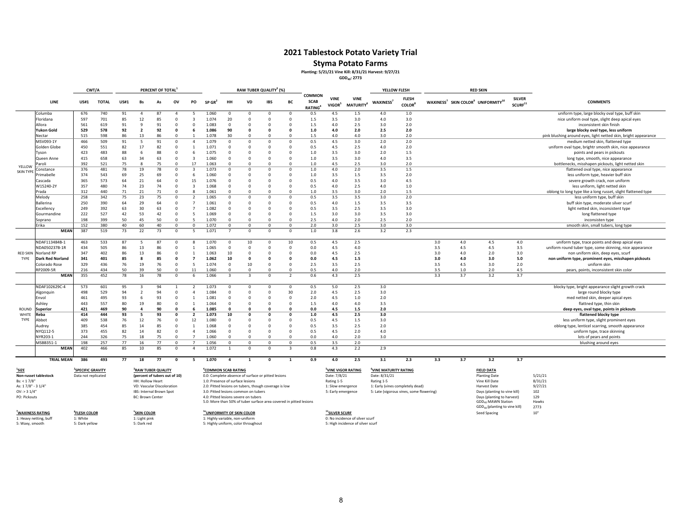# **Styma Potato Farms Planting: 5/21/21 Vine Kill: 8/31/21 Harvest: 9/27/21**

**GDD40: 2773**

|                                                  |                                     | CWT/A                                                |              |             |                                                                                 | PERCENT OF TOTAL               |                      |                                  |                                                                              |                        |                      | RAW TUBER QUALITY <sup>3</sup> (%)                                                                          |                          |                                               |                                                  |                                             | YELLOW FLESH                                                                                         |                                           |     |     | <b>RED SKIN</b>                                                                                                                           |                                      |                                                                          |
|--------------------------------------------------|-------------------------------------|------------------------------------------------------|--------------|-------------|---------------------------------------------------------------------------------|--------------------------------|----------------------|----------------------------------|------------------------------------------------------------------------------|------------------------|----------------------|-------------------------------------------------------------------------------------------------------------|--------------------------|-----------------------------------------------|--------------------------------------------------|---------------------------------------------|------------------------------------------------------------------------------------------------------|-------------------------------------------|-----|-----|-------------------------------------------------------------------------------------------------------------------------------------------|--------------------------------------|--------------------------------------------------------------------------|
|                                                  | <b>LINE</b>                         | <b>US#1</b>                                          | <b>TOTAL</b> | <b>US#1</b> | <b>Bs</b>                                                                       | As                             | ov                   | PO                               | $SP$ GR <sup>2</sup>                                                         | HH                     | VD                   | <b>IBS</b>                                                                                                  | BC                       | <b>COMMON</b><br><b>SCAB</b><br><b>RATING</b> | <b>VINE</b><br>VIGOR <sup>5</sup>                | <b>VINE</b><br><b>MATURITY</b> <sup>6</sup> | WAXINESS <sup>7</sup>                                                                                | <b>FLESH</b><br><b>COLOR</b> <sup>8</sup> |     |     | WAXINESS <sup>7</sup> SKIN COLOR <sup>9</sup> UNIFORMITY <sup>10</sup>                                                                    | <b>SILVER</b><br>SCURF <sup>11</sup> | <b>COMMENTS</b>                                                          |
|                                                  | Columba                             | 676                                                  | 740          | 91          | $\overline{a}$                                                                  | 87                             | -4                   | -5                               | 1.060                                                                        | $\Omega$               | $\Omega$             | $\mathbf{0}$                                                                                                | $\Omega$                 | 0.5                                           | 4.5                                              | 1.5                                         | 4.0                                                                                                  | 1.0                                       |     |     |                                                                                                                                           |                                      | uniform type, large blocky oval type, buff skin                          |
|                                                  | Floridana                           | 597                                                  | 701          | 85          | 12                                                                              | 85                             | $\Omega$             | $\overline{3}$                   | 1.074                                                                        | 20                     | $\mathbf 0$          | $\mathbf 0$                                                                                                 | $\Omega$                 | 1.5                                           | 3.5                                              | 3.0                                         | 4.0                                                                                                  | 3.0                                       |     |     |                                                                                                                                           |                                      | nice uniform oval type, slight deep apical eyes                          |
|                                                  | Allora                              | 561                                                  | 619          | 91          | $\mathbf{q}$                                                                    | 91                             | $\Omega$             | $\Omega$                         | 1.083                                                                        | $\Omega$               | O                    | $\Omega$                                                                                                    |                          | 1.5                                           | 4.0                                              | 2.5                                         | 3.0                                                                                                  | 2.0                                       |     |     |                                                                                                                                           |                                      | inconsistent skin finish                                                 |
|                                                  | <b>Yukon Gold</b>                   | 529                                                  | 578          | 92          | $\overline{2}$                                                                  | 92                             | $\Omega$             | -6                               | 1.086                                                                        | 90                     | n                    | $\Omega$                                                                                                    | $\Omega$                 | 1.0                                           | 4.0                                              | 2.0                                         | 2.5                                                                                                  | 2.0                                       |     |     |                                                                                                                                           |                                      | large blocky oval type, less uniform                                     |
|                                                  | Nectar                              | 515                                                  | 598          | 86          | 13                                                                              | 86                             | $\Omega$             |                                  | 1.078                                                                        | 30                     | $\Omega$             | $\Omega$                                                                                                    | $\Omega$                 | 1.5                                           | 4.0                                              | 4.0                                         | 3.0                                                                                                  | 2.0                                       |     |     |                                                                                                                                           |                                      | pink blushing around eyes, light netted skin, bright appearance          |
|                                                  | MSV093-1Y                           | 466                                                  | 509          | 91          | -5                                                                              | 91                             | $\Omega$             | $\overline{4}$                   | 1.079                                                                        | $\Omega$               | $\Omega$             | $\Omega$                                                                                                    | $\Omega$                 | 0.5                                           | 4.5                                              | 3.0                                         | 2.0                                                                                                  | 2.0                                       |     |     |                                                                                                                                           |                                      | medium netted skin, flattened type                                       |
|                                                  | Golden Globe                        | 450                                                  | 551          | 82          | 17                                                                              | 82                             | $\Omega$             |                                  | 1.071                                                                        | $\Omega$               | $\Omega$             | $\Omega$                                                                                                    | $\Omega$                 | 0.5                                           | 4.5                                              | 2.5                                         | 4.0                                                                                                  | 2.0                                       |     |     |                                                                                                                                           |                                      | uniform oval type, brightr smooth skin, nice appearance                  |
|                                                  | Tyson                               | 423                                                  | 483          | 88          | -6                                                                              | 88                             | $\Omega$             | -6                               | 1.075                                                                        | $\Omega$               | $\Omega$             | $\Omega$                                                                                                    | $\Omega$                 | 1.0                                           | 3.5                                              | 3.0                                         | 2.0                                                                                                  | 1.5                                       |     |     |                                                                                                                                           |                                      | points and pears in pickouts                                             |
|                                                  | Queen Anne                          | 415                                                  | 658          | 63          | 34                                                                              | 63                             | $\Omega$             | $\overline{3}$                   | 1.060                                                                        | $\Omega$               | $\Omega$             | $\Omega$                                                                                                    | $\Omega$                 | 1.0                                           | 3.5                                              | 3.0                                         | 4.0                                                                                                  | 3.5                                       |     |     |                                                                                                                                           |                                      | long type, smooth, nice appearance                                       |
| YELLOW                                           | 'aroli                              | 392                                                  | 521          | 75          | 8                                                                               | 75<br>78                       | $\Omega$<br>$\Omega$ | 17<br>$\overline{3}$             | 1.063<br>1.073                                                               | $\Omega$<br>$\Omega$   | $\Omega$<br>$\Omega$ | $\Omega$<br>$\Omega$                                                                                        | $\Omega$<br>$\Omega$     | 1.0                                           | 4.5                                              | 2.5                                         | 3.0                                                                                                  | 2.0<br>1.5                                |     |     |                                                                                                                                           |                                      | bottlenecks, misshapen pickouts, light netted skin                       |
| <b>SKIN TYPE</b>                                 | constance<br><sup>2</sup> rimabelle | 376<br>374                                           | 481<br>543   | 78<br>69    | 19<br>25                                                                        | 69                             | $\Omega$             | -6                               | 1.060                                                                        | $\Omega$               | $\Omega$             | $\Omega$                                                                                                    | $\Omega$                 | 1.0<br>1.0                                    | 4.0<br>3.5                                       | 2.0<br>1.5                                  | 3.5<br>3.5                                                                                           | 2.0                                       |     |     |                                                                                                                                           |                                      | flattened oval type, nice appearance                                     |
|                                                  | Cascada                             | 365                                                  | 573          | 64          | 21                                                                              | 64                             | $\Omega$             | 15                               | 1.076                                                                        | $\Omega$               | $\Omega$             | $\mathbf 0$                                                                                                 | $\Omega$                 | 0.5                                           | 4.0                                              | 3.5                                         | 3.0                                                                                                  | 4.5                                       |     |     |                                                                                                                                           |                                      | less uniform type, heavier buff skin<br>severe growth crack, non uniform |
|                                                  | W15240-2Y                           | 357                                                  | 480          | 74          | 23                                                                              | 74                             | $\mathbf 0$          | $\overline{\mathbf{3}}$          | 1.068                                                                        | $\Omega$               | $\Omega$             | $\mathbf 0$                                                                                                 | $\Omega$                 | 0.5                                           | 4.0                                              | 2.5                                         | 4.0                                                                                                  | 1.0                                       |     |     |                                                                                                                                           |                                      | less uniform, light netted skin                                          |
|                                                  | Prada                               | 312                                                  | 440          | 71          | 21                                                                              | 71                             | $\Omega$             | $\mathbf{g}$                     | 1.061                                                                        | $\Omega$               | $\Omega$             | $\Omega$                                                                                                    | $\Omega$                 | 1.0                                           | 3.5                                              | 3.0                                         | 2.0                                                                                                  | 1.5                                       |     |     |                                                                                                                                           |                                      | oblong to long type like a long russet, slight flattened type            |
|                                                  | Melody                              | 258                                                  | 342          | 75          | 23                                                                              | 75                             | $\Omega$             | $\overline{2}$                   | 1.065                                                                        | $\Omega$               | $\Omega$             | $\mathbf 0$                                                                                                 | $\Omega$                 | 0.5                                           | 3.5                                              | 3.5                                         | 3.0                                                                                                  | 2.0                                       |     |     |                                                                                                                                           |                                      | less uniform type, buff skin                                             |
|                                                  | <b>Ballerina</b>                    | 250                                                  | 390          | 64          | 29                                                                              | 64                             | $^{\circ}$           | $\overline{7}$                   | 1.061                                                                        | $^{\circ}$             | 0                    | $^{\circ}$                                                                                                  | $\Omega$                 | 0.5                                           | 4.0                                              | $1.5$                                       | 3.5                                                                                                  | 3.5                                       |     |     |                                                                                                                                           |                                      | buff skin type, moderate silver scurf                                    |
|                                                  | Excellency                          | 249                                                  | 392          | 63          | 30                                                                              | 63                             | $\mathbf 0$          | $\overline{7}$                   | 1.082                                                                        | $\Omega$               | $\Omega$             | $\Omega$                                                                                                    | $\Omega$                 | 0.5                                           | 3.5                                              | 2.5                                         | 3.5                                                                                                  | 3.0                                       |     |     |                                                                                                                                           |                                      | light netted skin, inconsistent type                                     |
|                                                  | Gourmandine                         | 222                                                  | 527          | 42          | 53                                                                              | 42                             | $\mathbf 0$          | 5                                | 1.069                                                                        | $\overline{0}$         | 0                    | $\overline{0}$                                                                                              | $\Omega$                 | 1.5                                           | 3.0                                              | 3.0                                         | 3.5                                                                                                  | 3.0                                       |     |     |                                                                                                                                           |                                      | long flattened type                                                      |
|                                                  | Soprano                             | 198                                                  | 399          | 50          | 45                                                                              | 50                             | $\Omega$             | 5                                | 1.070                                                                        | $\Omega$               | $\Omega$             | $\Omega$                                                                                                    | $\Omega$                 | 2.5                                           | 4.0                                              | 2.0                                         | 2.5                                                                                                  | 2.0                                       |     |     |                                                                                                                                           |                                      | inconsisten type                                                         |
|                                                  | Erika                               | 152                                                  | 380          | 40          | 60                                                                              | 40                             | $\Omega$             | $\Omega$                         | 1.072                                                                        | $\Omega$               | $\Omega$             | $^{\circ}$                                                                                                  | $\Omega$                 | 2.0                                           | 3.0                                              | 2.5                                         | 3.0                                                                                                  | 3.0                                       |     |     |                                                                                                                                           |                                      | smooth skin, small tubers, long type                                     |
|                                                  | MEAN                                | 387                                                  | 519          | 73          | 22                                                                              | 73                             | $\Omega$             | 5                                | 1.071                                                                        | $\overline{7}$         | $\Omega$             | $\Omega$                                                                                                    | $\Omega$                 | $1.0$                                         | 3.8                                              | 2.6                                         | 3.2                                                                                                  | 2.3                                       |     |     |                                                                                                                                           |                                      |                                                                          |
|                                                  |                                     |                                                      |              |             |                                                                                 |                                |                      |                                  |                                                                              |                        |                      |                                                                                                             |                          |                                               |                                                  |                                             |                                                                                                      |                                           |     |     |                                                                                                                                           |                                      |                                                                          |
|                                                  | NDAF113484B-1                       | 463                                                  | 533          | 87          | -5                                                                              | 87                             | $\Omega$             |                                  | 1.070                                                                        | $\Omega$               | 10                   | $\mathbf 0$                                                                                                 | 10                       | 0.5                                           | 4.5                                              | 2.5                                         |                                                                                                      |                                           | 3.0 | 4.0 | 4.5                                                                                                                                       | 4.0                                  | uniform type, trace points and deep apical eyes                          |
|                                                  | NDA050237B-1R                       | 434                                                  | 505          | 86          | 13                                                                              | 86                             | $\Omega$             | $\overline{1}$                   | 1.065                                                                        | $\Omega$               | $\Omega$             | $\Omega$                                                                                                    | $\Omega$                 | 0.0                                           | 4.5                                              | 4.0                                         |                                                                                                      |                                           | 3.5 | 4.5 | 4.5                                                                                                                                       | 3.5                                  | uniform round tuber type, some skinning, nice appearance                 |
| <b>RED SKIN</b>                                  | Norland RP                          | 347                                                  | 402          | 86          | 13                                                                              | 86                             | $\Omega$             | $\overline{1}$                   | 1.063                                                                        | 10                     | $\Omega$             | $\Omega$                                                                                                    | $\Omega$                 | 0.0                                           | 4.5                                              | 2.5                                         |                                                                                                      |                                           | 3.0 | 4.0 | 2.0                                                                                                                                       | 3.0                                  | non uniform skin, deep eyes, scurf                                       |
| TYPE                                             | Dark Red Norland                    | 341                                                  | 401          | 85          | $\mathbf{R}$                                                                    | 85                             | $\Omega$             | $\overline{7}$                   | 1.062                                                                        | 10                     | $\Omega$             | $\Omega$                                                                                                    | $\Omega$                 | 0.0                                           | 4.5                                              | 1.5                                         |                                                                                                      |                                           | 3.0 | 4.0 | 3.0                                                                                                                                       | 5.0                                  | non uniform type, prominent eyes, misshapen pickouts                     |
|                                                  | Colorado Rose                       | 329                                                  | 436          | 76          | 19                                                                              | 76                             | $\Omega$             | -5                               | 1.074                                                                        | $\Omega$               | 10                   | $^{\circ}$                                                                                                  | $\Omega$                 | 2.5                                           | 3.5                                              | 2.5                                         |                                                                                                      |                                           | 3.5 | 4.5 | 3.0                                                                                                                                       | 2.0                                  | uniform skin                                                             |
|                                                  | RP2009-5R                           | 216                                                  | 434          | 50          | 39                                                                              | 50                             | $\Omega$             | 11                               | 1.060                                                                        | $\Omega$               | $\Omega$             | $\Omega$                                                                                                    | $\Omega$                 | 0.5                                           | 4.0                                              | 2.0                                         |                                                                                                      |                                           | 3.5 | 1.0 | 2.0                                                                                                                                       | 4.5                                  | pears, points, inconsistent skin color                                   |
|                                                  | <b>MEAN</b>                         | 355                                                  | 452          | 78          | 16                                                                              | 78                             | $\Omega$             |                                  | 1.066                                                                        | $\overline{3}$         | $\mathbf{3}$         | $\Omega$                                                                                                    | $\overline{\phantom{a}}$ | 0.6                                           | 4.3                                              | 2.5                                         |                                                                                                      |                                           | 3.3 | 3.7 | 3.2                                                                                                                                       | 3.7                                  |                                                                          |
|                                                  | NDAF102629C-4                       | 573                                                  | 601          | 95          |                                                                                 | 94                             |                      |                                  | 1.073                                                                        | - 0                    | $\Omega$             | $\mathbf{0}$                                                                                                | $\Omega$                 | 0.5                                           | 5.0                                              | 2.5                                         | 3.0                                                                                                  |                                           |     |     |                                                                                                                                           |                                      | blocky type, bright appearance slight growth crack                       |
|                                                  | Algonquin                           | 498                                                  | 529          | 94          | $\overline{\phantom{a}}$                                                        | 94                             | $\Omega$             | $\Delta$                         | 1.084                                                                        | $\Omega$               | $\Omega$             | $\Omega$                                                                                                    | 30                       | 2.0                                           | 4.5                                              | 2.5                                         | 3.0                                                                                                  |                                           |     |     |                                                                                                                                           |                                      | large round blocky type                                                  |
|                                                  | Envol                               | 461                                                  | 495          | 93          | - 6                                                                             | 93                             | $\Omega$             | $\overline{1}$                   | 1.081                                                                        | $\Omega$               | $\Omega$             | $\Omega$                                                                                                    | $\Omega$                 | 2.0                                           | 4.5                                              | $1.0\,$                                     | 2.0                                                                                                  |                                           |     |     |                                                                                                                                           |                                      | med netted skin, deeper apical eyes                                      |
|                                                  | Ashley                              | 443                                                  | 557          | 80          | 19                                                                              | 80                             | $\Omega$             | $\overline{1}$                   | 1.064                                                                        | $\Omega$               | $\Omega$             | $\Omega$                                                                                                    | $\Omega$                 | 1.5                                           | 4.0                                              | 4.0                                         | 3.5                                                                                                  |                                           |     |     |                                                                                                                                           |                                      | flattned type, thin skin                                                 |
| ROUND                                            | <b>Superior</b>                     | 421                                                  | 469          | 90          | $\overline{\mathbf{a}}$                                                         | 90                             | $\Omega$             |                                  | 1.085                                                                        | $\Omega$               | n                    | $\Omega$                                                                                                    | $\Omega$                 | 0.0                                           | 4.5                                              | 1.5                                         | 2.0                                                                                                  |                                           |     |     |                                                                                                                                           |                                      | deep eyes, oval type, points in pickouts                                 |
| WHITE                                            | ₹eba                                | 414                                                  | 444          | 93          | - 5                                                                             | 93                             | $\Omega$             | $\overline{2}$                   | 1.073                                                                        | 10                     | $\Omega$             | $\mathbf{0}$                                                                                                | $\Omega$                 | 1.0                                           | 4.5                                              | 2.5                                         | 3.0                                                                                                  |                                           |     |     |                                                                                                                                           |                                      | flattened blocky type                                                    |
| TYPE                                             | Abbot                               | 409                                                  | 538          | 76          | 12                                                                              | 76                             | $\Omega$             | 12                               | 1.080                                                                        | $\Omega$               | $\Omega$             | $\Omega$                                                                                                    | $\Omega$                 | 0.5                                           | 4.5                                              | $1.5$                                       | 3.0                                                                                                  |                                           |     |     |                                                                                                                                           |                                      | less uniform type, slight prominent eyes                                 |
|                                                  | Audrey                              | 385                                                  | 454          | 85          | 14                                                                              | 85                             | $\Omega$             | $\overline{1}$                   | 1.068                                                                        | $\Omega$               | $\Omega$             | $\Omega$                                                                                                    | $\Omega$                 | 0.5                                           | 3.5                                              | 2.5                                         | 2.0                                                                                                  |                                           |     |     |                                                                                                                                           |                                      | oblong type, lenticel scarring, smooth appearance                        |
|                                                  | NYQ112-5                            | 373                                                  | 455          | 82          | 14                                                                              | 82<br>75                       | $\Omega$             | $\overline{4}$<br>$\overline{7}$ | 1.066                                                                        | $\Omega$               | $\Omega$             | $\Omega$                                                                                                    | $\Omega$                 | 0.5                                           | 4.5                                              | 2.0                                         | 4.0<br>3.0                                                                                           |                                           |     |     |                                                                                                                                           |                                      | uniform type, trace skinning                                             |
|                                                  | NYR203-1<br>MSBB351-1               | 244<br>198                                           | 326<br>257   | 75<br>77    | 18<br>16                                                                        | 77                             | $\Omega$<br>$\Omega$ | $\overline{7}$                   | 1.060<br>1.056                                                               | $\Omega$<br>$^{\circ}$ | $\Omega$<br>$\Omega$ | $\Omega$<br>$\Omega$                                                                                        | $\Omega$<br>$\Omega$     | 0.0<br>0.5                                    | 4.0<br>3.5                                       | 2.0<br>2.0                                  |                                                                                                      |                                           |     |     |                                                                                                                                           |                                      | lots of pears and points                                                 |
|                                                  | <b>MEAN</b>                         | 402                                                  | 466          | 85          | 10                                                                              | 85                             | $\Omega$             | $\Delta$                         | 1.072                                                                        | $\overline{1}$         | $\Omega$             | $\Omega$                                                                                                    |                          | 0.8                                           | 4.3                                              | 2.2                                         | 2.9                                                                                                  |                                           |     |     |                                                                                                                                           |                                      | blushing around eyes                                                     |
|                                                  |                                     |                                                      |              |             |                                                                                 |                                |                      |                                  |                                                                              |                        |                      |                                                                                                             |                          |                                               |                                                  |                                             |                                                                                                      |                                           |     |     |                                                                                                                                           |                                      |                                                                          |
|                                                  | <b>TRIAL MEAN</b>                   | 386                                                  | 493          | 77          | 18                                                                              | 77                             | $\Omega$             | 5                                | 1.070                                                                        | $\overline{a}$         | $\mathbf{1}$         | $\mathbf{0}$                                                                                                | $\mathbf{1}$             | 0.9                                           | 4.0                                              | 2.5                                         | 3.1                                                                                                  | 2.3                                       | 3.3 | 3.7 | 3.2                                                                                                                                       | 3.7                                  |                                                                          |
| $^{1}$ SIZE<br>Bs: < 1.7/8"<br>As: 17/8" - 31/4" | Non-russet tablestock               | <sup>2</sup> SPECIFIC GRAVITY<br>Data not replicated |              |             | (percent of tubers out of 10)<br>HH: Hollow Heart<br>VD: Vascular Discoloration | <sup>3</sup> RAW TUBER QUALITY |                      |                                  | <sup>4</sup> COMMON SCAB RATING<br>1.0: Presence of surface lesions          |                        |                      | 0.0: Complete absence of surface or pitted lesions<br>2.0: Pitted lesions on tubers, though coverage is low |                          |                                               | Date: 7/8/21<br>Rating 1-5<br>1: Slow emergence  | <sup>5</sup> VINE VIGOR RATING              | <sup>6</sup> VINE MATURITY RATING<br>Date: 8/31/21<br>Rating 1-5<br>1: Early (vines completely dead) |                                           |     |     | <b>FIELD DATA</b><br><b>Planting Date</b><br>Vine Kill Date<br>Harvest Date                                                               |                                      | 5/21/21<br>8/31/21<br>9/27/21                                            |
| $OV:$ > 3 $1/4"$<br>PO: Pickouts                 |                                     | <sup>8</sup> FLESH COLOR                             |              |             | IBS: Internal Brown Spot<br><b>BC: Brown Center</b>                             |                                |                      |                                  | 3.0: Pitted lesions common on tubers<br>4.0: Pitted lesions severe on tubers |                        |                      | 5.0: More than 50% of tuber surface area covered in pitted lesions                                          |                          |                                               | 5: Early emergence<br><sup>11</sup> SILVER SCURF |                                             | 5: Late (vigorous vines, some flowering)                                                             |                                           |     |     | Days (planting to vine kill)<br>Days (planting to harvest)<br>GDD <sub>40</sub> MAWN Station<br>GDD <sub>40</sub> (planting to vine kill) |                                      | 102<br>129<br>Hawks<br>2773<br>10"                                       |
| <sup>7</sup> WAXINESS RATING                     |                                     |                                                      |              |             | <sup>9</sup> SKIN COLOR                                                         |                                |                      |                                  | <sup>10</sup> UNIFORMITY OF SKIN COLOR                                       |                        |                      |                                                                                                             |                          |                                               |                                                  |                                             |                                                                                                      |                                           |     |     | Seed Spacing                                                                                                                              |                                      |                                                                          |

**'WAXINESS RATING**<br>1: Heavv netting, bu 5: Waxy, smooth

<u>Heavy network and the server that the server that the server that the server that the server that the server that<br>Heavy network is the 1: Highly variable, non-uniform component<br>S: Nark yellow S: Nark red S: Nark red S: N</u> 5: Highly uniform, color throughout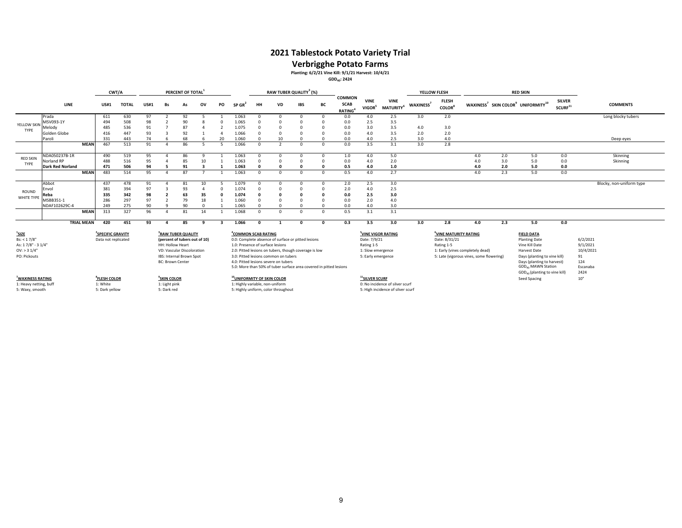**Verbrigghe Potato Farms Planting: 6/2/21 Vine Kill: 9/1/21 Harvest: 10/4/21 GDD40: 2424**

|                                                                                   |                         |                   | CWT/A                                                |              |             |                                                                                                             | PERCENT OF TOTAL <sup>1</sup>  |          |    |                                                                     | RAW TUBER QUALITY <sup>3</sup> (%) |                                                                                                                                                     |              |          |                                               |                                                                       |                                             |                       | YELLOW FLESH                                                                                                                        |     |     | <b>RED SKIN</b>                                                                                             |                                      |                                         |
|-----------------------------------------------------------------------------------|-------------------------|-------------------|------------------------------------------------------|--------------|-------------|-------------------------------------------------------------------------------------------------------------|--------------------------------|----------|----|---------------------------------------------------------------------|------------------------------------|-----------------------------------------------------------------------------------------------------------------------------------------------------|--------------|----------|-----------------------------------------------|-----------------------------------------------------------------------|---------------------------------------------|-----------------------|-------------------------------------------------------------------------------------------------------------------------------------|-----|-----|-------------------------------------------------------------------------------------------------------------|--------------------------------------|-----------------------------------------|
|                                                                                   | LINE                    |                   | <b>US#1</b>                                          | <b>TOTAL</b> | <b>US#1</b> | Bs                                                                                                          | As                             | ov       | PO | SP GR'                                                              | HH                                 | <b>VD</b>                                                                                                                                           | IBS          | BC       | <b>COMMON</b><br><b>SCAB</b><br><b>RATING</b> | <b>VINE</b><br>VIGOR <sup>5</sup>                                     | <b>VINE</b><br><b>MATURITY</b> <sup>6</sup> | WAXINESS <sup>7</sup> | <b>FLESH</b><br><b>COLOR</b> <sup>8</sup>                                                                                           |     |     | WAXINESS <sup>7</sup> SKIN COLOR <sup>9</sup> UNIFORMITY <sup>10</sup>                                      | <b>SILVER</b><br>SCURF <sup>11</sup> | <b>COMMENTS</b>                         |
|                                                                                   | Prada                   |                   | 611                                                  | 630          | 97          |                                                                                                             | 92                             |          |    | 1.063                                                               |                                    | $\Omega$                                                                                                                                            | <sup>n</sup> | $\Omega$ | 0.0                                           | 4.0                                                                   | 2.5                                         | 3.0                   | 2.0                                                                                                                                 |     |     |                                                                                                             |                                      | Long blocky tubers                      |
| YELLOW SKIN                                                                       | MSV093-1Y               |                   | 494                                                  | 508          | 98          |                                                                                                             | 90                             |          |    | 1.065                                                               |                                    |                                                                                                                                                     |              |          | 0.0                                           | 2.5                                                                   | 3.5                                         |                       |                                                                                                                                     |     |     |                                                                                                             |                                      |                                         |
| TYPE                                                                              | Melody                  |                   | 485                                                  | 536          | 91          |                                                                                                             | 87                             |          |    | 1.075                                                               |                                    |                                                                                                                                                     |              |          | 0.0                                           | 3.0                                                                   | 3.5                                         | 4.0                   | 3.0                                                                                                                                 |     |     |                                                                                                             |                                      |                                         |
|                                                                                   | Golden Globe            |                   | 416                                                  | 447          | 93          |                                                                                                             | 92                             |          |    | 1.066                                                               |                                    |                                                                                                                                                     |              |          | 0.0                                           | 4.0                                                                   | 3.5                                         | 2.0                   | 2.0                                                                                                                                 |     |     |                                                                                                             |                                      |                                         |
|                                                                                   | Paroli                  |                   | 331                                                  | 443          | 74          |                                                                                                             | 68                             |          | 20 | 1.060                                                               |                                    | 10                                                                                                                                                  |              |          | 0.0                                           | 4.0                                                                   | 2.5                                         | 3.0                   | 4.0                                                                                                                                 |     |     |                                                                                                             |                                      | Deep eyes                               |
|                                                                                   |                         | <b>MEAN</b>       | 467                                                  | 513          | 91          |                                                                                                             | 86                             |          |    | 1.066                                                               | $\Omega$                           | $\overline{\phantom{a}}$                                                                                                                            | <sup>n</sup> | $\Omega$ | 0.0                                           | 3.5                                                                   | 3.1                                         | 3.0                   | 2.8                                                                                                                                 |     |     |                                                                                                             |                                      |                                         |
| <b>RED SKIN</b>                                                                   | NDA050237B-1R           |                   | 490                                                  | 519          | 95          |                                                                                                             | 86                             | $\Omega$ |    | 1.063                                                               | $\Omega$                           | $\Omega$                                                                                                                                            | $\Omega$     | $\Omega$ | 1.0                                           | 4.0                                                                   | 5.0                                         |                       |                                                                                                                                     | 4.0 | 2.0 | 5.0                                                                                                         | 0.0                                  | Skinning                                |
| TYPE                                                                              | Norland RP              |                   | 488                                                  | 516          | 95          |                                                                                                             | 85                             | 10       |    | 1.063                                                               | $\Omega$                           | $\Omega$                                                                                                                                            |              |          | 0.0                                           | 4.0                                                                   | 2.0                                         |                       |                                                                                                                                     | 4.0 | 3.0 | 5.0                                                                                                         | 0.0                                  | Skinning                                |
|                                                                                   | <b>Dark Red Norland</b> |                   | 471                                                  | 506          | 94          |                                                                                                             | 91                             |          |    | 1.063                                                               |                                    |                                                                                                                                                     |              |          | 0.5                                           | 4.0                                                                   | 1.0                                         |                       |                                                                                                                                     | 4.0 | 2.0 | 5.0                                                                                                         | 0.0                                  |                                         |
|                                                                                   |                         | <b>MEAN</b>       | 483                                                  | 514          | 95          | $\Lambda$                                                                                                   | 87                             |          |    | 1.063                                                               | $\Omega$                           | $\Omega$                                                                                                                                            | $\Omega$     | $\Omega$ | 0.5                                           | 4.0                                                                   | 2.7                                         |                       |                                                                                                                                     | 4.0 | 2.3 | 5.0                                                                                                         | 0.0                                  |                                         |
| ROUND<br>WHITE TYPE                                                               | Abbot                   |                   | 437                                                  | 478          | 91          |                                                                                                             | 81                             | 10       |    | 1.079                                                               | $\Omega$                           | $\Omega$                                                                                                                                            |              | $\Omega$ | 2.0                                           | 2.5                                                                   | 3.0                                         |                       |                                                                                                                                     |     |     |                                                                                                             |                                      | Blocky, non-uniform type                |
|                                                                                   | :nvol                   |                   | 381                                                  | 394          | 97          |                                                                                                             | 93                             |          |    | 1.074                                                               |                                    | $\Omega$                                                                                                                                            |              |          | 2.0                                           | 4.0                                                                   | 2.5                                         |                       |                                                                                                                                     |     |     |                                                                                                             |                                      |                                         |
|                                                                                   | Reba                    |                   | 335                                                  | 342          | 98          | $\overline{2}$                                                                                              | 63                             | 35       |    | 1.074                                                               |                                    |                                                                                                                                                     |              |          | 0.0                                           | 2.5                                                                   | 3.0                                         |                       |                                                                                                                                     |     |     |                                                                                                             |                                      |                                         |
|                                                                                   | MSBB351-1               |                   | 286                                                  | 297          | 97          | $\overline{z}$                                                                                              | 79                             | 18       |    | 1.060                                                               |                                    | $\Omega$                                                                                                                                            |              |          | 0.0                                           | 2.0                                                                   | 4.0                                         |                       |                                                                                                                                     |     |     |                                                                                                             |                                      |                                         |
|                                                                                   | NDAF102629C-4           |                   | 249                                                  | 275          | 90          |                                                                                                             | 90                             | $\Omega$ |    | 1.065                                                               |                                    | $\Omega$                                                                                                                                            |              |          | 0.0                                           | 4.0                                                                   | 3.0                                         |                       |                                                                                                                                     |     |     |                                                                                                             |                                      |                                         |
|                                                                                   |                         | <b>MEAN</b>       | 313                                                  | 327          | 96          |                                                                                                             | 81                             | 14       |    | 1.068                                                               |                                    | $\Omega$                                                                                                                                            | $\Omega$     | $\Omega$ | 0.5                                           | 3.1                                                                   | 3.1                                         |                       |                                                                                                                                     |     |     |                                                                                                             |                                      |                                         |
|                                                                                   |                         | <b>TRIAL MEAN</b> | 420                                                  | 451          | 93          |                                                                                                             | 85                             |          |    | 1.066                                                               |                                    |                                                                                                                                                     | C            | n        | 0.3                                           | 3.5                                                                   | 3.0                                         | 3.0                   | 2.8                                                                                                                                 | 4.0 | 2.3 | 5.0                                                                                                         | 0.0                                  |                                         |
| $1$ SIZE<br>Bs: < 1.7/8"<br>As: 17/8" - 31/4"<br>$OV:$ > 3 $1/4"$<br>PO: Pickouts |                         |                   | <sup>2</sup> SPECIFIC GRAVITY<br>Data not replicated |              |             | (percent of tubers out of 10)<br>HH: Hollow Heart<br>VD: Vascular Discoloration<br>IBS: Internal Brown Spot | <sup>3</sup> RAW TUBER QUALITY |          |    | <sup>4</sup> COMMON SCAB RATING<br>1.0: Presence of surface lesions |                                    | 0.0: Complete absence of surface or pitted lesions<br>2.0: Pitted lesions on tubers, though coverage is low<br>3.0: Pitted lesions common on tubers |              |          |                                               | Date: 7/9/21<br>Rating 1-5<br>1: Slow emergence<br>5: Early emergence | <sup>5</sup> VINE VIGOR RATING              |                       | UINE MATURITY RATING<br>Date: 8/31/21<br>Rating 1-5<br>1: Early (vines completely dead)<br>5: Late (vigorous vines, some flowering) |     |     | <b>FIELD DATA</b><br><b>Planting Date</b><br>Vine Kill Date<br>Harvest Date<br>Days (planting to vine kill) |                                      | 6/2/2021<br>9/1/2021<br>10/4/2021<br>91 |
|                                                                                   |                         |                   |                                                      |              |             | <b>BC: Brown Center</b>                                                                                     |                                |          |    |                                                                     |                                    | 4.0: Pitted lesions severe on tubers<br>5.0: More than 50% of tuber surface area covered in pitted lesions                                          |              |          |                                               |                                                                       |                                             |                       |                                                                                                                                     |     |     | Days (planting to harvest)<br>GDD <sub>40</sub> MAWN Station<br>GDD <sub>40</sub> (planting to vine kill)   |                                      | 124<br>Escanaba<br>2424                 |
| <sup>7</sup> WAXINESS RATING                                                      |                         |                   | <sup>8</sup> FLESH COLOR                             |              |             | <sup>9</sup> SKIN COLOR                                                                                     |                                |          |    | <sup>10</sup> UNIFORMITY OF SKIN COLOR                              |                                    |                                                                                                                                                     |              |          |                                               | <sup>11</sup> SILVER SCURF                                            |                                             |                       |                                                                                                                                     |     |     | Seed Spacing                                                                                                |                                      | 10"                                     |
| 1: Heavy netting, buff                                                            |                         |                   | 1: White                                             |              |             | 1: Light pink                                                                                               |                                |          |    | 1: Highly variable, non-uniform                                     |                                    |                                                                                                                                                     |              |          |                                               |                                                                       | 0: No incidence of silver scurf             |                       |                                                                                                                                     |     |     |                                                                                                             |                                      |                                         |
| 5: Waxy, smooth                                                                   |                         |                   | 5: Dark yellow                                       |              |             | 5: Dark red                                                                                                 |                                |          |    |                                                                     |                                    | 5: Highly uniform, color throughout                                                                                                                 |              |          |                                               |                                                                       | 5: High incidence of silver scurf           |                       |                                                                                                                                     |     |     |                                                                                                             |                                      |                                         |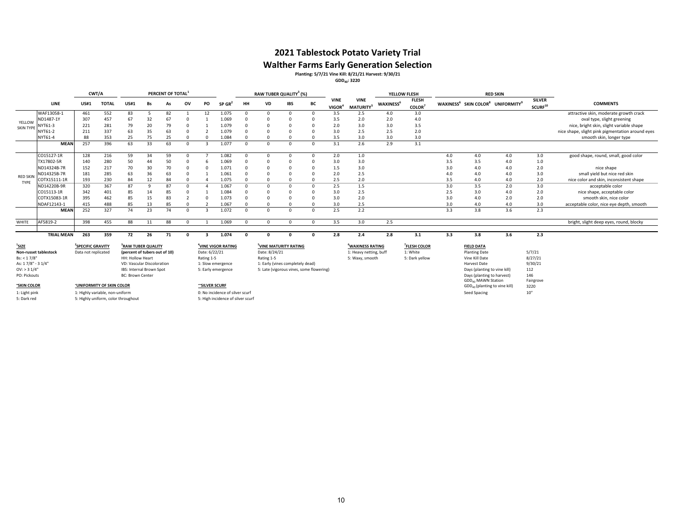# **Walther Farms Early Generation Selection Planting: 5/7/21 Vine Kill: 8/21/21 Harvest: 9/30/21 GDD40: 3220**

|                                   |                   | CWT/A                                                                  |                                 |                                                                 |           | PERCENT OF TOTAL |          |               |                                   | RAW TUBER QUALITY <sup>3</sup> (%) |               |                                          |            |                                   |                                                        | YELLOW FLESH                 |                                      |     |                                                                       | <b>RED SKIN</b>                           |                                      |                                                  |
|-----------------------------------|-------------------|------------------------------------------------------------------------|---------------------------------|-----------------------------------------------------------------|-----------|------------------|----------|---------------|-----------------------------------|------------------------------------|---------------|------------------------------------------|------------|-----------------------------------|--------------------------------------------------------|------------------------------|--------------------------------------|-----|-----------------------------------------------------------------------|-------------------------------------------|--------------------------------------|--------------------------------------------------|
|                                   | LINE              | US#1                                                                   | <b>TOTAL</b>                    | US#1                                                            | <b>Bs</b> | As               | ov       | PO            | $SP$ GR <sup>2</sup>              | HH                                 | VD            | <b>IBS</b>                               | BC         | <b>VINE</b><br>VIGOR <sup>4</sup> | <b>VINE</b><br><b>MATURITY<sup>5</sup></b>             | <b>WAXINESS</b> <sup>6</sup> | <b>FLESH</b><br>COLOR <sup>7</sup>   |     | WAXINESS <sup>6</sup> SKIN COLOR <sup>8</sup> UNIFORMITY <sup>9</sup> |                                           | <b>SILVER</b><br>SCURF <sup>10</sup> | <b>COMMENTS</b>                                  |
|                                   | WAF13058-1        | 461                                                                    | 552                             | 83                                                              |           | 82               |          | 12            | 1.075                             |                                    | $\Omega$      |                                          | $\Omega$   | 3.5                               | 2.5                                                    | 4.0                          | 3.0                                  |     |                                                                       |                                           |                                      | attractive skin, moderate growth crack           |
| YELLOW                            | ND1487-1Y         | 307                                                                    | 457                             | 67                                                              | 32        | 67               |          |               | 1.069                             |                                    |               |                                          |            | 3.5                               | 2.0                                                    | 2.0                          | 4.0                                  |     |                                                                       |                                           |                                      | oval type, slight greening                       |
| <b>SKIN TYPE</b>                  | NYT61-3           | 221                                                                    | 281                             | 79                                                              | 20        | 79               |          |               | 1.079                             |                                    |               |                                          |            | 2.0                               | 3.0                                                    | 3.0                          | 3.5                                  |     |                                                                       |                                           |                                      | nice, bright skin, slight variable shape         |
|                                   | NYT61-2           | 211                                                                    | 337                             | 63                                                              | 35        | 63               |          |               | 1.079                             | $\Omega$                           |               |                                          | $\Omega$   | 3.0                               | 2.5                                                    | 2.5                          | 2.0                                  |     |                                                                       |                                           |                                      | nice shape, slight pink pigmentation around eyes |
|                                   | NYT61-4           | 88                                                                     | 353                             | 25                                                              | 75        | 25               |          |               | 1.084                             |                                    |               |                                          |            | 3.5                               | 3.0                                                    | 3.0                          | 3.0                                  |     |                                                                       |                                           |                                      | smooth skin, longer type                         |
|                                   | <b>MEAN</b>       | 257                                                                    | 396                             | 63                                                              | 33        | 63               |          |               | 1.077                             | $\Omega$                           | $\Omega$      | $\Omega$                                 | $\sqrt{ }$ | 3.1                               | 2.6                                                    | 2.9                          | 3.1                                  |     |                                                                       |                                           |                                      |                                                  |
|                                   | CO15127-1R        | 128                                                                    | 216                             | 59                                                              | 34        | 59               |          |               | 1.082                             | $\Omega$                           | $\Omega$      | $\Omega$                                 | $\Omega$   | 2.0                               | 1.0                                                    |                              |                                      | 4.0 | 4.0                                                                   | 4.0                                       | 3.0                                  | good shape, round, small, good color             |
|                                   | TX17802-5R        | 140                                                                    | 280                             | 50                                                              | 44        | 50               |          |               | 1.069                             | n                                  |               |                                          | $\Omega$   | 3.0                               | 3.0                                                    |                              |                                      | 3.5 | 3.5                                                                   | 4.0                                       | 1.0                                  |                                                  |
|                                   | ND14324B-7R       | 152                                                                    | 217                             | 70                                                              | 30        | 70               |          |               | 1.071                             |                                    |               |                                          |            | 1.5                               | 3.0                                                    |                              |                                      | 3.0 | 4.0                                                                   | 4.0                                       | 2.0                                  | nice shape                                       |
|                                   | ND14325B-7R       | 181                                                                    | 285                             | 63                                                              | 36        | 63               |          |               | 1.061                             |                                    |               |                                          | $\Omega$   | 2.0                               | 2.5                                                    |                              |                                      | 4.0 | 4.0                                                                   | 4.0                                       | 3.0                                  | small vield but nice red skin                    |
| <b>RED SKIN</b>                   | COTX15111-1R      | 193                                                                    | 230                             | 84                                                              | 12        | 84               |          |               | 1.075                             |                                    |               |                                          | $\Omega$   | 2.5                               | 2.0                                                    |                              |                                      | 3.5 | 4.0                                                                   | 4.0                                       | 2.0                                  | nice color and skin, inconsistent shape          |
| TYPE                              | ND14220B-9R       | 320                                                                    | 367                             | 87                                                              | $\Omega$  | 87               |          |               | 1.067                             |                                    | $\Omega$      |                                          | $\Omega$   | 2.5                               | 1.5                                                    |                              |                                      | 3.0 | 3.5                                                                   | 2.0                                       | 3.0                                  | acceptable color                                 |
|                                   | CO15113-1R        | 342                                                                    | 401                             | 85                                                              | 14        | 85               |          |               | 1.084                             |                                    |               |                                          | $\Omega$   | 3.0                               | 2.5                                                    |                              |                                      | 2.5 | 3.0                                                                   | 4.0                                       | 2.0                                  | nice shape, acceptable color                     |
|                                   | COTX15083-1R      | 395                                                                    | 462                             | 85                                                              | 15        | 83               |          |               | 1.073                             |                                    |               |                                          |            | 3.0                               | 2.0                                                    |                              |                                      | 3.0 | 4.0                                                                   | 2.0                                       | 2.0                                  | smooth skin, nice color                          |
|                                   | NDAF12143-1       | 415                                                                    | 488                             | 85                                                              | 13        | 85               |          |               | 1.067                             |                                    |               |                                          | $\Omega$   | 3.0                               | 2.5                                                    |                              |                                      | 3.0 | 4.0                                                                   | 4.0                                       | 3.0                                  | acceptable color, nice eye depth, smooth         |
|                                   | <b>MEAN</b>       | 252                                                                    | 327                             | 74                                                              | 23        | 74               |          |               | 1.072                             | $\Omega$                           | $\Omega$      | $\Omega$                                 | $\Omega$   | 2.5                               | 2.2                                                    |                              |                                      | 3.3 | 3.8                                                                   | 3.6                                       | 2.3                                  |                                                  |
| WHITE                             | AF5819-2          | 398                                                                    | 455                             | 88                                                              | 11        | 88               |          |               | 1.069                             | $\Omega$                           | $\Omega$      | $\Omega$                                 | $\Omega$   | 3.5                               | 3.0                                                    | 2.5                          |                                      |     |                                                                       |                                           |                                      | bright, slight deep eyes, round, blocky          |
|                                   | <b>TRIAL MEAN</b> | 263                                                                    | 359                             | 72                                                              | 26        | 71               | $\Omega$ |               | 1.074                             | $\sqrt{2}$                         | $\Omega$      | $\Omega$                                 | $\sqrt{ }$ | 2.8                               | 2.4                                                    | 2.8                          | 3.1                                  | 3.3 | 3.8                                                                   | 3.6                                       | 2.3                                  |                                                  |
| $1$ SIZE<br>Non-russet tablestock |                   | <sup>2</sup> SPECIFIC GRAVITY<br>Data not replicated                   |                                 | <sup>3</sup> RAW TUBER QUALITY<br>(percent of tubers out of 10) |           |                  |          | Date: 6/22/21 | <sup>4</sup> VINE VIGOR RATING    |                                    | Date: 8/24/21 | <sup>5</sup> VINE MATURITY RATING        |            |                                   | <sup>6</sup> WAXINESS RATING<br>1: Heavy netting, buff |                              | <sup>7</sup> FLESH COLOR<br>1: White |     | <b>FIELD DATA</b><br><b>Planting Date</b>                             |                                           | 5/7/21                               |                                                  |
| Bs: < 1.7/8"                      |                   |                                                                        |                                 | HH: Hollow Heart                                                |           |                  |          | Rating 1-5    |                                   |                                    | Rating 1-5    |                                          |            |                                   | 5: Waxy, smooth                                        |                              | 5: Dark yellow                       |     | Vine Kill Date                                                        |                                           | 8/27/21                              |                                                  |
| As: 17/8" - 3 1/4"                |                   |                                                                        |                                 | VD: Vascular Discoloration                                      |           |                  |          |               | 1: Slow emergence                 |                                    |               | 1: Early (vines completely dead)         |            |                                   |                                                        |                              |                                      |     | Harvest Date                                                          |                                           | 9/30/21                              |                                                  |
| OV: > 31/4"                       |                   |                                                                        |                                 | IBS: Internal Brown Spot                                        |           |                  |          |               | 5: Early emergence                |                                    |               | 5: Late (vigorous vines, some flowering) |            |                                   |                                                        |                              |                                      |     | Days (planting to vine kill)                                          |                                           | 112                                  |                                                  |
| PO: Pickouts                      |                   |                                                                        |                                 | <b>BC: Brown Center</b>                                         |           |                  |          |               |                                   |                                    |               |                                          |            |                                   |                                                        |                              |                                      |     | Days (planting to harvest)<br><b>GDD<sub>40</sub> MAWN Station</b>    |                                           | 146                                  |                                                  |
| "SKIN COLOR                       |                   |                                                                        | <b>UNIFORMITY OF SKIN COLOR</b> |                                                                 |           |                  |          | "SILVER SCURF |                                   |                                    |               |                                          |            |                                   |                                                        |                              |                                      |     |                                                                       | GDD <sub>40</sub> (planting to vine kill) | Fairgrove<br>3220                    |                                                  |
|                                   |                   |                                                                        |                                 |                                                                 |           |                  |          |               | 0: No incidence of silver scurf   |                                    |               |                                          |            |                                   |                                                        |                              |                                      |     |                                                                       |                                           | 10"                                  |                                                  |
| 1: Light pink<br>5: Dark red      |                   | 1: Highly variable, non-uniform<br>5: Highly uniform, color throughout |                                 |                                                                 |           |                  |          |               | 5: High incidence of silver scurf |                                    |               |                                          |            |                                   |                                                        |                              |                                      |     | Seed Spacing                                                          |                                           |                                      |                                                  |
|                                   |                   |                                                                        |                                 |                                                                 |           |                  |          |               |                                   |                                    |               |                                          |            |                                   |                                                        |                              |                                      |     |                                                                       |                                           |                                      |                                                  |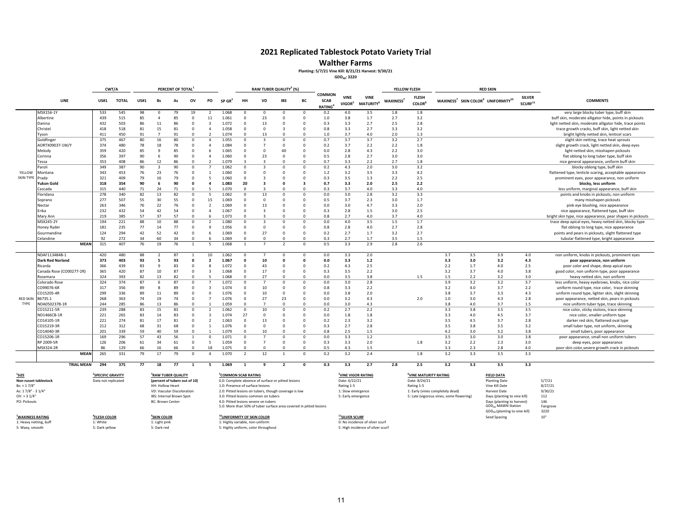#### **2021 Replicated Tablestock Potato Variety Trial**

#### **Walther Farms**

#### **Planting: 5/7/21 Vine Kill: 8/21/21 Harvest: 9/30/21**

**GDD40: 3220**

| CWT/A                                      |                          |                         |                         |             | PERCENT OF TOTAL   |                                |                         |                          |                                                                                                            | RAW TUBER QUALITY <sup>3</sup> (%) |                                                       |                             |                         |                                                     |                                   |                                                                | YELLOW FLESH          |                              |                                                                                                           | <b>RED SKIN</b> |                                                                        |                                      |                                                                      |
|--------------------------------------------|--------------------------|-------------------------|-------------------------|-------------|--------------------|--------------------------------|-------------------------|--------------------------|------------------------------------------------------------------------------------------------------------|------------------------------------|-------------------------------------------------------|-----------------------------|-------------------------|-----------------------------------------------------|-----------------------------------|----------------------------------------------------------------|-----------------------|------------------------------|-----------------------------------------------------------------------------------------------------------|-----------------|------------------------------------------------------------------------|--------------------------------------|----------------------------------------------------------------------|
|                                            | LINE                     | <b>US#1</b>             | <b>TOTAL</b>            | <b>US#1</b> | Bs                 | As                             | ov                      | PO                       | $SP$ GR <sup>2</sup>                                                                                       | HH                                 | VD                                                    | <b>IBS</b>                  | BC                      | COMMON<br><b>SCAB</b><br><b>RATING</b> <sup>4</sup> | <b>VINE</b><br>VIGOR <sup>5</sup> | <b>VINE</b><br>MATURITY <sup>6</sup>                           | WAXINESS <sup>7</sup> | <b>FLESH</b><br><b>COLOR</b> |                                                                                                           |                 | WAXINESS <sup>7</sup> SKIN COLOR <sup>9</sup> UNIFORMITY <sup>10</sup> | <b>SILVER</b><br>SCURF <sup>11</sup> | <b>COMMENTS</b>                                                      |
|                                            | MSX156-1Y                | 533                     | 545                     | 98          | 0                  | 79                             | 19                      | 2                        | 1.068                                                                                                      | $\Omega$                           | $\Omega$                                              | $\Omega$                    | $\Omega$                | 0.2                                                 | 4.0                               | 3.5                                                            | 1.8                   | 1.8                          |                                                                                                           |                 |                                                                        |                                      | very large blocky tuber type, buff skin                              |
|                                            | Albertine                | 439                     | 515                     | 85          | $\overline{4}$     | 85                             | $\Omega$                | 11                       | 1.061                                                                                                      | $\Omega$                           | 23                                                    | $\Omega$                    | $\Omega$                | 1.0                                                 | 3.8                               | 1.7                                                            | 2.7                   | 3.2                          |                                                                                                           |                 |                                                                        |                                      | buff skin, moderate alligator hide, points in pickouts               |
|                                            | Danina                   | 432                     | 503                     | 86          | 11                 | 86                             | $^{\circ}$              | $\overline{\mathbf{3}}$  | 1.072                                                                                                      | $^{\circ}$                         | 13                                                    | $\Omega$                    | $\Omega$                | 0.3                                                 | 3.3                               | 2.7                                                            | 2.5                   | 2.8                          |                                                                                                           |                 |                                                                        |                                      | light netted skin, moderate alligator hide, trace points             |
|                                            | Christel                 | 418                     | 518                     | 81          | 15                 | 81                             | $\Omega$                | $\Delta$                 | 1.058                                                                                                      | $\Omega$                           | $\Omega$                                              | 3                           | $\Omega$                | 0.8                                                 | 3.3                               | 2.7                                                            | 3.3                   | 3.2                          |                                                                                                           |                 |                                                                        |                                      | trace growth cracks, buff skin, light netted skin                    |
|                                            | Tyson                    | 411                     | 450                     | 91          | $\overline{7}$     | 91                             | $\Omega$                | $\overline{2}$           | 1.074                                                                                                      | $\Omega$                           | 13                                                    | $\Omega$                    | $\Omega$                | 1.0                                                 | 3.7                               | 4.0                                                            | 2.0                   | 1.3                          |                                                                                                           |                 |                                                                        |                                      | bright lightly netted skin, lenticel scars                           |
|                                            | Goldfinger               | 375                     | 467                     | 80          | 16                 | 80                             | $\Omega$                | $\overline{4}$           | 1.055                                                                                                      | $\Omega$                           | 3                                                     | $\Omega$                    | $\Omega$                | 0.7                                                 | 3.7                               | 3.7                                                            | 3.2                   | 2.7                          |                                                                                                           |                 |                                                                        |                                      | slight skin netting, trace heat sprouts                              |
|                                            | AORTX09037-1W/Y          | 374                     | 480                     | 78          | 18<br>$\mathbf{q}$ | 78                             | $^{\circ}$<br>$\Omega$  | $\overline{4}$<br>6      | 1.084                                                                                                      | $\Omega$                           | $\overline{7}$<br>$\Omega$                            | $\Omega$<br>$\Delta \Gamma$ | $\Omega$<br>$\Omega$    | 0.2                                                 | 3.7                               | 2.2                                                            | 2.2                   | 1.8                          |                                                                                                           |                 |                                                                        |                                      | slight growth crack, light netted skin, deep eyes                    |
|                                            | Melody                   | 359                     | 420                     | 85          |                    | 85<br>90                       | $\Omega$                | $\overline{4}$           | 1.065<br>1.060                                                                                             | $\Omega$<br>$\Omega$               | 23                                                    | $\Omega$                    | $\Omega$                | 0.0                                                 | 2.8<br>2.8                        | 4.3<br>2.7                                                     | 2.2                   | 3.0                          |                                                                                                           |                 |                                                                        |                                      | light netted skin, misshapen pickouts                                |
|                                            | Corinna                  | 356<br>353              | 397<br>408              | 90<br>86    | 6<br>12            | 86                             | $\Omega$                | $\mathcal{D}$            |                                                                                                            | в                                  | $\overline{\mathbf{z}}$                               | $\Omega$                    | $\Omega$                | 0.5<br>0.7                                          | 3.3                               | 2.2                                                            | 3.0<br>2.7            | 3.0<br>1.8                   |                                                                                                           |                 |                                                                        |                                      | flat oblong to long tuber type, buff skin                            |
|                                            | essa                     | 349                     | 387                     | 90          | 3                  | 90                             | $\Omega$                |                          | 1.079<br>1.062                                                                                             | $\Omega$                           | $\overline{\mathbf{3}}$                               | $\Omega$                    | $\Omega$                | 0.2                                                 | 4.3                               | 2.0                                                            | 3.0                   | 3.2                          |                                                                                                           |                 |                                                                        |                                      | nice general appearance, uniform buff skin                           |
| YELLOW                                     | Paroli<br>Montana        | 343                     | 453                     | 76          | 23                 | 76                             | $\overline{0}$          |                          | 1.060                                                                                                      | $\Omega$                           | $\Omega$                                              | $\Omega$                    | $\Omega$                | 1.2                                                 | 3.2                               | 3.5                                                            | 3.3                   | 4.2                          |                                                                                                           |                 |                                                                        |                                      | blocky oblong type, buff skin                                        |
| SKIN TYPE Prada                            |                          | 321                     | 409                     | 79          | 16                 | 79                             | $^{\circ}$              | 5                        | 1.060                                                                                                      | $^{\circ}$                         | $\overline{\mathbf{3}}$                               |                             | $\Omega$                | 0.3                                                 | 3.5                               | 1.3                                                            | 2.2                   | 2.5                          |                                                                                                           |                 |                                                                        |                                      | flattened type, lenticle scaring, acceptable appearance              |
|                                            | Yukon Gold               | 318                     | 354                     | 90          | 6                  | 90                             | $\mathbf{0}$            | $\Delta$                 | 1.083                                                                                                      | 20                                 | 3                                                     |                             | $\overline{\mathbf{a}}$ | 0.7                                                 | 3.3                               | 2.0                                                            | 2.5                   | 2.2                          |                                                                                                           |                 |                                                                        |                                      | prominent eyes, poor appearance, non uniform<br>blocky, less uniform |
|                                            | Cascada                  | 315                     | 440                     | 71          | 24                 | 71                             | $\Omega$                | 5                        | 1.070                                                                                                      | $\Omega$                           | $\mathbf{R}$                                          | $\Omega$                    | $\Omega$                | 0.3                                                 | 3.7                               | 4.0                                                            | 3.3                   | 4.0                          |                                                                                                           |                 |                                                                        |                                      | less uniform, marginal appearance, buff skin                         |
|                                            | Floridana                | 278                     | 340                     | 82          | 13                 | 82                             | $\Omega$                | 5                        | 1.062                                                                                                      | $\Omega$                           | 13                                                    | $\Omega$                    | $\Omega$                | 0.0                                                 | 3.0                               | 2.8                                                            | 3.2                   | 3.3                          |                                                                                                           |                 |                                                                        |                                      | points and knobs in pickouts, non uniform                            |
|                                            | Soprano                  | 277                     | 507                     | 55          | 30                 | 55                             | $\Omega$                | 15                       | 1.069                                                                                                      | $\Omega$                           | $\Omega$                                              | $\Omega$                    | $\Omega$                | 0.5                                                 | 3.7                               | 2.3                                                            | 3.0                   | 1.7                          |                                                                                                           |                 |                                                                        |                                      | many misshapen pickouts                                              |
|                                            | Nectar                   | 263                     | 346                     | 76          | 22                 | 76                             | $\Omega$                | $\overline{2}$           | 1.069                                                                                                      | $\Omega$                           | 13                                                    | $\Omega$                    | $\Omega$                | 0.0                                                 | 3.0                               | 4.7                                                            | 3.3                   | 2.0                          |                                                                                                           |                 |                                                                        |                                      | pink eye blushing, nice appearance                                   |
|                                            | Erika                    | 232                     | 432                     | 54          | 42                 | 54                             | $\Omega$                | $\overline{4}$           | 1.067                                                                                                      | $\Omega$                           | $\overline{\mathbf{3}}$                               | $\Omega$                    | $\Omega$                | 0.3                                                 | 2.8                               | 1.5                                                            | 3.0                   | 2.5                          |                                                                                                           |                 |                                                                        |                                      | nice appearance, flattened type, buff skin                           |
|                                            | Mary Ann                 | 219                     | 385                     | 57          | 37                 | 57                             | $\Omega$                | 6                        | 1.073                                                                                                      | $\Omega$                           | $\overline{\mathbf{z}}$                               | $\Omega$                    | $\Omega$                | 0.8                                                 | 2.7                               | 4.0                                                            | 3.7                   | 4.0                          |                                                                                                           |                 |                                                                        |                                      | bright skin type, nice appearance, pear shapes in pickouts           |
|                                            | MSX245-2Y                | 194                     | 221                     | 88          | 10                 | 88                             | $\Omega$                | $\overline{2}$           | 1.080                                                                                                      | $\Omega$                           | $\overline{\mathbf{3}}$                               | $\Omega$                    | $\Omega$                | 0.0                                                 | 4.0                               | 3.5                                                            | 1.5                   | 1.7                          |                                                                                                           |                 |                                                                        |                                      | trace deep apical eyes, heavy netted skin, blocky type               |
|                                            | Honey Ryder              | 181                     | 235                     | 77          | 14                 | 77                             | $\Omega$                | $\mathbf{Q}$             | 1.056                                                                                                      | $\Omega$                           | $\Omega$                                              | $\Omega$                    | $\Omega$                | 0.8                                                 | 2.8                               | 4.0                                                            | 2.7                   | 2.8                          |                                                                                                           |                 |                                                                        |                                      | flat oblong to long type, nice appearance                            |
|                                            | Gourmandine              | 124                     | 294                     | 42          | 52                 | 42                             | $\overline{\mathbf{0}}$ | 6                        | 1.069                                                                                                      | $\Omega$                           | 27                                                    | $\Omega$                    | $\mathbf 0$             | 0.2                                                 | 2.7                               | 1.7                                                            | 3.2                   | 2.7                          |                                                                                                           |                 |                                                                        |                                      | points and pears in pickouts, slight flattened type                  |
|                                            | Celandine                | 92                      | 272                     | 34          | 60                 | 34                             | $\Omega$                |                          | 1.069                                                                                                      | $\Omega$                           | $\Omega$                                              | $\Omega$                    | $\Omega$                | 0.3                                                 | 2.7                               | 1.7                                                            | 3.5                   | 1.5                          |                                                                                                           |                 |                                                                        |                                      | tubular flattened type, bright appearance                            |
|                                            |                          | <b>MEAN</b><br>315      | 407                     | 76          | 19                 | 76                             | $\mathbf{1}$            | 5                        | 1.068                                                                                                      | $\overline{1}$                     |                                                       | $\mathcal{P}$               | $\Omega$                | 0.5                                                 | 3.3                               | 2.9                                                            | 2.8                   | 2.6                          |                                                                                                           |                 |                                                                        |                                      |                                                                      |
|                                            |                          |                         |                         |             |                    |                                |                         |                          |                                                                                                            |                                    |                                                       |                             |                         |                                                     |                                   |                                                                |                       |                              |                                                                                                           |                 |                                                                        |                                      |                                                                      |
|                                            | NDAF113484B-1            | 420                     | 480                     | 88          | 2                  | 87                             |                         | 10                       | 1.062                                                                                                      | $\Omega$                           |                                                       | $\Omega$                    | $\Omega$                | 0.0                                                 | 3.3                               | 2.0                                                            |                       |                              | 3.7                                                                                                       | 3.5             | 3.9                                                                    | 4.0                                  | non uniform, knobs in pickouts, prominent eyes                       |
|                                            | <b>Dark Red Norland</b>  | 373                     | 403                     | 93          | 5                  | 93                             | $\mathbf{0}$            | $\overline{2}$           | 1.067                                                                                                      | $\mathbf{0}$                       | 10                                                    | $\mathsf{r}$                | O                       | 0.0                                                 | 3.3                               | 1.2                                                            |                       |                              | 3.3                                                                                                       | 3.0             | 3.2                                                                    | 4.3                                  | poor appearance, non uniform                                         |
|                                            | Ricarda                  | 366                     | 439                     | 83          | 9                  | 83                             | $\Omega$                | 8                        | 1.072                                                                                                      | $\Omega$                           | 43                                                    | $\Omega$                    | $\Omega$                | 0.2                                                 | 4.3                               | 2.5                                                            |                       |                              | 2.2                                                                                                       | 1.7             | 4.0                                                                    | 2.5                                  | poor color and shape, deep apical eyes                               |
|                                            | Canada Rose (CO00277-2R) | 365                     | 420                     | 87          | 10                 | 87                             | $\Omega$                | $\overline{3}$           | 1.068                                                                                                      | $\Omega$                           | 17                                                    | $\Omega$                    | $\Omega$                | 0.3                                                 | 3.5                               | 2.2                                                            |                       |                              | 3.2                                                                                                       | 3.7             | 4.0                                                                    | 3.8                                  | good color, non uniform type, poor appearance                        |
|                                            | Rosemara                 | 324                     | 393                     | 82          | 13                 | 82                             | $\Omega$                | 5                        | 1.068                                                                                                      | $\Omega$                           | 27                                                    | $\Omega$                    | $\Omega$                | 0.0                                                 | 3.5                               | 3.8                                                            |                       | 1.5                          | 1.5                                                                                                       | 2.2             | 3.2                                                                    | 3.0                                  | heavy netted skin, non uniform                                       |
|                                            | Colorado Rose            | 324                     | 374                     | 87          | 6                  | 87                             | $^{\circ}$              |                          | 1.072                                                                                                      | $\Omega$                           | $\overline{7}$                                        | $\Omega$                    | $\mathbf 0$             | 0.0                                                 | 3.0                               | 2.8                                                            |                       |                              | 3.9                                                                                                       | 3.2             | 3.2                                                                    | 3.7                                  | less uniform, heavy eyebrows, knobs, nice color                      |
|                                            | CO99076-6R               | 317                     | 356                     | 89          | 8                  | 89                             | $\Omega$                | $\overline{3}$           | 1.074                                                                                                      | $\Omega$                           | 10                                                    | $\Omega$                    | $\Omega$                | 0.8                                                 | 3.3                               | 2.2                                                            |                       |                              | 3.2                                                                                                       | 4.0             | 3.7                                                                    | 2.2                                  | uniform round type, nice color, trace skinning                       |
|                                            | CO15205-4R               | 299                     | 336                     | 89          | 11                 | 89                             | $\Omega$                | $\Omega$                 | 1.076                                                                                                      | $\Omega$                           | 10                                                    | $\Omega$                    | $\Omega$                | 0.0                                                 | 3.8                               | 2.0                                                            |                       |                              | 3.8                                                                                                       | 3.7             | 3.3                                                                    | 4.3                                  | uniform round type, lighter skin, slight skinning                    |
| <b>RED SKIN</b>                            | 86735.1                  | 268                     | 363                     | 74          | 19                 | 74                             | $\overline{\mathbf{0}}$ | $\overline{7}$           | 1.076                                                                                                      | $\Omega$                           | 27                                                    | 23                          | $\mathbf 0$             | 0.0                                                 | 3.2                               | 4.3                                                            |                       | 2.0                          | 1.0                                                                                                       | 3.0             | 4.3                                                                    | 2.8                                  | poor appearance, netted skin, pears in pickouts                      |
| TYPE                                       | NDA050237B-1R            | 244                     | 285                     | 86          | 13                 | 86                             | $\Omega$                |                          | 1.059                                                                                                      | $\Omega$                           |                                                       | $\Omega$                    | $\Omega$                | 0.0                                                 | 3.0                               | 4.3                                                            |                       |                              | 3.8                                                                                                       | 4.0             | 3.7                                                                    | 1.5                                  | nice uniform tuber type, trace skinning                              |
|                                            | CO15211-5R               | 239                     | 288                     | 83          | 15                 | 83                             | $\mathbf 0$             | $\overline{2}$           | 1.062                                                                                                      | $^{\circ}$                         | 10                                                    | $\Omega$                    | $\Omega$                | 0.2                                                 | 2.7                               | 2.2                                                            |                       |                              | 3.3                                                                                                       | 3.8             | 3.5                                                                    | 3.5                                  | nice color, sticky stolons, trace skinning                           |
|                                            | ND1466CB-1R              | 221                     | 265                     | 83          | 14                 | 83                             | $\Omega$                | $\overline{3}$           | 1.074                                                                                                      | 27                                 | $\Omega$                                              | $\Omega$                    | $\Omega$                | 0.0                                                 | 1.8                               | 1.8                                                            |                       |                              | 3.3                                                                                                       | 4.0             | 4.5                                                                    | 3.7                                  | nice color, smaller uniform type                                     |
|                                            | CO14105-1R               | 221                     | 274                     | 81          | 17                 | 81                             | $\Omega$                | $\overline{\phantom{a}}$ | 1.063                                                                                                      | $\Omega$                           | 13                                                    | $\Omega$                    | $\Omega$                | 0.2                                                 | 2.3                               | 3.2                                                            |                       |                              | 3.5                                                                                                       | 4.5             | 3.7                                                                    | 2.8                                  | darker red skin, flattened oval type                                 |
|                                            | CO15219-3R               | 212                     | 312                     | 68          | 31                 | 68                             | $\Omega$                | $\mathbf{1}$             | 1.076                                                                                                      | $\Omega$                           | $\Omega$                                              | $\Omega$                    | $\Omega$                | 0.3                                                 | 2.7                               | 2.8                                                            |                       |                              | 3.5                                                                                                       | 3.8             | 3.5                                                                    | 3.2                                  | small tuber type, not uniform, skinning                              |
|                                            | CO14040-3R               | 201                     | 339                     | 59          | 40                 | 59                             | $\Omega$                |                          | 1.079                                                                                                      | $\Omega$                           | 10                                                    | $\Omega$                    | $\Omega$                | 0.8                                                 | 2.5                               | 1.5                                                            |                       |                              | 4.2                                                                                                       | 3.0             | 3.2                                                                    | 3.8                                  | small tubers, poor appearance                                        |
|                                            | CO15206-1R               | 169                     | 296                     | 57          | 43                 | 56                             | $\overline{1}$          | $\Omega$                 | 1.071                                                                                                      | $\Omega$                           |                                                       | $\Omega$                    | $\Omega$                | 0.0                                                 | 3.3                               | 1.2                                                            |                       |                              | 3.5                                                                                                       | 3.0             | 3.0                                                                    | 3.8                                  | poor appearance, small non uniform tubers                            |
|                                            | RP 2009-5R               | 126                     | 206                     | 61          | 34                 | 61                             | $\overline{\mathbf{0}}$ | 5                        | 1.059                                                                                                      | $\Omega$                           | $\overline{7}$                                        | $\Omega$                    | $\Omega$                | 0.3                                                 | 3.3                               | 2.0                                                            |                       | 1.8                          | 3.2                                                                                                       | 2.2             | 2.3                                                                    | 3.0                                  | deep eyes, poor appearance                                           |
|                                            | MSX324-2R                | 86                      | 129                     | 66          | 16                 | 66                             | $\Omega$                | 18<br>$\Delta$           | 1.075                                                                                                      | $\Omega$                           | $\Omega$                                              | $\Omega$                    | $\Omega$                | 0.5                                                 | 4.3                               | 1.5                                                            |                       |                              | 3.3                                                                                                       | 2.3             | 2.8                                                                    | 4.0                                  | poor skin color, severe growth crack in pickouts                     |
|                                            |                          | <b>MEAN</b><br>265      | 331                     | 79          | 17                 | 79                             | $\Omega$                |                          | 1.070                                                                                                      | $\overline{\phantom{a}}$           | 12                                                    |                             | $\Omega$                | 0.2                                                 | 3.2                               | 2.4                                                            |                       | 1.8                          | 3.2                                                                                                       | 3.3             | 3.5                                                                    | 3.3                                  |                                                                      |
|                                            | <b>TRIAL MEAN</b>        | 294                     | 375                     | 77          | 18                 | 77                             | $\mathbf{1}$            | 5                        | 1.069                                                                                                      | $\mathbf{1}$                       | 9                                                     | $\overline{2}$              | $\Omega$                | 0.3                                                 | 3.3                               | 2.7                                                            | 2.8                   | 2.5                          | 3.2                                                                                                       | 3.3             | 3.5                                                                    | 3.3                                  |                                                                      |
|                                            |                          |                         |                         |             |                    |                                |                         |                          |                                                                                                            |                                    |                                                       |                             |                         |                                                     |                                   |                                                                |                       |                              |                                                                                                           |                 |                                                                        |                                      |                                                                      |
| <sup>1</sup> SIZE<br>Non-russet tablestock |                          | <b>SPECIFIC GRAVITY</b> |                         |             |                    | <sup>3</sup> RAW TUBER QUALITY |                         |                          | "COMMON SCAB RATING                                                                                        |                                    |                                                       |                             |                         |                                                     |                                   | <b>YINE VIGOR RATING</b>                                       |                       | <b>VINE MATURITY RATING</b>  |                                                                                                           |                 | <b>FIELD DATA</b>                                                      |                                      |                                                                      |
|                                            |                          | Data not replicated     |                         |             |                    | (percent of tubers out of 10)  |                         |                          |                                                                                                            |                                    | 0.0: Complete absence of surface or pitted lesions    |                             |                         |                                                     | Date: 6/22/21                     |                                                                |                       | Date: 8/24/21                |                                                                                                           |                 | <b>Planting Date</b>                                                   |                                      | 5/7/21                                                               |
| Bs: < 1.7/8"                               |                          |                         |                         |             | HH: Hollow Heart   |                                |                         |                          | 1.0: Presence of surface lesions                                                                           |                                    |                                                       |                             |                         |                                                     | Rating 1-5                        |                                                                |                       | Rating 1-5                   |                                                                                                           |                 | Vine Kill Date                                                         |                                      | 8/27/21                                                              |
| As: 17/8" - 31/4"                          |                          |                         |                         |             |                    | VD: Vascular Discoloration     |                         |                          |                                                                                                            |                                    | 2.0: Pitted lesions on tubers, though coverage is low |                             |                         |                                                     |                                   | 1: Slow emergence                                              |                       |                              | 1: Early (vines completely dead)                                                                          |                 | Harvest Date                                                           |                                      | 9/30/21                                                              |
| $OV:$ > 3 $1/4"$                           |                          |                         |                         |             |                    | IBS: Internal Brown Spot       |                         |                          |                                                                                                            |                                    | 3.0: Pitted lesions common on tubers                  |                             |                         |                                                     |                                   | 5: Early emergence<br>5: Late (vigorous vines, some flowering) |                       |                              |                                                                                                           |                 | Days (planting to vine kill)                                           |                                      | 112                                                                  |
| PO: Pickouts                               |                          |                         | <b>BC: Brown Center</b> |             |                    |                                |                         |                          | 4.0: Pitted lesions severe on tubers<br>5.0: More than 50% of tuber surface area covered in pitted lesions |                                    |                                                       |                             |                         |                                                     |                                   |                                                                |                       |                              | Days (planting to harvest)<br>GDD <sub>40</sub> MAWN Station<br>GDD <sub>40</sub> (planting to vine kill) |                 | 146<br>Fairgrove<br>3220                                               |                                      |                                                                      |

**7WAXINESS RATING**<br>1: Heavy netting, bu<br>5: Waxy. smooth **9SKIN8FLESH COLOR**

5: Dark yellow

" <u>"FLESH COLOR</u> " "SKIN COLOR " "UNIFORMITY OF SKIN COLOR " "SILVER SCURF" " Seed Spacing Seed Spacing 10"<br>: Heavy netting, buff the structure of the structure of the structure of the structure of the structure of the st